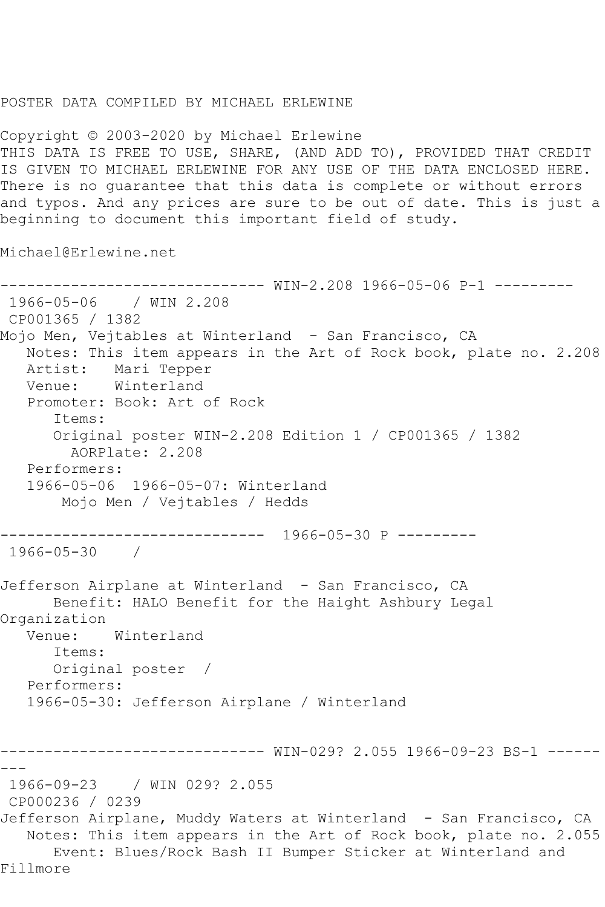## POSTER DATA COMPILED BY MICHAEL ERLEWINE

Copyright © 2003-2020 by Michael Erlewine THIS DATA IS FREE TO USE, SHARE, (AND ADD TO), PROVIDED THAT CREDIT IS GIVEN TO MICHAEL ERLEWINE FOR ANY USE OF THE DATA ENCLOSED HERE. There is no guarantee that this data is complete or without errors and typos. And any prices are sure to be out of date. This is just a beginning to document this important field of study.

Michael@Erlewine.net

```
------------------------------ WIN-2.208 1966-05-06 P-1 ---------
1966-05-06 / WIN 2.208
CP001365 / 1382
Mojo Men, Vejtables at Winterland - San Francisco, CA
   Notes: This item appears in the Art of Rock book, plate no. 2.208
   Artist: Mari Tepper
   Venue: Winterland
   Promoter: Book: Art of Rock
      Items:
      Original poster WIN-2.208 Edition 1 / CP001365 / 1382
        AORPlate: 2.208 
   Performers:
   1966-05-06 1966-05-07: Winterland
       Mojo Men / Vejtables / Hedds
------------------------------ 1966-05-30 P ---------
1966-05-30 / 
Jefferson Airplane at Winterland - San Francisco, CA
      Benefit: HALO Benefit for the Haight Ashbury Legal 
Organization
   Venue: Winterland
      Items:
      Original poster / 
   Performers:
   1966-05-30: Jefferson Airplane / Winterland
------------------------------ WIN-029? 2.055 1966-09-23 BS-1 ------
---
1966-09-23 / WIN 029? 2.055
CP000236 / 0239
Jefferson Airplane, Muddy Waters at Winterland - San Francisco, CA
   Notes: This item appears in the Art of Rock book, plate no. 2.055
      Event: Blues/Rock Bash II Bumper Sticker at Winterland and 
Fillmore
```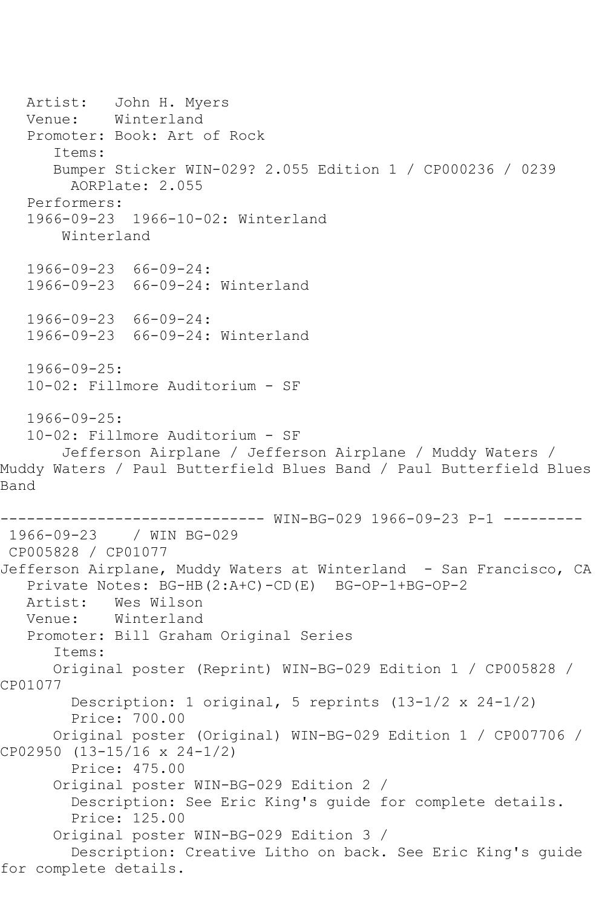Artist: John H. Myers<br>Venue: Winterland Winterland Promoter: Book: Art of Rock Items: Bumper Sticker WIN-029? 2.055 Edition 1 / CP000236 / 0239 AORPlate: 2.055 Performers: 1966-09-23 1966-10-02: Winterland Winterland 1966-09-23 66-09-24: 1966-09-23 66-09-24: Winterland 1966-09-23 66-09-24: 1966-09-23 66-09-24: Winterland 1966-09-25: 10-02: Fillmore Auditorium - SF 1966-09-25: 10-02: Fillmore Auditorium - SF Jefferson Airplane / Jefferson Airplane / Muddy Waters / Muddy Waters / Paul Butterfield Blues Band / Paul Butterfield Blues Band ------------------------------ WIN-BG-029 1966-09-23 P-1 --------- 1966-09-23 / WIN BG-029 CP005828 / CP01077 Jefferson Airplane, Muddy Waters at Winterland - San Francisco, CA Private Notes: BG-HB(2:A+C)-CD(E) BG-OP-1+BG-OP-2 Artist: Wes Wilson Venue: Winterland Promoter: Bill Graham Original Series Items: Original poster (Reprint) WIN-BG-029 Edition 1 / CP005828 / CP01077 Description: 1 original, 5 reprints (13-1/2 x 24-1/2) Price: 700.00 Original poster (Original) WIN-BG-029 Edition 1 / CP007706 / CP02950 (13-15/16 x 24-1/2) Price: 475.00 Original poster WIN-BG-029 Edition 2 / Description: See Eric King's guide for complete details. Price: 125.00 Original poster WIN-BG-029 Edition 3 / Description: Creative Litho on back. See Eric King's guide for complete details.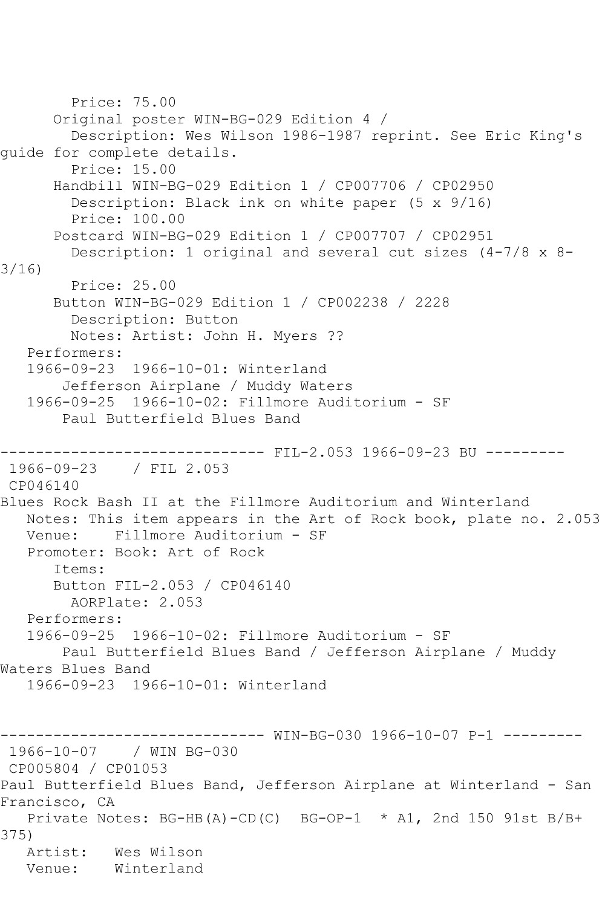Price: 75.00 Original poster WIN-BG-029 Edition 4 / Description: Wes Wilson 1986-1987 reprint. See Eric King's guide for complete details. Price: 15.00 Handbill WIN-BG-029 Edition 1 / CP007706 / CP02950 Description: Black ink on white paper (5 x 9/16) Price: 100.00 Postcard WIN-BG-029 Edition 1 / CP007707 / CP02951 Description: 1 original and several cut sizes (4-7/8 x 8- 3/16) Price: 25.00 Button WIN-BG-029 Edition 1 / CP002238 / 2228 Description: Button Notes: Artist: John H. Myers ?? Performers: 1966-09-23 1966-10-01: Winterland Jefferson Airplane / Muddy Waters 1966-09-25 1966-10-02: Fillmore Auditorium - SF Paul Butterfield Blues Band ----- FIL-2.053 1966-09-23 BU ---------1966-09-23 / FIL 2.053 CP046140 Blues Rock Bash II at the Fillmore Auditorium and Winterland Notes: This item appears in the Art of Rock book, plate no. 2.053 Venue: Fillmore Auditorium - SF Promoter: Book: Art of Rock Items: Button FIL-2.053 / CP046140 AORPlate: 2.053 Performers: 1966-09-25 1966-10-02: Fillmore Auditorium - SF Paul Butterfield Blues Band / Jefferson Airplane / Muddy Waters Blues Band 1966-09-23 1966-10-01: Winterland ------------------------------ WIN-BG-030 1966-10-07 P-1 --------- 1966-10-07 / WIN BG-030 CP005804 / CP01053 Paul Butterfield Blues Band, Jefferson Airplane at Winterland - San Francisco, CA Private Notes: BG-HB(A)-CD(C) BG-OP-1 \* A1, 2nd 150 91st B/B+ 375) Artist: Wes Wilson Venue: Winterland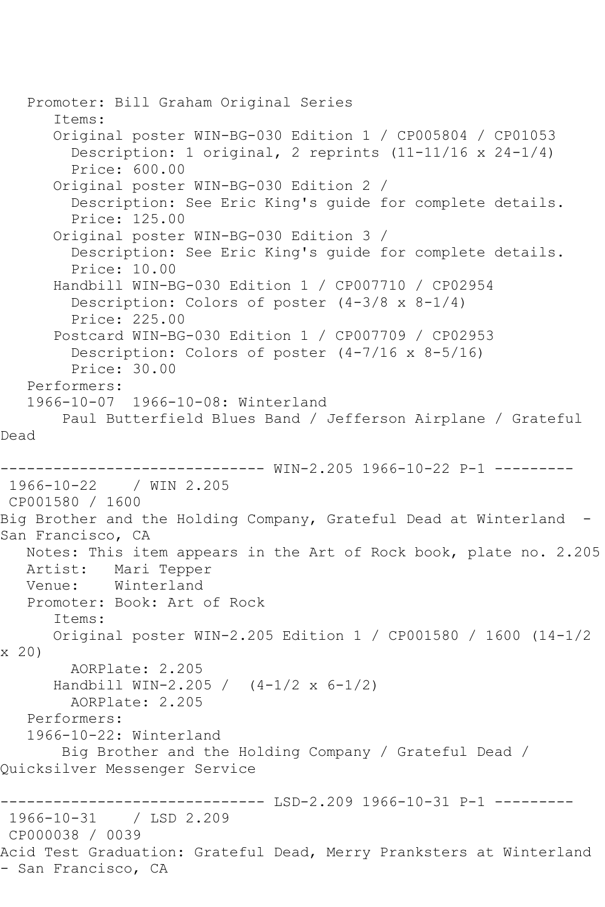Promoter: Bill Graham Original Series Items: Original poster WIN-BG-030 Edition 1 / CP005804 / CP01053 Description: 1 original, 2 reprints (11-11/16 x 24-1/4) Price: 600.00 Original poster WIN-BG-030 Edition 2 / Description: See Eric King's guide for complete details. Price: 125.00 Original poster WIN-BG-030 Edition 3 / Description: See Eric King's guide for complete details. Price: 10.00 Handbill WIN-BG-030 Edition 1 / CP007710 / CP02954 Description: Colors of poster (4-3/8 x 8-1/4) Price: 225.00 Postcard WIN-BG-030 Edition 1 / CP007709 / CP02953 Description: Colors of poster (4-7/16 x 8-5/16) Price: 30.00 Performers: 1966-10-07 1966-10-08: Winterland Paul Butterfield Blues Band / Jefferson Airplane / Grateful Dead ------------------------------ WIN-2.205 1966-10-22 P-1 --------- 1966-10-22 / WIN 2.205 CP001580 / 1600 Big Brother and the Holding Company, Grateful Dead at Winterland - San Francisco, CA Notes: This item appears in the Art of Rock book, plate no. 2.205 Artist: Mari Tepper Venue: Winterland Promoter: Book: Art of Rock Items: Original poster WIN-2.205 Edition 1 / CP001580 / 1600 (14-1/2 x 20) AORPlate: 2.205 Handbill WIN-2.205 / (4-1/2 x 6-1/2) AORPlate: 2.205 Performers: 1966-10-22: Winterland Big Brother and the Holding Company / Grateful Dead / Quicksilver Messenger Service ------------------------------ LSD-2.209 1966-10-31 P-1 --------- 1966-10-31 CP000038 / 0039 Acid Test Graduation: Grateful Dead, Merry Pranksters at Winterland - San Francisco, CA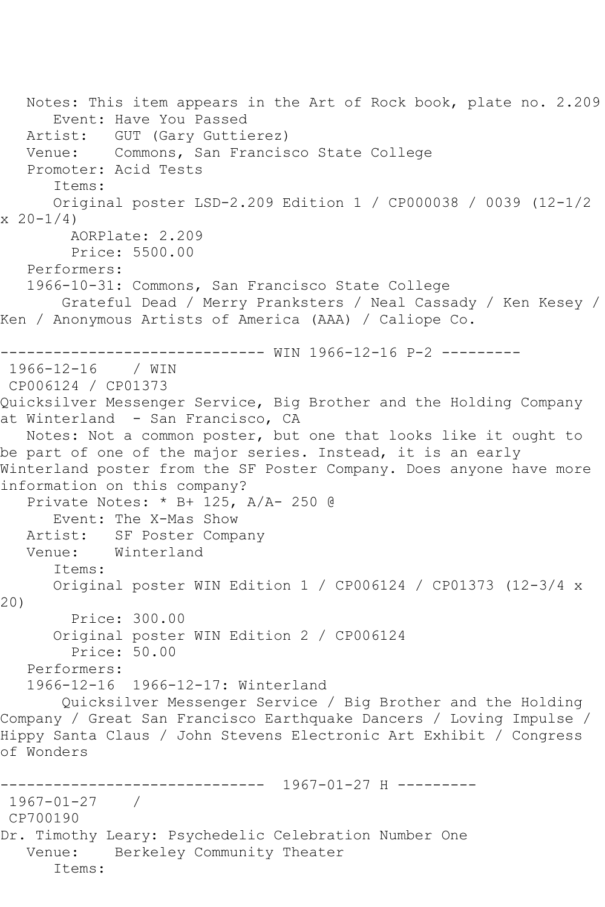Notes: This item appears in the Art of Rock book, plate no. 2.209 Event: Have You Passed Artist: GUT (Gary Guttierez) Venue: Commons, San Francisco State College Promoter: Acid Tests Items: Original poster LSD-2.209 Edition 1 / CP000038 / 0039 (12-1/2  $x \ 20 - 1/4$  AORPlate: 2.209 Price: 5500.00 Performers: 1966-10-31: Commons, San Francisco State College Grateful Dead / Merry Pranksters / Neal Cassady / Ken Kesey / Ken / Anonymous Artists of America (AAA) / Caliope Co. ------------------------------ WIN 1966-12-16 P-2 --------- 1966-12-16 / WIN CP006124 / CP01373 Quicksilver Messenger Service, Big Brother and the Holding Company at Winterland - San Francisco, CA Notes: Not a common poster, but one that looks like it ought to be part of one of the major series. Instead, it is an early Winterland poster from the SF Poster Company. Does anyone have more information on this company? Private Notes: \* B+ 125, A/A- 250 @ Event: The X-Mas Show Artist: SF Poster Company Venue: Winterland Items: Original poster WIN Edition 1 / CP006124 / CP01373 (12-3/4 x 20) Price: 300.00 Original poster WIN Edition 2 / CP006124 Price: 50.00 Performers: 1966-12-16 1966-12-17: Winterland Quicksilver Messenger Service / Big Brother and the Holding Company / Great San Francisco Earthquake Dancers / Loving Impulse / Hippy Santa Claus / John Stevens Electronic Art Exhibit / Congress of Wonders ------------------------------ 1967-01-27 H --------- 1967-01-27 / CP700190 Dr. Timothy Leary: Psychedelic Celebration Number One Venue: Berkeley Community Theater Items: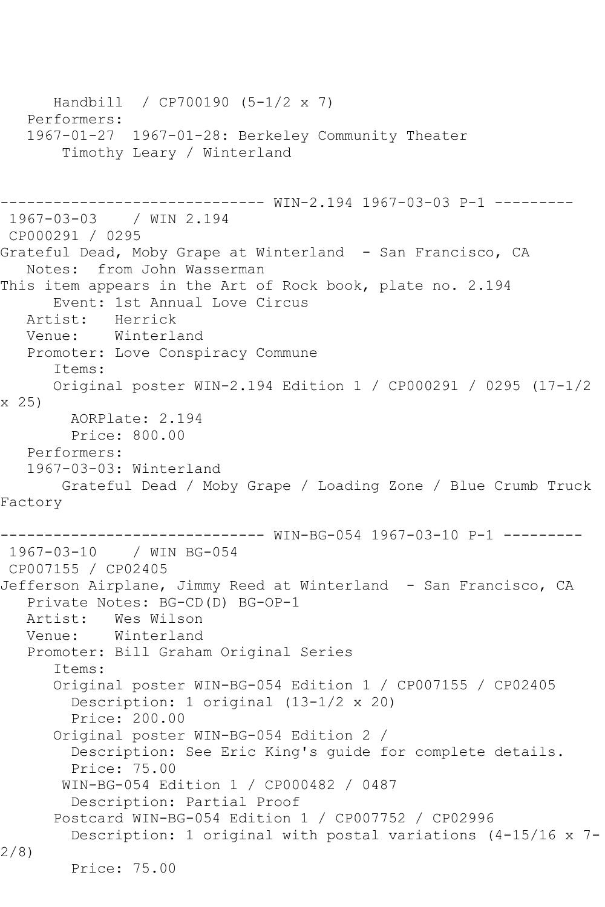Handbill / CP700190 (5-1/2 x 7) Performers: 1967-01-27 1967-01-28: Berkeley Community Theater Timothy Leary / Winterland ------------------------------ WIN-2.194 1967-03-03 P-1 --------- 1967-03-03 / WIN 2.194 CP000291 / 0295 Grateful Dead, Moby Grape at Winterland - San Francisco, CA Notes: from John Wasserman This item appears in the Art of Rock book, plate no. 2.194 Event: 1st Annual Love Circus<br>Artist: Herrick Herrick Venue: Winterland Promoter: Love Conspiracy Commune Items: Original poster WIN-2.194 Edition 1 / CP000291 / 0295 (17-1/2 x 25) AORPlate: 2.194 Price: 800.00 Performers: 1967-03-03: Winterland Grateful Dead / Moby Grape / Loading Zone / Blue Crumb Truck Factory ------------------------------ WIN-BG-054 1967-03-10 P-1 --------- 1967-03-10 / WIN BG-054 CP007155 / CP02405 Jefferson Airplane, Jimmy Reed at Winterland - San Francisco, CA Private Notes: BG-CD(D) BG-OP-1 Artist: Wes Wilson<br>Venue: Winterland Winterland Promoter: Bill Graham Original Series Items: Original poster WIN-BG-054 Edition 1 / CP007155 / CP02405 Description: 1 original (13-1/2 x 20) Price: 200.00 Original poster WIN-BG-054 Edition 2 / Description: See Eric King's guide for complete details. Price: 75.00 WIN-BG-054 Edition 1 / CP000482 / 0487 Description: Partial Proof Postcard WIN-BG-054 Edition 1 / CP007752 / CP02996 Description: 1 original with postal variations (4-15/16 x 7- 2/8) Price: 75.00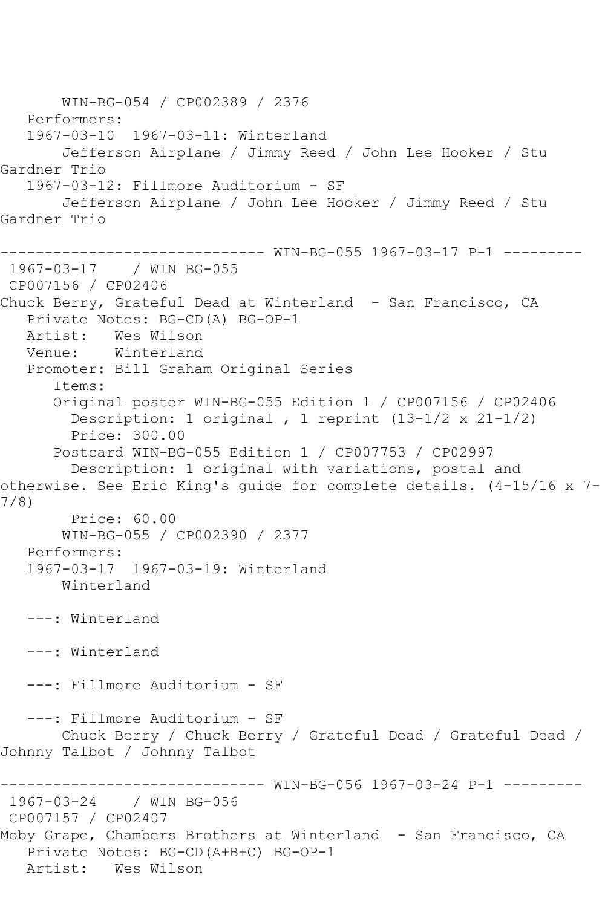WIN-BG-054 / CP002389 / 2376 Performers: 1967-03-10 1967-03-11: Winterland Jefferson Airplane / Jimmy Reed / John Lee Hooker / Stu Gardner Trio 1967-03-12: Fillmore Auditorium - SF Jefferson Airplane / John Lee Hooker / Jimmy Reed / Stu Gardner Trio ------------------------------ WIN-BG-055 1967-03-17 P-1 --------- 1967-03-17 / WIN BG-055 CP007156 / CP02406 Chuck Berry, Grateful Dead at Winterland - San Francisco, CA Private Notes: BG-CD(A) BG-OP-1 Artist: Wes Wilson Venue: Winterland Promoter: Bill Graham Original Series Items: Original poster WIN-BG-055 Edition 1 / CP007156 / CP02406 Description: 1 original , 1 reprint (13-1/2 x 21-1/2) Price: 300.00 Postcard WIN-BG-055 Edition 1 / CP007753 / CP02997 Description: 1 original with variations, postal and otherwise. See Eric King's guide for complete details. (4-15/16 x 7- 7/8) Price: 60.00 WIN-BG-055 / CP002390 / 2377 Performers: 1967-03-17 1967-03-19: Winterland Winterland ---: Winterland ---: Winterland ---: Fillmore Auditorium - SF ---: Fillmore Auditorium - SF Chuck Berry / Chuck Berry / Grateful Dead / Grateful Dead / Johnny Talbot / Johnny Talbot ------------------------------ WIN-BG-056 1967-03-24 P-1 --------- 1967-03-24 / WIN BG-056 CP007157 / CP02407 Moby Grape, Chambers Brothers at Winterland - San Francisco, CA Private Notes: BG-CD(A+B+C) BG-OP-1 Artist: Wes Wilson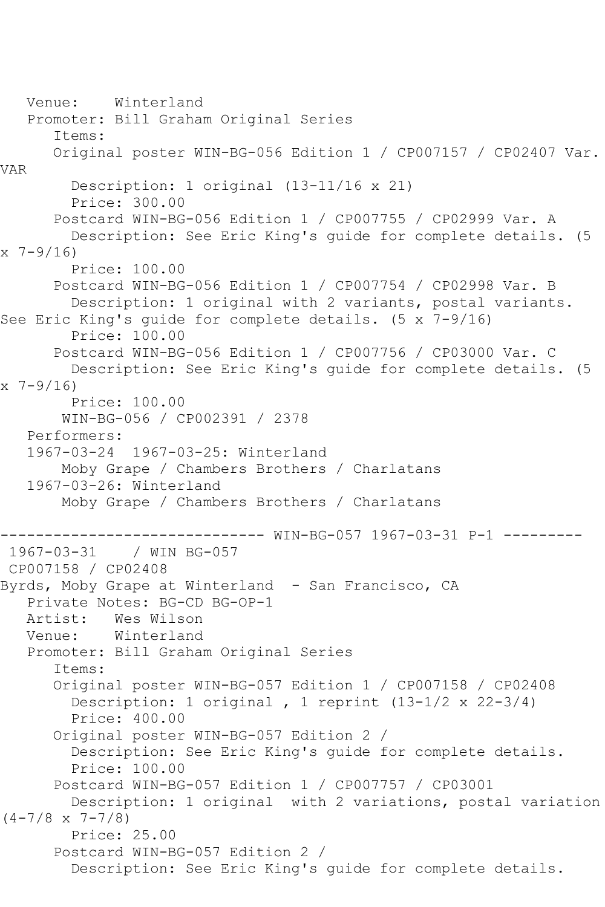Venue: Winterland Promoter: Bill Graham Original Series Items: Original poster WIN-BG-056 Edition 1 / CP007157 / CP02407 Var. VAR Description: 1 original (13-11/16 x 21) Price: 300.00 Postcard WIN-BG-056 Edition 1 / CP007755 / CP02999 Var. A Description: See Eric King's guide for complete details. (5 x 7-9/16) Price: 100.00 Postcard WIN-BG-056 Edition 1 / CP007754 / CP02998 Var. B Description: 1 original with 2 variants, postal variants. See Eric King's guide for complete details. (5 x 7-9/16) Price: 100.00 Postcard WIN-BG-056 Edition 1 / CP007756 / CP03000 Var. C Description: See Eric King's guide for complete details. (5 x 7-9/16) Price: 100.00 WIN-BG-056 / CP002391 / 2378 Performers: 1967-03-24 1967-03-25: Winterland Moby Grape / Chambers Brothers / Charlatans 1967-03-26: Winterland Moby Grape / Chambers Brothers / Charlatans ------------------------------ WIN-BG-057 1967-03-31 P-1 --------- 1967-03-31 / WIN BG-057 CP007158 / CP02408 Byrds, Moby Grape at Winterland - San Francisco, CA Private Notes: BG-CD BG-OP-1<br>Artist: Wes Wilson Artist: Wes Wilson<br>Venue: Winterland Winterland Promoter: Bill Graham Original Series Items: Original poster WIN-BG-057 Edition 1 / CP007158 / CP02408 Description: 1 original , 1 reprint (13-1/2 x 22-3/4) Price: 400.00 Original poster WIN-BG-057 Edition 2 / Description: See Eric King's guide for complete details. Price: 100.00 Postcard WIN-BG-057 Edition 1 / CP007757 / CP03001 Description: 1 original with 2 variations, postal variation  $(4-7/8 \times 7-7/8)$  Price: 25.00 Postcard WIN-BG-057 Edition 2 / Description: See Eric King's guide for complete details.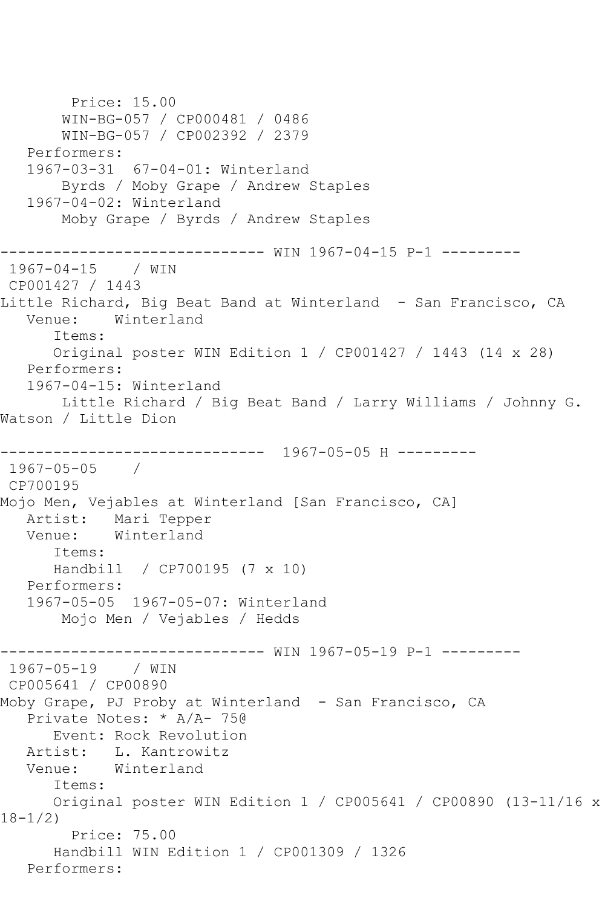Price: 15.00 WIN-BG-057 / CP000481 / 0486 WIN-BG-057 / CP002392 / 2379 Performers: 1967-03-31 67-04-01: Winterland Byrds / Moby Grape / Andrew Staples 1967-04-02: Winterland Moby Grape / Byrds / Andrew Staples ------------------------------ WIN 1967-04-15 P-1 --------- 1967-04-15 / WIN CP001427 / 1443 Little Richard, Big Beat Band at Winterland - San Francisco, CA<br>Venue: Winterland Winterland Items: Original poster WIN Edition 1 / CP001427 / 1443 (14 x 28) Performers: 1967-04-15: Winterland Little Richard / Big Beat Band / Larry Williams / Johnny G. Watson / Little Dion ------------------------------ 1967-05-05 H --------- 1967-05-05 / CP700195 Mojo Men, Vejables at Winterland [San Francisco, CA] Artist: Mari Tepper<br>Venue: Winterland Winterland Items: Handbill / CP700195 (7 x 10) Performers: 1967-05-05 1967-05-07: Winterland Mojo Men / Vejables / Hedds ------------------------------ WIN 1967-05-19 P-1 --------- 1967-05-19 / WIN CP005641 / CP00890 Moby Grape, PJ Proby at Winterland - San Francisco, CA Private Notes: \* A/A- 75@ Event: Rock Revolution Artist: L. Kantrowitz Venue: Winterland Items: Original poster WIN Edition 1 / CP005641 / CP00890 (13-11/16 x 18-1/2) Price: 75.00 Handbill WIN Edition 1 / CP001309 / 1326 Performers: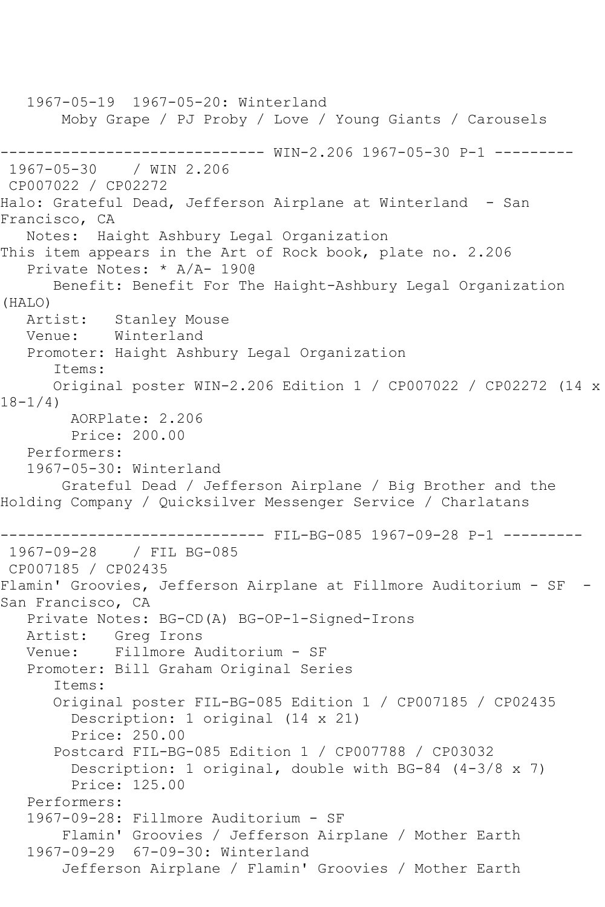1967-05-19 1967-05-20: Winterland Moby Grape / PJ Proby / Love / Young Giants / Carousels ------------------------------ WIN-2.206 1967-05-30 P-1 --------- 1967-05-30 / WIN 2.206 CP007022 / CP02272 Halo: Grateful Dead, Jefferson Airplane at Winterland - San Francisco, CA Notes: Haight Ashbury Legal Organization This item appears in the Art of Rock book, plate no. 2.206 Private Notes: \* A/A- 190@ Benefit: Benefit For The Haight-Ashbury Legal Organization (HALO) Stanley Mouse Venue: Winterland Promoter: Haight Ashbury Legal Organization Items: Original poster WIN-2.206 Edition 1 / CP007022 / CP02272 (14 x 18-1/4) AORPlate: 2.206 Price: 200.00 Performers: 1967-05-30: Winterland Grateful Dead / Jefferson Airplane / Big Brother and the Holding Company / Quicksilver Messenger Service / Charlatans ------------------------------ FIL-BG-085 1967-09-28 P-1 --------- 1967-09-28 / FIL BG-085 CP007185 / CP02435 Flamin' Groovies, Jefferson Airplane at Fillmore Auditorium - SF - San Francisco, CA Private Notes: BG-CD(A) BG-OP-1-Signed-Irons Artist: Greg Irons<br>Venue: Fillmore A Fillmore Auditorium - SF Promoter: Bill Graham Original Series Items: Original poster FIL-BG-085 Edition 1 / CP007185 / CP02435 Description: 1 original (14 x 21) Price: 250.00 Postcard FIL-BG-085 Edition 1 / CP007788 / CP03032 Description: 1 original, double with BG-84 (4-3/8 x 7) Price: 125.00 Performers: 1967-09-28: Fillmore Auditorium - SF Flamin' Groovies / Jefferson Airplane / Mother Earth 1967-09-29 67-09-30: Winterland Jefferson Airplane / Flamin' Groovies / Mother Earth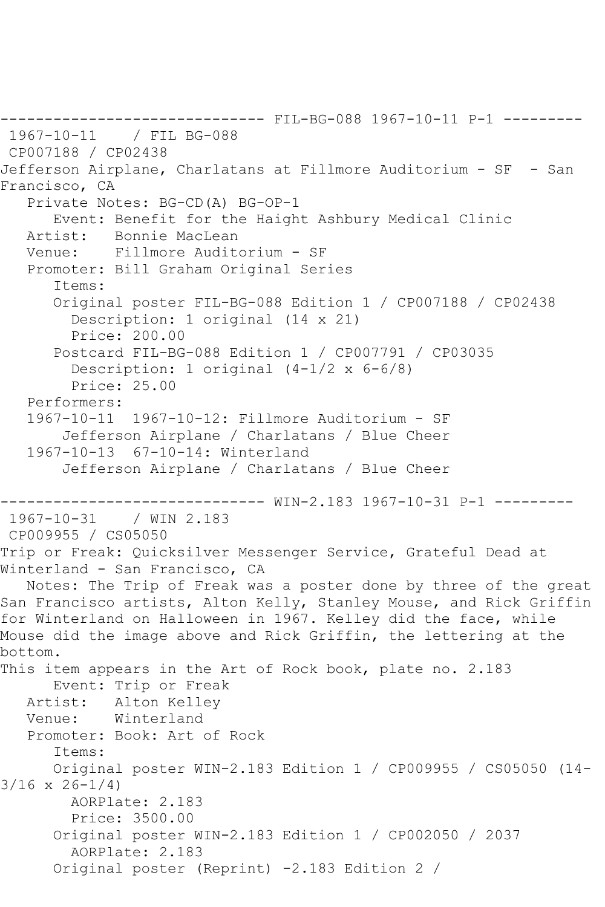------------------------------ FIL-BG-088 1967-10-11 P-1 --------- 1967-10-11 / FIL BG-088 CP007188 / CP02438 Jefferson Airplane, Charlatans at Fillmore Auditorium - SF - San Francisco, CA Private Notes: BG-CD(A) BG-OP-1 Event: Benefit for the Haight Ashbury Medical Clinic Artist: Bonnie MacLean Venue: Fillmore Auditorium - SF Promoter: Bill Graham Original Series Items: Original poster FIL-BG-088 Edition 1 / CP007188 / CP02438 Description: 1 original (14 x 21) Price: 200.00 Postcard FIL-BG-088 Edition 1 / CP007791 / CP03035 Description: 1 original (4-1/2 x 6-6/8) Price: 25.00 Performers: 1967-10-11 1967-10-12: Fillmore Auditorium - SF Jefferson Airplane / Charlatans / Blue Cheer 1967-10-13 67-10-14: Winterland Jefferson Airplane / Charlatans / Blue Cheer ------------------------------ WIN-2.183 1967-10-31 P-1 ---------  $1967 - 10 - 31$ CP009955 / CS05050 Trip or Freak: Quicksilver Messenger Service, Grateful Dead at Winterland - San Francisco, CA Notes: The Trip of Freak was a poster done by three of the great San Francisco artists, Alton Kelly, Stanley Mouse, and Rick Griffin for Winterland on Halloween in 1967. Kelley did the face, while Mouse did the image above and Rick Griffin, the lettering at the bottom. This item appears in the Art of Rock book, plate no. 2.183 Event: Trip or Freak Artist: Alton Kelley Venue: Winterland Promoter: Book: Art of Rock Items: Original poster WIN-2.183 Edition 1 / CP009955 / CS05050 (14- 3/16 x 26-1/4) AORPlate: 2.183 Price: 3500.00 Original poster WIN-2.183 Edition 1 / CP002050 / 2037 AORPlate: 2.183 Original poster (Reprint) -2.183 Edition 2 /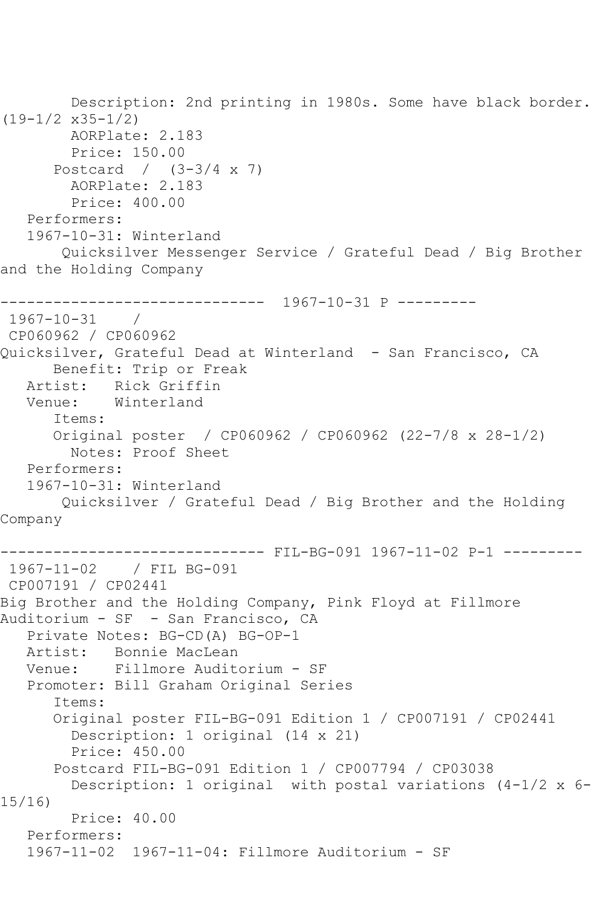Description: 2nd printing in 1980s. Some have black border. (19-1/2 x35-1/2) AORPlate: 2.183 Price: 150.00 Postcard / (3-3/4 x 7) AORPlate: 2.183 Price: 400.00 Performers: 1967-10-31: Winterland Quicksilver Messenger Service / Grateful Dead / Big Brother and the Holding Company ------------------------------ 1967-10-31 P --------- 1967-10-31 / CP060962 / CP060962 Quicksilver, Grateful Dead at Winterland - San Francisco, CA Benefit: Trip or Freak Artist: Rick Griffin Venue: Winterland Items: Original poster / CP060962 / CP060962 (22-7/8 x 28-1/2) Notes: Proof Sheet Performers: 1967-10-31: Winterland Quicksilver / Grateful Dead / Big Brother and the Holding Company ------------------------------ FIL-BG-091 1967-11-02 P-1 --------- 1967-11-02 / FIL BG-091 CP007191 / CP02441 Big Brother and the Holding Company, Pink Floyd at Fillmore Auditorium - SF - San Francisco, CA Private Notes: BG-CD(A) BG-OP-1 Artist: Bonnie MacLean Venue: Fillmore Auditorium - SF Promoter: Bill Graham Original Series Items: Original poster FIL-BG-091 Edition 1 / CP007191 / CP02441 Description: 1 original (14 x 21) Price: 450.00 Postcard FIL-BG-091 Edition 1 / CP007794 / CP03038 Description: 1 original with postal variations (4-1/2 x 6- 15/16) Price: 40.00 Performers: 1967-11-02 1967-11-04: Fillmore Auditorium - SF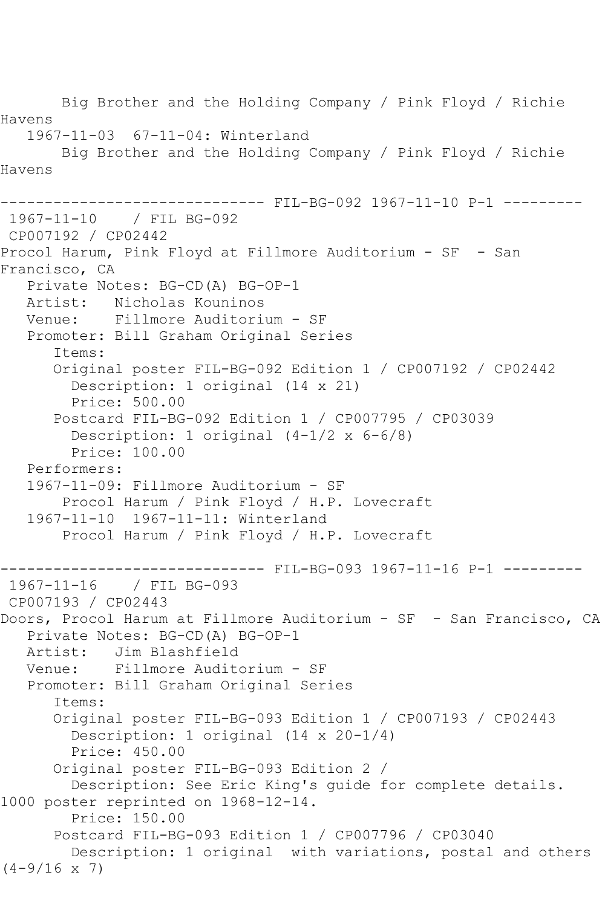Big Brother and the Holding Company / Pink Floyd / Richie Havens 1967-11-03 67-11-04: Winterland Big Brother and the Holding Company / Pink Floyd / Richie Havens ------------------------------ FIL-BG-092 1967-11-10 P-1 --------- 1967-11-10 / FIL BG-092 CP007192 / CP02442 Procol Harum, Pink Floyd at Fillmore Auditorium - SF - San Francisco, CA Private Notes: BG-CD(A) BG-OP-1 Artist: Nicholas Kouninos Venue: Fillmore Auditorium - SF Promoter: Bill Graham Original Series Items: Original poster FIL-BG-092 Edition 1 / CP007192 / CP02442 Description: 1 original (14 x 21) Price: 500.00 Postcard FIL-BG-092 Edition 1 / CP007795 / CP03039 Description: 1 original (4-1/2 x 6-6/8) Price: 100.00 Performers: 1967-11-09: Fillmore Auditorium - SF Procol Harum / Pink Floyd / H.P. Lovecraft 1967-11-10 1967-11-11: Winterland Procol Harum / Pink Floyd / H.P. Lovecraft ------------------------------ FIL-BG-093 1967-11-16 P-1 --------- 1967-11-16 / FIL BG-093 CP007193 / CP02443 Doors, Procol Harum at Fillmore Auditorium - SF - San Francisco, CA Private Notes: BG-CD(A) BG-OP-1 Artist: Jim Blashfield Venue: Fillmore Auditorium - SF Promoter: Bill Graham Original Series Items: Original poster FIL-BG-093 Edition 1 / CP007193 / CP02443 Description: 1 original (14 x 20-1/4) Price: 450.00 Original poster FIL-BG-093 Edition 2 / Description: See Eric King's guide for complete details. 1000 poster reprinted on 1968-12-14. Price: 150.00 Postcard FIL-BG-093 Edition 1 / CP007796 / CP03040 Description: 1 original with variations, postal and others  $(4-9/16 \times 7)$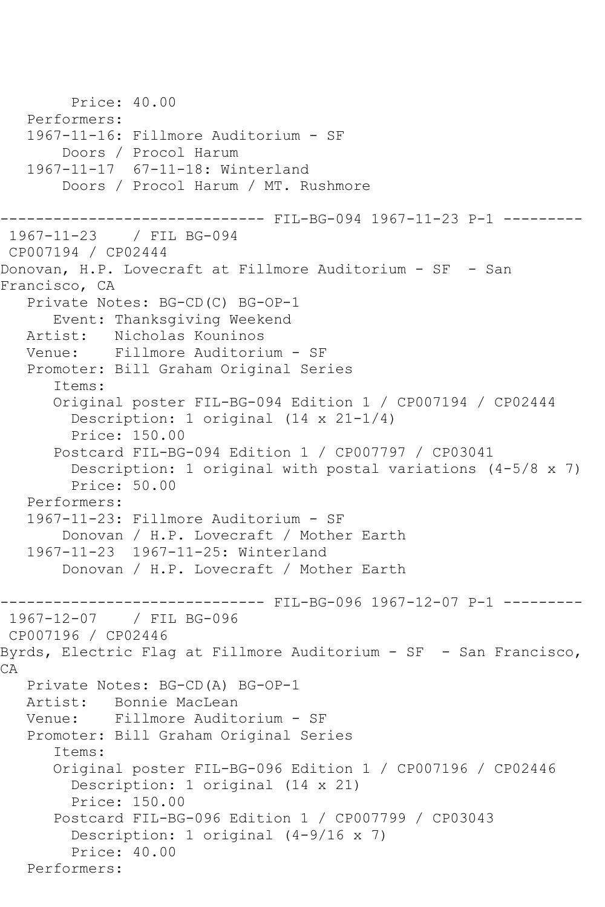```
 Price: 40.00
   Performers:
   1967-11-16: Fillmore Auditorium - SF
        Doors / Procol Harum
   1967-11-17 67-11-18: Winterland
        Doors / Procol Harum / MT. Rushmore
------------------------------ FIL-BG-094 1967-11-23 P-1 ---------
1967-11-23 / FIL BG-094
CP007194 / CP02444
Donovan, H.P. Lovecraft at Fillmore Auditorium - SF - San 
Francisco, CA
   Private Notes: BG-CD(C) BG-OP-1
       Event: Thanksgiving Weekend
   Artist: Nicholas Kouninos
   Venue: Fillmore Auditorium - SF
   Promoter: Bill Graham Original Series
       Items:
       Original poster FIL-BG-094 Edition 1 / CP007194 / CP02444
         Description: 1 original (14 x 21-1/4)
         Price: 150.00
       Postcard FIL-BG-094 Edition 1 / CP007797 / CP03041
        Description: 1 original with postal variations (4-5/8 \times 7) Price: 50.00
   Performers:
   1967-11-23: Fillmore Auditorium - SF
        Donovan / H.P. Lovecraft / Mother Earth
   1967-11-23 1967-11-25: Winterland
        Donovan / H.P. Lovecraft / Mother Earth
      ------------------------------ FIL-BG-096 1967-12-07 P-1 ---------
1967-12-07 / FIL BG-096
CP007196 / CP02446
Byrds, Electric Flag at Fillmore Auditorium - SF - San Francisco, 
CA Private Notes: BG-CD(A) BG-OP-1
   Artist: Bonnie MacLean
   Venue: Fillmore Auditorium - SF
   Promoter: Bill Graham Original Series
       Items:
       Original poster FIL-BG-096 Edition 1 / CP007196 / CP02446
         Description: 1 original (14 x 21)
         Price: 150.00
       Postcard FIL-BG-096 Edition 1 / CP007799 / CP03043
         Description: 1 original (4-9/16 x 7)
         Price: 40.00
   Performers:
```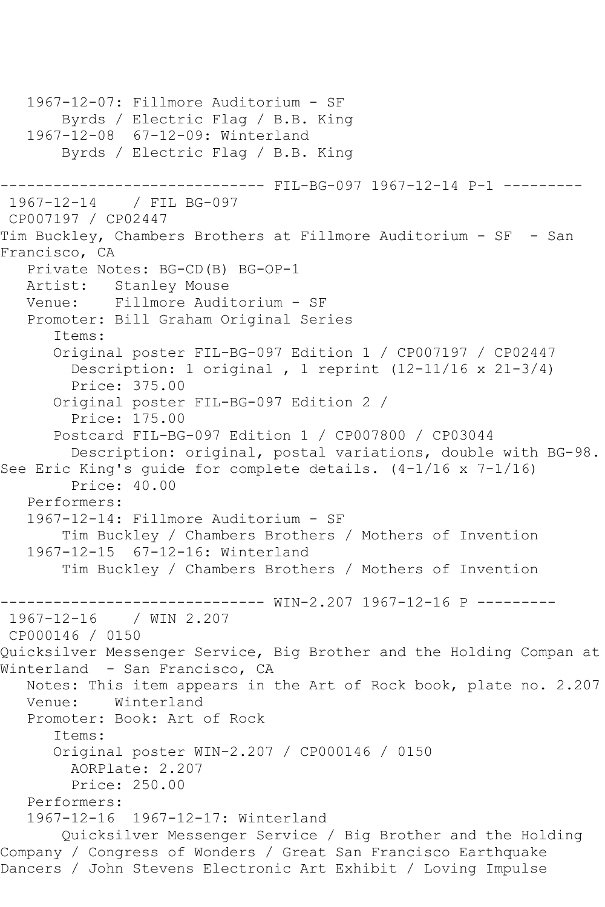```
 1967-12-07: Fillmore Auditorium - SF
        Byrds / Electric Flag / B.B. King
   1967-12-08 67-12-09: Winterland
        Byrds / Electric Flag / B.B. King
                     ------------------------------ FIL-BG-097 1967-12-14 P-1 ---------
1967-12-14 / FIL BG-097
CP007197 / CP02447
Tim Buckley, Chambers Brothers at Fillmore Auditorium - SF - San 
Francisco, CA
   Private Notes: BG-CD(B) BG-OP-1
   Artist: Stanley Mouse
   Venue: Fillmore Auditorium - SF
   Promoter: Bill Graham Original Series
       Items:
       Original poster FIL-BG-097 Edition 1 / CP007197 / CP02447
         Description: 1 original , 1 reprint (12-11/16 x 21-3/4)
         Price: 375.00
       Original poster FIL-BG-097 Edition 2 / 
         Price: 175.00
       Postcard FIL-BG-097 Edition 1 / CP007800 / CP03044
         Description: original, postal variations, double with BG-98. 
See Eric King's quide for complete details. (4-1/16 \times 7-1/16) Price: 40.00
   Performers:
   1967-12-14: Fillmore Auditorium - SF
        Tim Buckley / Chambers Brothers / Mothers of Invention
   1967-12-15 67-12-16: Winterland
        Tim Buckley / Chambers Brothers / Mothers of Invention
                       -------- WIN-2.207 1967-12-16 P ---------
1967-12-16 / WIN 2.207
CP000146 / 0150
Quicksilver Messenger Service, Big Brother and the Holding Compan at 
Winterland - San Francisco, CA
   Notes: This item appears in the Art of Rock book, plate no. 2.207
   Venue: Winterland
   Promoter: Book: Art of Rock
       Items:
       Original poster WIN-2.207 / CP000146 / 0150
         AORPlate: 2.207 
        Price: 250.00
   Performers:
   1967-12-16 1967-12-17: Winterland
        Quicksilver Messenger Service / Big Brother and the Holding 
Company / Congress of Wonders / Great San Francisco Earthquake 
Dancers / John Stevens Electronic Art Exhibit / Loving Impulse
```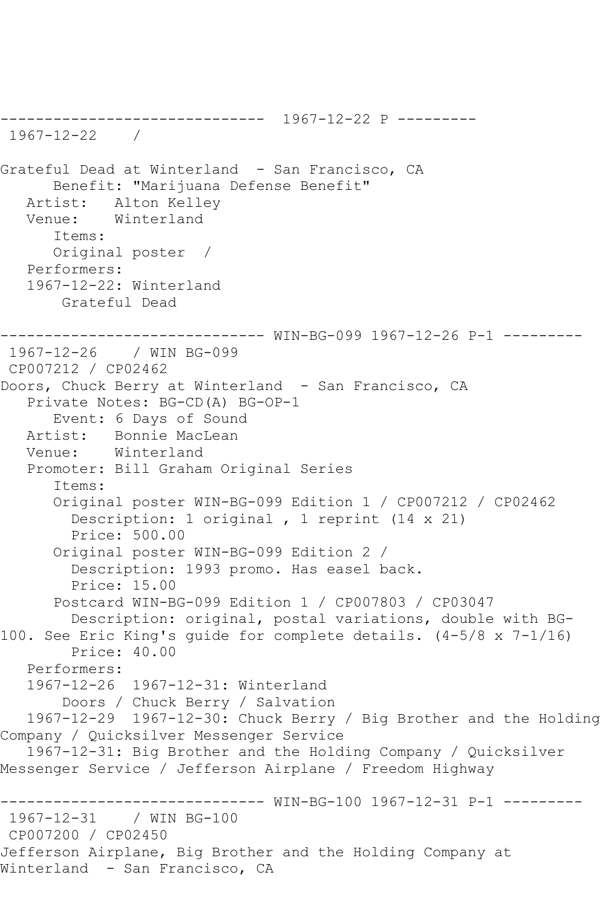------------------------------ 1967-12-22 P --------- 1967-12-22 / Grateful Dead at Winterland - San Francisco, CA Benefit: "Marijuana Defense Benefit" Artist: Alton Kelley Venue: Winterland Items: Original poster / Performers: 1967-12-22: Winterland Grateful Dead ------------------------------ WIN-BG-099 1967-12-26 P-1 --------- 1967-12-26 / WIN BG-099 CP007212 / CP02462 Doors, Chuck Berry at Winterland - San Francisco, CA Private Notes: BG-CD(A) BG-OP-1 Event: 6 Days of Sound Artist: Bonnie MacLean Venue: Winterland Promoter: Bill Graham Original Series Items: Original poster WIN-BG-099 Edition 1 / CP007212 / CP02462 Description: 1 original , 1 reprint (14 x 21) Price: 500.00 Original poster WIN-BG-099 Edition 2 / Description: 1993 promo. Has easel back. Price: 15.00 Postcard WIN-BG-099 Edition 1 / CP007803 / CP03047 Description: original, postal variations, double with BG-100. See Eric King's guide for complete details. (4-5/8 x 7-1/16) Price: 40.00 Performers: 1967-12-26 1967-12-31: Winterland Doors / Chuck Berry / Salvation 1967-12-29 1967-12-30: Chuck Berry / Big Brother and the Holding Company / Quicksilver Messenger Service 1967-12-31: Big Brother and the Holding Company / Quicksilver Messenger Service / Jefferson Airplane / Freedom Highway ------------------------------ WIN-BG-100 1967-12-31 P-1 --------- 1967-12-31 / WIN BG-100 CP007200 / CP02450 Jefferson Airplane, Big Brother and the Holding Company at Winterland - San Francisco, CA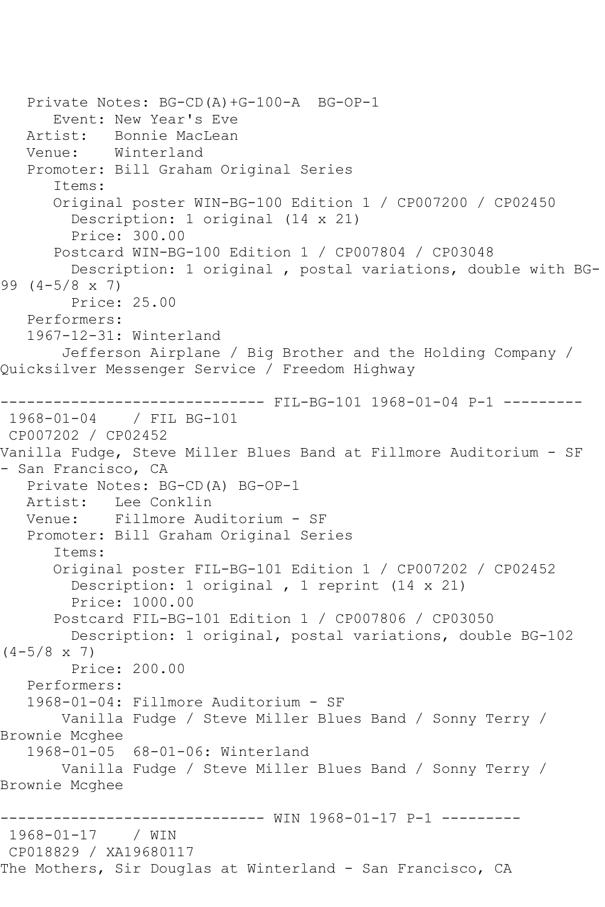```
 Private Notes: BG-CD(A)+G-100-A BG-OP-1
       Event: New Year's Eve
   Artist: Bonnie MacLean
   Venue: Winterland
    Promoter: Bill Graham Original Series
       Items:
       Original poster WIN-BG-100 Edition 1 / CP007200 / CP02450
         Description: 1 original (14 x 21)
         Price: 300.00
       Postcard WIN-BG-100 Edition 1 / CP007804 / CP03048
         Description: 1 original , postal variations, double with BG-
99 (4-5/8 x 7)
         Price: 25.00
    Performers:
    1967-12-31: Winterland
        Jefferson Airplane / Big Brother and the Holding Company / 
Quicksilver Messenger Service / Freedom Highway
          ------------------------------ FIL-BG-101 1968-01-04 P-1 ---------
1968-01-04 / FIL BG-101
CP007202 / CP02452
Vanilla Fudge, Steve Miller Blues Band at Fillmore Auditorium - SF 
- San Francisco, CA
   Private Notes: BG-CD(A) BG-OP-1
  Artist: Lee Conklin<br>Venue: Fillmore Aud
            Fillmore Auditorium - SF
   Promoter: Bill Graham Original Series
       Items:
       Original poster FIL-BG-101 Edition 1 / CP007202 / CP02452
         Description: 1 original , 1 reprint (14 x 21)
         Price: 1000.00
       Postcard FIL-BG-101 Edition 1 / CP007806 / CP03050
         Description: 1 original, postal variations, double BG-102 
(4-5/8 \times 7) Price: 200.00
    Performers:
    1968-01-04: Fillmore Auditorium - SF
        Vanilla Fudge / Steve Miller Blues Band / Sonny Terry / 
Brownie Mcghee
    1968-01-05 68-01-06: Winterland
        Vanilla Fudge / Steve Miller Blues Band / Sonny Terry / 
Brownie Mcghee
            ------------------------------ WIN 1968-01-17 P-1 ---------
1968-01-17 / WIN 
CP018829 / XA19680117
The Mothers, Sir Douglas at Winterland - San Francisco, CA
```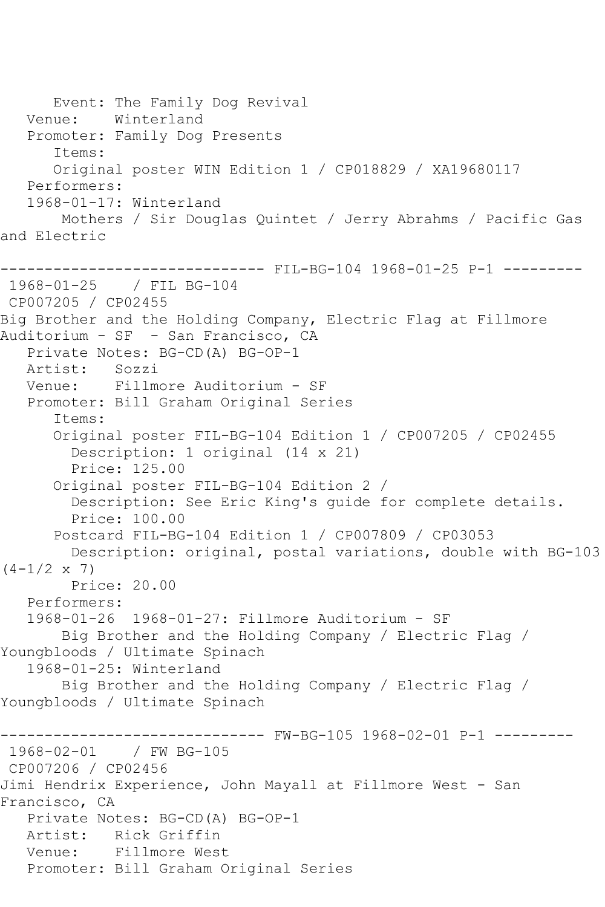Event: The Family Dog Revival Venue: Winterland Promoter: Family Dog Presents Items: Original poster WIN Edition 1 / CP018829 / XA19680117 Performers: 1968-01-17: Winterland Mothers / Sir Douglas Quintet / Jerry Abrahms / Pacific Gas and Electric ------------------------------ FIL-BG-104 1968-01-25 P-1 --------- 1968-01-25 / FIL BG-104 CP007205 / CP02455 Big Brother and the Holding Company, Electric Flag at Fillmore Auditorium - SF - San Francisco, CA Private Notes: BG-CD(A) BG-OP-1 Artist: Sozzi Venue: Fillmore Auditorium - SF Promoter: Bill Graham Original Series Items: Original poster FIL-BG-104 Edition 1 / CP007205 / CP02455 Description: 1 original (14 x 21) Price: 125.00 Original poster FIL-BG-104 Edition 2 / Description: See Eric King's guide for complete details. Price: 100.00 Postcard FIL-BG-104 Edition 1 / CP007809 / CP03053 Description: original, postal variations, double with BG-103  $(4-1/2 \times 7)$  Price: 20.00 Performers: 1968-01-26 1968-01-27: Fillmore Auditorium - SF Big Brother and the Holding Company / Electric Flag / Youngbloods / Ultimate Spinach 1968-01-25: Winterland Big Brother and the Holding Company / Electric Flag / Youngbloods / Ultimate Spinach ------------------------------ FW-BG-105 1968-02-01 P-1 --------- 1968-02-01 / FW BG-105 CP007206 / CP02456 Jimi Hendrix Experience, John Mayall at Fillmore West - San Francisco, CA Private Notes: BG-CD(A) BG-OP-1 Artist: Rick Griffin Venue: Fillmore West Promoter: Bill Graham Original Series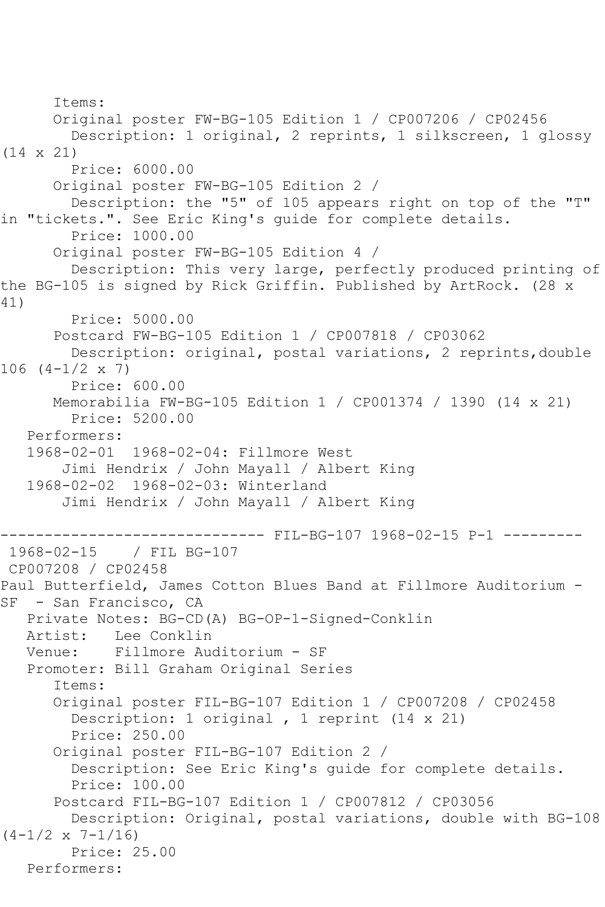```
 Items:
       Original poster FW-BG-105 Edition 1 / CP007206 / CP02456
         Description: 1 original, 2 reprints, 1 silkscreen, 1 glossy 
(14 x 21)
         Price: 6000.00
       Original poster FW-BG-105 Edition 2 / 
         Description: the "5" of 105 appears right on top of the "T" 
in "tickets.". See Eric King's guide for complete details.
         Price: 1000.00
       Original poster FW-BG-105 Edition 4 / 
         Description: This very large, perfectly produced printing of 
the BG-105 is signed by Rick Griffin. Published by ArtRock. (28 x 
41)
         Price: 5000.00
       Postcard FW-BG-105 Edition 1 / CP007818 / CP03062
         Description: original, postal variations, 2 reprints,double 
106 (4-1/2 x 7)
         Price: 600.00
       Memorabilia FW-BG-105 Edition 1 / CP001374 / 1390 (14 x 21)
         Price: 5200.00
   Performers:
   1968-02-01 1968-02-04: Fillmore West
        Jimi Hendrix / John Mayall / Albert King
   1968-02-02 1968-02-03: Winterland
        Jimi Hendrix / John Mayall / Albert King
------------------------------ FIL-BG-107 1968-02-15 P-1 ---------
1968-02-15 / FIL BG-107
CP007208 / CP02458
Paul Butterfield, James Cotton Blues Band at Fillmore Auditorium -
SF - San Francisco, CA
   Private Notes: BG-CD(A) BG-OP-1-Signed-Conklin
   Artist: Lee Conklin
   Venue: Fillmore Auditorium - SF
   Promoter: Bill Graham Original Series
       Items:
       Original poster FIL-BG-107 Edition 1 / CP007208 / CP02458
         Description: 1 original , 1 reprint (14 x 21)
         Price: 250.00
       Original poster FIL-BG-107 Edition 2 / 
         Description: See Eric King's guide for complete details.
         Price: 100.00
       Postcard FIL-BG-107 Edition 1 / CP007812 / CP03056
        Description: Original, postal variations, double with BG-108 
(4-1/2 \times 7-1/16) Price: 25.00
   Performers:
```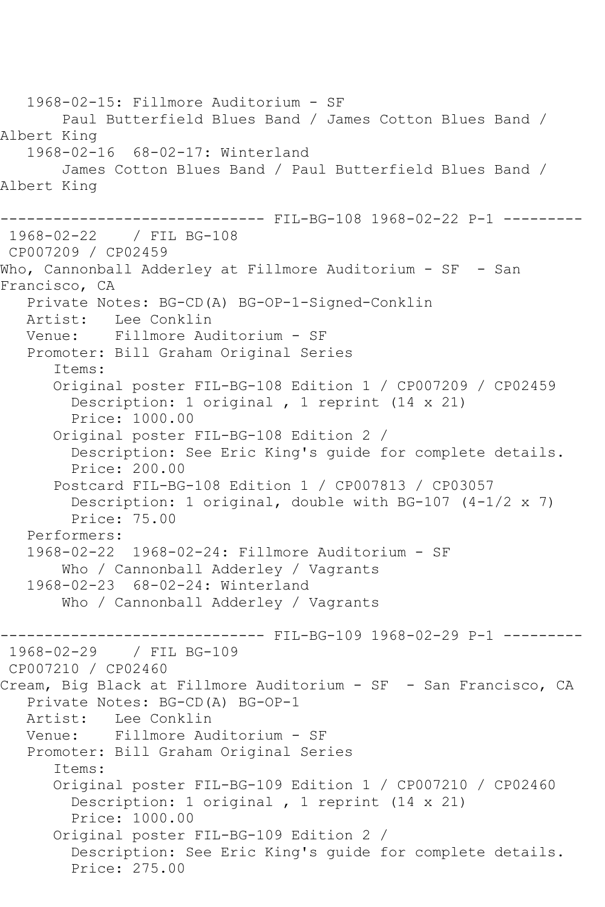1968-02-15: Fillmore Auditorium - SF Paul Butterfield Blues Band / James Cotton Blues Band / Albert King 1968-02-16 68-02-17: Winterland James Cotton Blues Band / Paul Butterfield Blues Band / Albert King ------------------------------ FIL-BG-108 1968-02-22 P-1 --------- 1968-02-22 / FIL BG-108 CP007209 / CP02459 Who, Cannonball Adderley at Fillmore Auditorium - SF - San Francisco, CA Private Notes: BG-CD(A) BG-OP-1-Signed-Conklin Artist: Lee Conklin Venue: Fillmore Auditorium - SF Promoter: Bill Graham Original Series Items: Original poster FIL-BG-108 Edition 1 / CP007209 / CP02459 Description: 1 original , 1 reprint (14 x 21) Price: 1000.00 Original poster FIL-BG-108 Edition 2 / Description: See Eric King's guide for complete details. Price: 200.00 Postcard FIL-BG-108 Edition 1 / CP007813 / CP03057 Description: 1 original, double with BG-107 (4-1/2 x 7) Price: 75.00 Performers: 1968-02-22 1968-02-24: Fillmore Auditorium - SF Who / Cannonball Adderley / Vagrants 1968-02-23 68-02-24: Winterland Who / Cannonball Adderley / Vagrants ------------------------------ FIL-BG-109 1968-02-29 P-1 --------- 1968-02-29 / FIL BG-109 CP007210 / CP02460 Cream, Big Black at Fillmore Auditorium - SF - San Francisco, CA Private Notes: BG-CD(A) BG-OP-1<br>Artist: Lee Conklin Artist: Lee Conklin<br>Venue: Fillmore Au Fillmore Auditorium - SF Promoter: Bill Graham Original Series Items: Original poster FIL-BG-109 Edition 1 / CP007210 / CP02460 Description: 1 original , 1 reprint (14 x 21) Price: 1000.00 Original poster FIL-BG-109 Edition 2 / Description: See Eric King's guide for complete details. Price: 275.00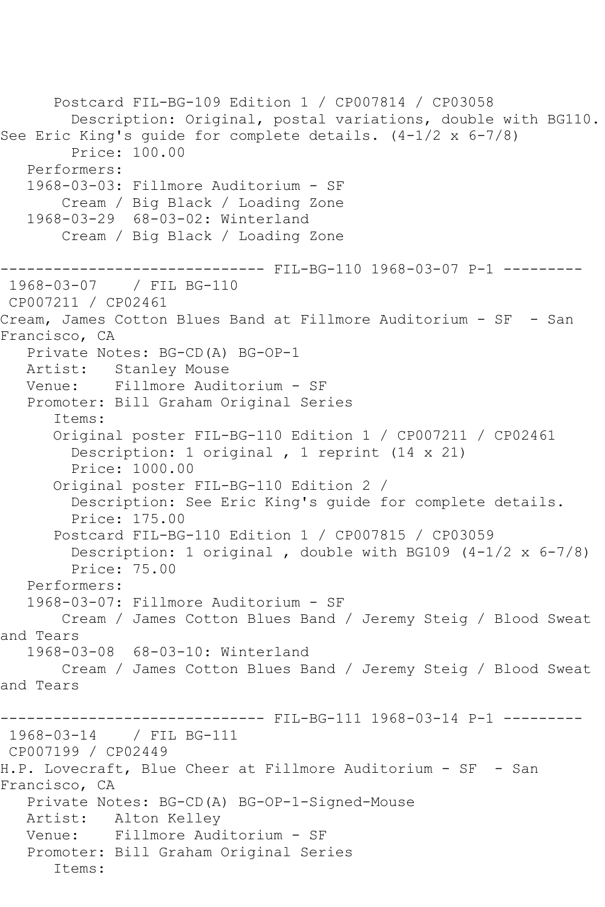Postcard FIL-BG-109 Edition 1 / CP007814 / CP03058 Description: Original, postal variations, double with BG110. See Eric King's guide for complete details. (4-1/2 x 6-7/8) Price: 100.00 Performers: 1968-03-03: Fillmore Auditorium - SF Cream / Big Black / Loading Zone 1968-03-29 68-03-02: Winterland Cream / Big Black / Loading Zone ------------------------------ FIL-BG-110 1968-03-07 P-1 --------- 1968-03-07 / FIL BG-110 CP007211 / CP02461 Cream, James Cotton Blues Band at Fillmore Auditorium - SF - San Francisco, CA Private Notes: BG-CD(A) BG-OP-1 Artist: Stanley Mouse Venue: Fillmore Auditorium - SF Promoter: Bill Graham Original Series Items: Original poster FIL-BG-110 Edition 1 / CP007211 / CP02461 Description: 1 original , 1 reprint (14 x 21) Price: 1000.00 Original poster FIL-BG-110 Edition 2 / Description: See Eric King's guide for complete details. Price: 175.00 Postcard FIL-BG-110 Edition 1 / CP007815 / CP03059 Description: 1 original , double with BG109 (4-1/2 x 6-7/8) Price: 75.00 Performers: 1968-03-07: Fillmore Auditorium - SF Cream / James Cotton Blues Band / Jeremy Steig / Blood Sweat and Tears 1968-03-08 68-03-10: Winterland Cream / James Cotton Blues Band / Jeremy Steig / Blood Sweat and Tears ------ FIL-BG-111 1968-03-14 P-1 ---------1968-03-14 / FIL BG-111 CP007199 / CP02449 H.P. Lovecraft, Blue Cheer at Fillmore Auditorium - SF - San Francisco, CA Private Notes: BG-CD(A) BG-OP-1-Signed-Mouse Artist: Alton Kelley Venue: Fillmore Auditorium - SF Promoter: Bill Graham Original Series Items: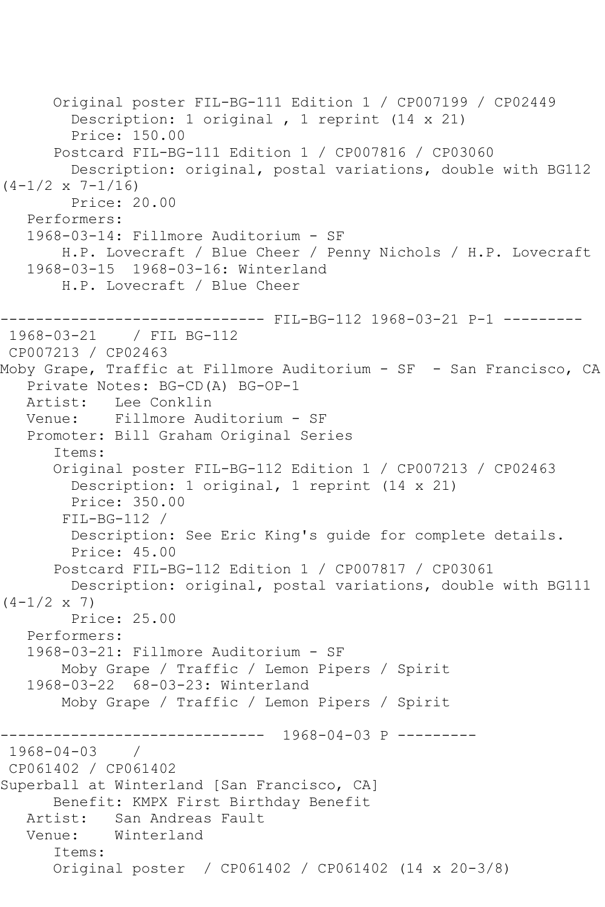```
 Original poster FIL-BG-111 Edition 1 / CP007199 / CP02449
         Description: 1 original , 1 reprint (14 x 21)
         Price: 150.00
       Postcard FIL-BG-111 Edition 1 / CP007816 / CP03060
         Description: original, postal variations, double with BG112 
(4-1/2 \times 7-1/16) Price: 20.00
    Performers:
    1968-03-14: Fillmore Auditorium - SF
        H.P. Lovecraft / Blue Cheer / Penny Nichols / H.P. Lovecraft
    1968-03-15 1968-03-16: Winterland
        H.P. Lovecraft / Blue Cheer
------------------------------ FIL-BG-112 1968-03-21 P-1 ---------
1968-03-21 / FIL BG-112
CP007213 / CP02463
Moby Grape, Traffic at Fillmore Auditorium - SF - San Francisco, CA
    Private Notes: BG-CD(A) BG-OP-1
   Artist: Lee Conklin
   Venue: Fillmore Auditorium - SF
    Promoter: Bill Graham Original Series
       Items:
       Original poster FIL-BG-112 Edition 1 / CP007213 / CP02463
         Description: 1 original, 1 reprint (14 x 21)
         Price: 350.00
        FIL-BG-112 / 
         Description: See Eric King's guide for complete details.
         Price: 45.00
       Postcard FIL-BG-112 Edition 1 / CP007817 / CP03061
         Description: original, postal variations, double with BG111 
(4-1/2 \times 7) Price: 25.00
    Performers:
    1968-03-21: Fillmore Auditorium - SF
        Moby Grape / Traffic / Lemon Pipers / Spirit
    1968-03-22 68-03-23: Winterland
        Moby Grape / Traffic / Lemon Pipers / Spirit
             ------------------------------ 1968-04-03 P ---------
1968 - 04 - 03CP061402 / CP061402
Superball at Winterland [San Francisco, CA]
       Benefit: KMPX First Birthday Benefit
   Artist: San Andreas Fault
   Venue: Winterland
       Items:
       Original poster / CP061402 / CP061402 (14 x 20-3/8)
```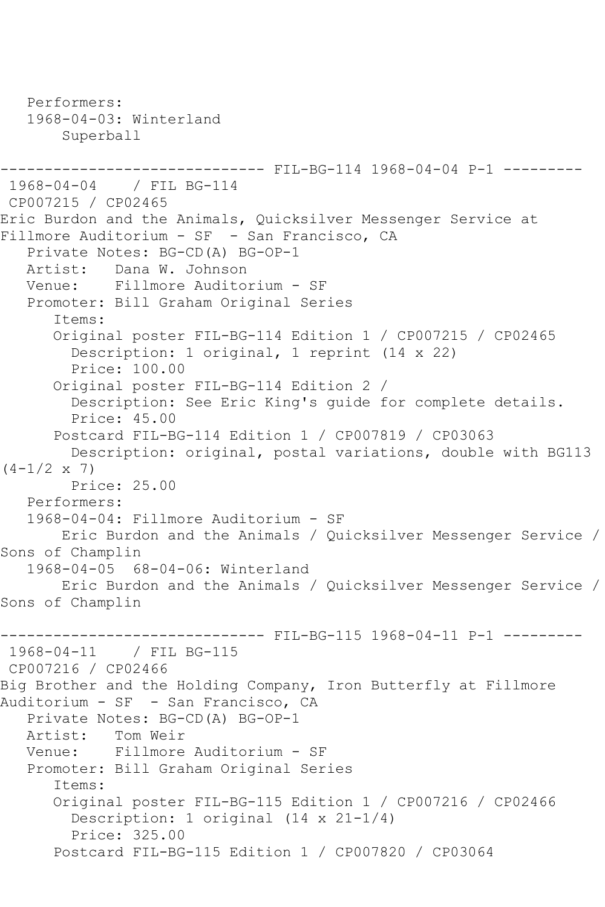```
 Performers:
    1968-04-03: Winterland
        Superball
------------------------------ FIL-BG-114 1968-04-04 P-1 ---------
1968-04-04 / FIL BG-114
CP007215 / CP02465
Eric Burdon and the Animals, Quicksilver Messenger Service at 
Fillmore Auditorium - SF - San Francisco, CA
    Private Notes: BG-CD(A) BG-OP-1
  Artist: Dana W. Johnson<br>Venue: Fillmore Audito
            Fillmore Auditorium - SF
    Promoter: Bill Graham Original Series
       Items:
       Original poster FIL-BG-114 Edition 1 / CP007215 / CP02465
         Description: 1 original, 1 reprint (14 x 22)
         Price: 100.00
       Original poster FIL-BG-114 Edition 2 / 
         Description: See Eric King's guide for complete details.
         Price: 45.00
       Postcard FIL-BG-114 Edition 1 / CP007819 / CP03063
         Description: original, postal variations, double with BG113 
(4-1/2 \times 7) Price: 25.00
    Performers:
    1968-04-04: Fillmore Auditorium - SF
        Eric Burdon and the Animals / Quicksilver Messenger Service / 
Sons of Champlin<br>1968-04-05 6
              68-04-06: Winterland
        Eric Burdon and the Animals / Quicksilver Messenger Service / 
Sons of Champlin
------------------------------ FIL-BG-115 1968-04-11 P-1 ---------
1968-04-11 / FIL BG-115
CP007216 / CP02466
Big Brother and the Holding Company, Iron Butterfly at Fillmore 
Auditorium - SF - San Francisco, CA
    Private Notes: BG-CD(A) BG-OP-1
  Artist: Tom Weir<br>Venue: Fillmore
            Fillmore Auditorium - SF
   Promoter: Bill Graham Original Series
       Items:
       Original poster FIL-BG-115 Edition 1 / CP007216 / CP02466
         Description: 1 original (14 x 21-1/4)
         Price: 325.00
       Postcard FIL-BG-115 Edition 1 / CP007820 / CP03064
```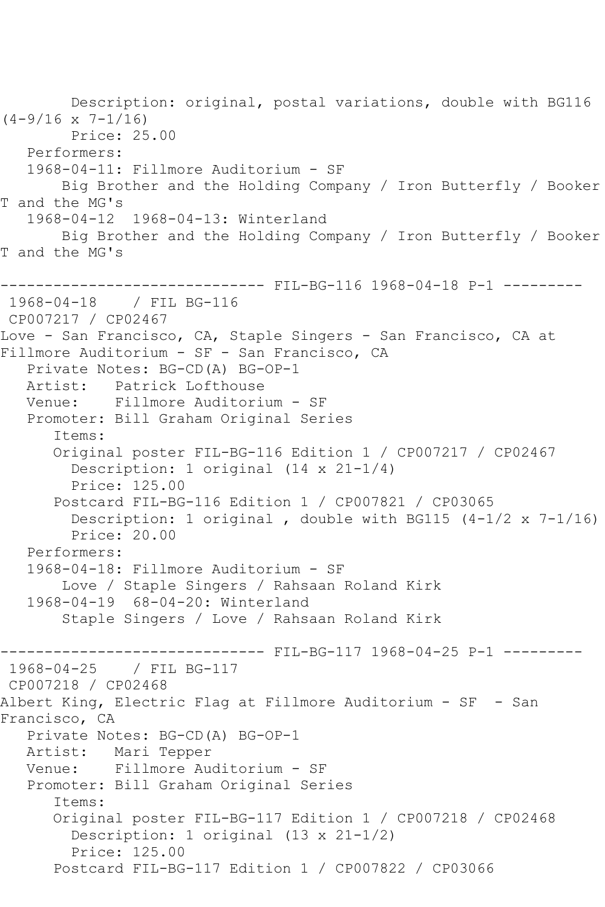Description: original, postal variations, double with BG116  $(4-9/16 \times 7-1/16)$  Price: 25.00 Performers: 1968-04-11: Fillmore Auditorium - SF Big Brother and the Holding Company / Iron Butterfly / Booker T and the MG's 1968-04-12 1968-04-13: Winterland Big Brother and the Holding Company / Iron Butterfly / Booker T and the MG's ------------------------------ FIL-BG-116 1968-04-18 P-1 --------- 1968-04-18 / FIL BG-116 CP007217 / CP02467 Love - San Francisco, CA, Staple Singers - San Francisco, CA at Fillmore Auditorium - SF - San Francisco, CA Private Notes: BG-CD(A) BG-OP-1 Artist: Patrick Lofthouse Venue: Fillmore Auditorium - SF Promoter: Bill Graham Original Series Items: Original poster FIL-BG-116 Edition 1 / CP007217 / CP02467 Description: 1 original (14 x 21-1/4) Price: 125.00 Postcard FIL-BG-116 Edition 1 / CP007821 / CP03065 Description: 1 original , double with BG115  $(4-1/2 \times 7-1/16)$  Price: 20.00 Performers: 1968-04-18: Fillmore Auditorium - SF Love / Staple Singers / Rahsaan Roland Kirk 1968-04-19 68-04-20: Winterland Staple Singers / Love / Rahsaan Roland Kirk ------------------------------ FIL-BG-117 1968-04-25 P-1 --------- 1968-04-25 / FIL BG-117 CP007218 / CP02468 Albert King, Electric Flag at Fillmore Auditorium - SF - San Francisco, CA Private Notes: BG-CD(A) BG-OP-1<br>Artist: Mari Tepper Mari Tepper Venue: Fillmore Auditorium - SF Promoter: Bill Graham Original Series Items: Original poster FIL-BG-117 Edition 1 / CP007218 / CP02468 Description: 1 original (13 x 21-1/2) Price: 125.00 Postcard FIL-BG-117 Edition 1 / CP007822 / CP03066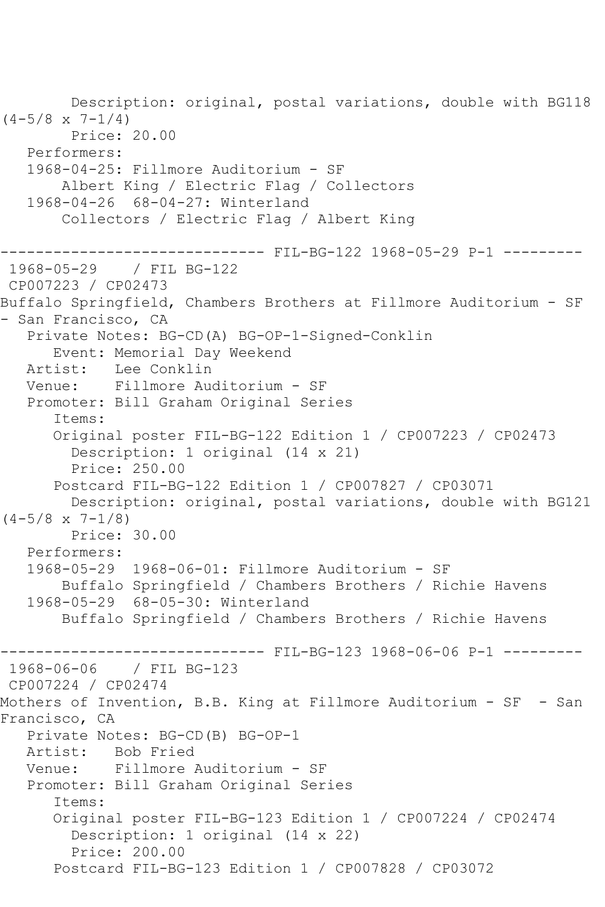Description: original, postal variations, double with BG118  $(4-5/8 \times 7-1/4)$  Price: 20.00 Performers: 1968-04-25: Fillmore Auditorium - SF Albert King / Electric Flag / Collectors 1968-04-26 68-04-27: Winterland Collectors / Electric Flag / Albert King ------------------------------ FIL-BG-122 1968-05-29 P-1 --------- 1968-05-29 / FIL BG-122 CP007223 / CP02473 Buffalo Springfield, Chambers Brothers at Fillmore Auditorium - SF - San Francisco, CA Private Notes: BG-CD(A) BG-OP-1-Signed-Conklin Event: Memorial Day Weekend Artist: Lee Conklin Venue: Fillmore Auditorium - SF Promoter: Bill Graham Original Series Items: Original poster FIL-BG-122 Edition 1 / CP007223 / CP02473 Description: 1 original (14 x 21) Price: 250.00 Postcard FIL-BG-122 Edition 1 / CP007827 / CP03071 Description: original, postal variations, double with BG121  $(4-5/8 \times 7-1/8)$  Price: 30.00 Performers: 1968-05-29 1968-06-01: Fillmore Auditorium - SF Buffalo Springfield / Chambers Brothers / Richie Havens 1968-05-29 68-05-30: Winterland Buffalo Springfield / Chambers Brothers / Richie Havens ------------------------------ FIL-BG-123 1968-06-06 P-1 --------- 1968-06-06 / FIL BG-123 CP007224 / CP02474 Mothers of Invention, B.B. King at Fillmore Auditorium - SF - San Francisco, CA Private Notes: BG-CD(B) BG-OP-1 Artist: Bob Fried Venue: Fillmore Auditorium - SF Promoter: Bill Graham Original Series Items: Original poster FIL-BG-123 Edition 1 / CP007224 / CP02474 Description: 1 original (14 x 22) Price: 200.00 Postcard FIL-BG-123 Edition 1 / CP007828 / CP03072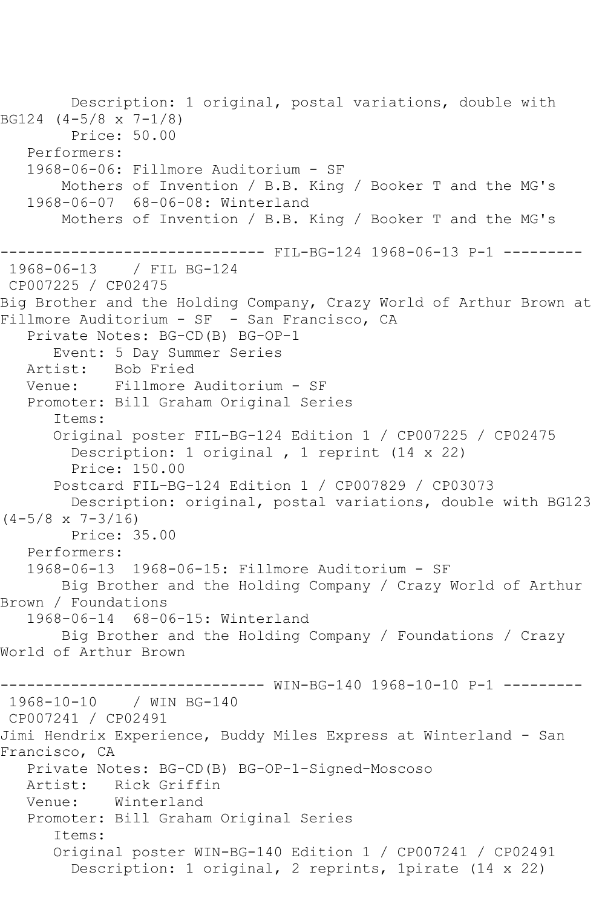Description: 1 original, postal variations, double with BG124 (4-5/8 x 7-1/8) Price: 50.00 Performers: 1968-06-06: Fillmore Auditorium - SF Mothers of Invention / B.B. King / Booker T and the MG's 1968-06-07 68-06-08: Winterland Mothers of Invention / B.B. King / Booker T and the MG's ------------------------------ FIL-BG-124 1968-06-13 P-1 --------- 1968-06-13 / FIL BG-124 CP007225 / CP02475 Big Brother and the Holding Company, Crazy World of Arthur Brown at Fillmore Auditorium - SF - San Francisco, CA Private Notes: BG-CD(B) BG-OP-1 Event: 5 Day Summer Series Artist: Bob Fried<br>Venue: Fillmore Venue: Fillmore Auditorium - SF Promoter: Bill Graham Original Series Items: Original poster FIL-BG-124 Edition 1 / CP007225 / CP02475 Description: 1 original , 1 reprint (14 x 22) Price: 150.00 Postcard FIL-BG-124 Edition 1 / CP007829 / CP03073 Description: original, postal variations, double with BG123  $(4-5/8 \times 7-3/16)$  Price: 35.00 Performers: 1968-06-13 1968-06-15: Fillmore Auditorium - SF Big Brother and the Holding Company / Crazy World of Arthur Brown / Foundations 1968-06-14 68-06-15: Winterland Big Brother and the Holding Company / Foundations / Crazy World of Arthur Brown ------------------------------ WIN-BG-140 1968-10-10 P-1 --------- 1968-10-10 / WIN BG-140 CP007241 / CP02491 Jimi Hendrix Experience, Buddy Miles Express at Winterland - San Francisco, CA Private Notes: BG-CD(B) BG-OP-1-Signed-Moscoso Artist: Rick Griffin Venue: Winterland Promoter: Bill Graham Original Series Items: Original poster WIN-BG-140 Edition 1 / CP007241 / CP02491 Description: 1 original, 2 reprints, 1pirate (14 x 22)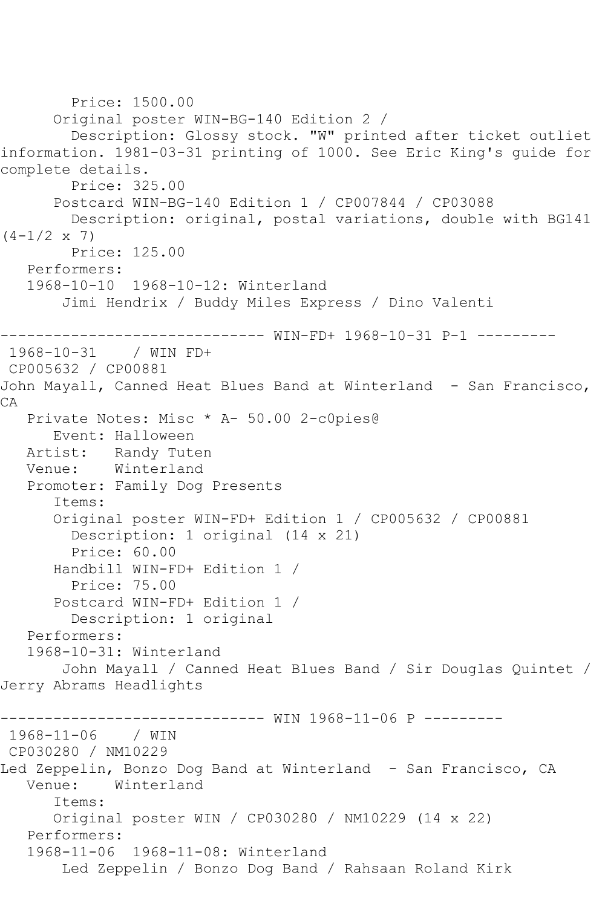```
 Price: 1500.00
       Original poster WIN-BG-140 Edition 2 / 
         Description: Glossy stock. "W" printed after ticket outliet 
information. 1981-03-31 printing of 1000. See Eric King's guide for 
complete details.
         Price: 325.00
       Postcard WIN-BG-140 Edition 1 / CP007844 / CP03088
         Description: original, postal variations, double with BG141 
(4-1/2 \times 7) Price: 125.00
    Performers:
    1968-10-10 1968-10-12: Winterland
        Jimi Hendrix / Buddy Miles Express / Dino Valenti
                   ------------------------------ WIN-FD+ 1968-10-31 P-1 ---------
1968-10-31 / WIN FD+
CP005632 / CP00881
John Mayall, Canned Heat Blues Band at Winterland - San Francisco, 
CA
   Private Notes: Misc * A- 50.00 2-c0pies@
       Event: Halloween
   Artist: Randy Tuten
   Venue: Winterland
   Promoter: Family Dog Presents
       Items:
       Original poster WIN-FD+ Edition 1 / CP005632 / CP00881
         Description: 1 original (14 x 21)
         Price: 60.00
       Handbill WIN-FD+ Edition 1 / 
         Price: 75.00
       Postcard WIN-FD+ Edition 1 / 
         Description: 1 original
    Performers:
    1968-10-31: Winterland
        John Mayall / Canned Heat Blues Band / Sir Douglas Quintet / 
Jerry Abrams Headlights
                     ------------------------------ WIN 1968-11-06 P ---------
1968-11-06 / WIN 
CP030280 / NM10229
Led Zeppelin, Bonzo Dog Band at Winterland - San Francisco, CA
   Venue: Winterland
       Items:
       Original poster WIN / CP030280 / NM10229 (14 x 22)
    Performers:
    1968-11-06 1968-11-08: Winterland
        Led Zeppelin / Bonzo Dog Band / Rahsaan Roland Kirk
```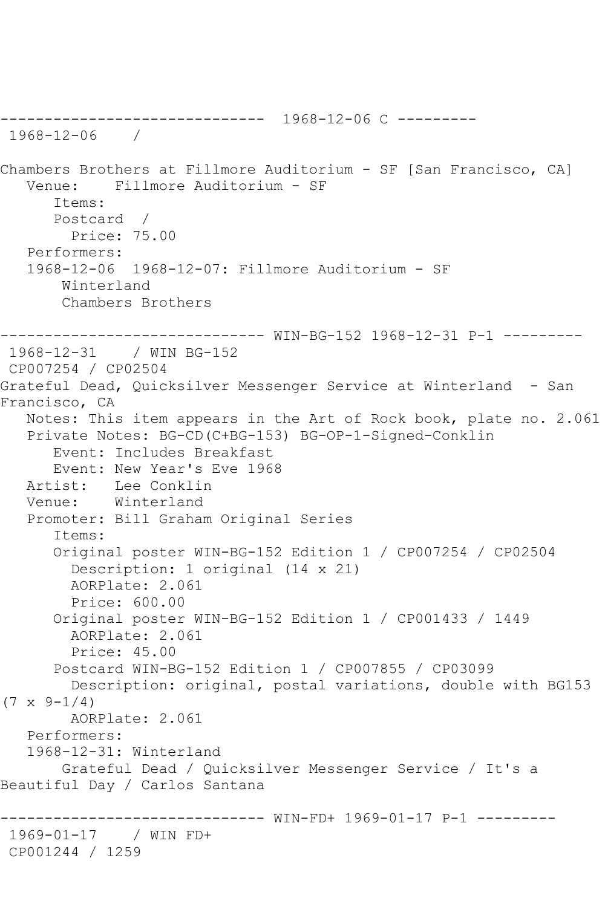------------------------------ 1968-12-06 C --------- 1968-12-06 / Chambers Brothers at Fillmore Auditorium - SF [San Francisco, CA] Venue: Fillmore Auditorium - SF Items: Postcard / Price: 75.00 Performers: 1968-12-06 1968-12-07: Fillmore Auditorium - SF Winterland Chambers Brothers ------------------------------ WIN-BG-152 1968-12-31 P-1 --------- 1968-12-31 / WIN BG-152 CP007254 / CP02504 Grateful Dead, Quicksilver Messenger Service at Winterland - San Francisco, CA Notes: This item appears in the Art of Rock book, plate no. 2.061 Private Notes: BG-CD(C+BG-153) BG-OP-1-Signed-Conklin Event: Includes Breakfast Event: New Year's Eve 1968<br>Artist: Lee Conklin Lee Conklin Venue: Winterland Promoter: Bill Graham Original Series Items: Original poster WIN-BG-152 Edition 1 / CP007254 / CP02504 Description: 1 original (14 x 21) AORPlate: 2.061 Price: 600.00 Original poster WIN-BG-152 Edition 1 / CP001433 / 1449 AORPlate: 2.061 Price: 45.00 Postcard WIN-BG-152 Edition 1 / CP007855 / CP03099 Description: original, postal variations, double with BG153  $(7 \times 9 - 1/4)$  AORPlate: 2.061 Performers: 1968-12-31: Winterland Grateful Dead / Quicksilver Messenger Service / It's a Beautiful Day / Carlos Santana ------------------------------ WIN-FD+ 1969-01-17 P-1 --------- 1969-01-17 / WIN FD+ CP001244 / 1259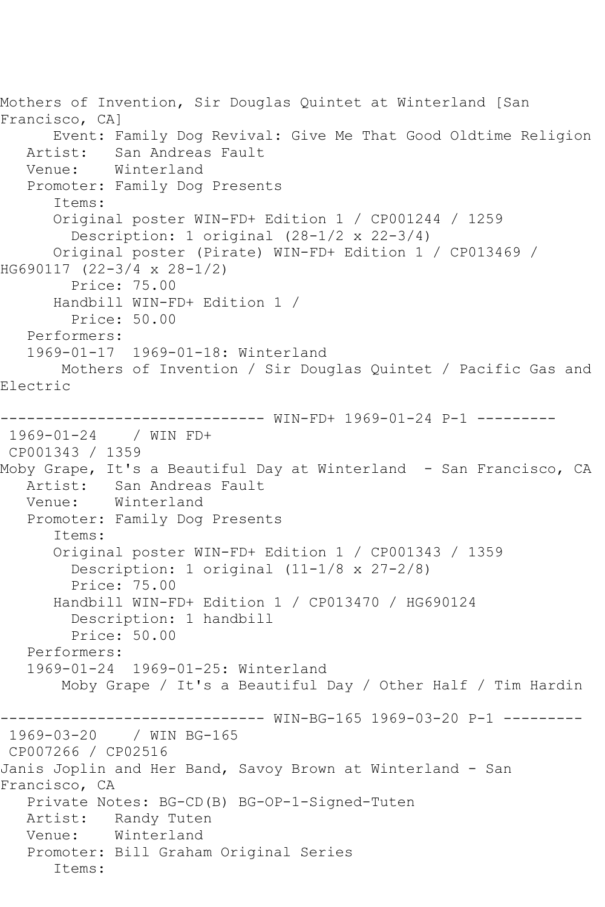Mothers of Invention, Sir Douglas Quintet at Winterland [San Francisco, CA] Event: Family Dog Revival: Give Me That Good Oldtime Religion Artist: San Andreas Fault<br>Venue: Winterland Winterland Promoter: Family Dog Presents Items: Original poster WIN-FD+ Edition 1 / CP001244 / 1259 Description: 1 original (28-1/2 x 22-3/4) Original poster (Pirate) WIN-FD+ Edition 1 / CP013469 / HG690117 (22-3/4 x 28-1/2) Price: 75.00 Handbill WIN-FD+ Edition 1 / Price: 50.00 Performers: 1969-01-17 1969-01-18: Winterland Mothers of Invention / Sir Douglas Quintet / Pacific Gas and Electric ------------------------------ WIN-FD+ 1969-01-24 P-1 --------- 1969-01-24 / WIN FD+ CP001343 / 1359 Moby Grape, It's a Beautiful Day at Winterland – San Francisco, CA<br>Artist: San Andreas Fault San Andreas Fault Venue: Winterland Promoter: Family Dog Presents Items: Original poster WIN-FD+ Edition 1 / CP001343 / 1359 Description: 1 original (11-1/8 x 27-2/8) Price: 75.00 Handbill WIN-FD+ Edition 1 / CP013470 / HG690124 Description: 1 handbill Price: 50.00 Performers: 1969-01-24 1969-01-25: Winterland Moby Grape / It's a Beautiful Day / Other Half / Tim Hardin ------------------------------ WIN-BG-165 1969-03-20 P-1 --------- 1969-03-20 / WIN BG-165 CP007266 / CP02516 Janis Joplin and Her Band, Savoy Brown at Winterland - San Francisco, CA Private Notes: BG-CD(B) BG-OP-1-Signed-Tuten Artist: Randy Tuten Venue: Winterland Promoter: Bill Graham Original Series Items: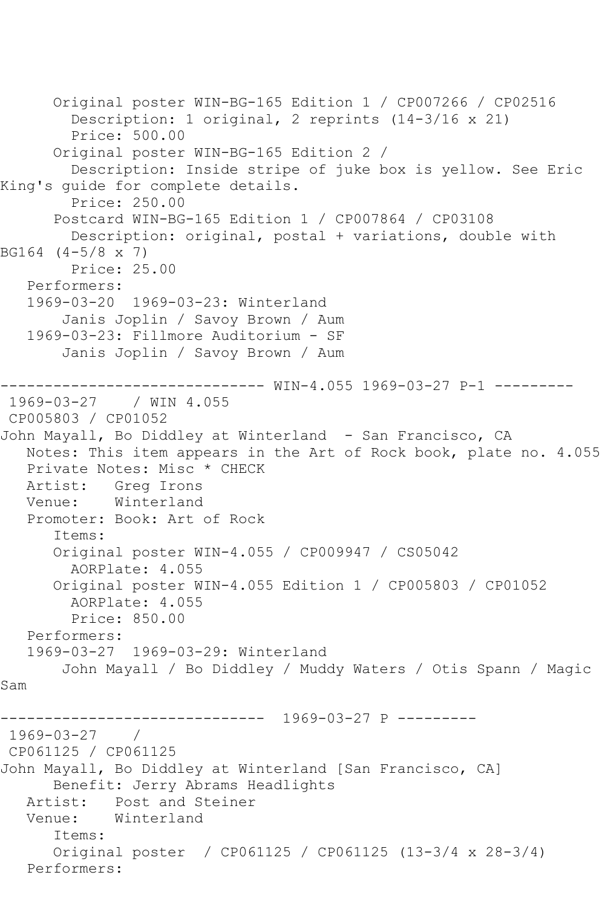Original poster WIN-BG-165 Edition 1 / CP007266 / CP02516 Description: 1 original, 2 reprints (14-3/16 x 21) Price: 500.00 Original poster WIN-BG-165 Edition 2 / Description: Inside stripe of juke box is yellow. See Eric King's guide for complete details. Price: 250.00 Postcard WIN-BG-165 Edition 1 / CP007864 / CP03108 Description: original, postal + variations, double with BG164 (4-5/8 x 7) Price: 25.00 Performers: 1969-03-20 1969-03-23: Winterland Janis Joplin / Savoy Brown / Aum 1969-03-23: Fillmore Auditorium - SF Janis Joplin / Savoy Brown / Aum ------------------------------ WIN-4.055 1969-03-27 P-1 --------- 1969-03-27 / WIN 4.055 CP005803 / CP01052 John Mayall, Bo Diddley at Winterland - San Francisco, CA Notes: This item appears in the Art of Rock book, plate no. 4.055 Private Notes: Misc \* CHECK Artist: Greg Irons<br>Venue: Winterland Winterland Promoter: Book: Art of Rock Items: Original poster WIN-4.055 / CP009947 / CS05042 AORPlate: 4.055 Original poster WIN-4.055 Edition 1 / CP005803 / CP01052 AORPlate: 4.055 Price: 850.00 Performers: 1969-03-27 1969-03-29: Winterland John Mayall / Bo Diddley / Muddy Waters / Otis Spann / Magic Sam ------------------------------ 1969-03-27 P --------- 1969-03-27 / CP061125 / CP061125 John Mayall, Bo Diddley at Winterland [San Francisco, CA] Benefit: Jerry Abrams Headlights Artist: Post and Steiner<br>Venue: Winterland Winterland Items: Original poster / CP061125 / CP061125 (13-3/4 x 28-3/4) Performers: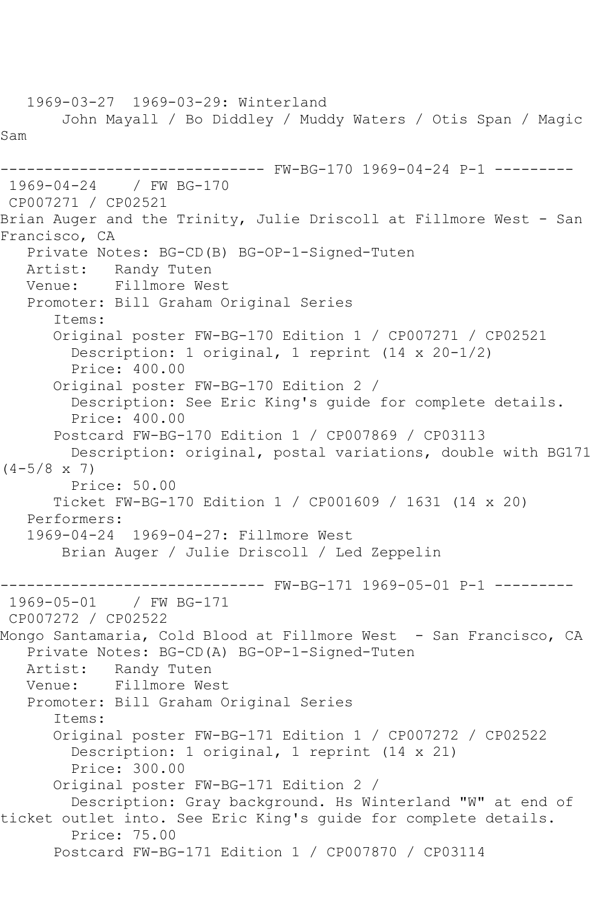1969-03-27 1969-03-29: Winterland John Mayall / Bo Diddley / Muddy Waters / Otis Span / Magic Sam ------------------------------ FW-BG-170 1969-04-24 P-1 --------- 1969-04-24 / FW BG-170 CP007271 / CP02521 Brian Auger and the Trinity, Julie Driscoll at Fillmore West - San Francisco, CA Private Notes: BG-CD(B) BG-OP-1-Signed-Tuten Artist: Randy Tuten<br>Venue: Fillmore We Fillmore West Promoter: Bill Graham Original Series Items: Original poster FW-BG-170 Edition 1 / CP007271 / CP02521 Description: 1 original, 1 reprint (14 x 20-1/2) Price: 400.00 Original poster FW-BG-170 Edition 2 / Description: See Eric King's guide for complete details. Price: 400.00 Postcard FW-BG-170 Edition 1 / CP007869 / CP03113 Description: original, postal variations, double with BG171  $(4-5/8 \times 7)$  Price: 50.00 Ticket FW-BG-170 Edition 1 / CP001609 / 1631 (14 x 20) Performers: 1969-04-24 1969-04-27: Fillmore West Brian Auger / Julie Driscoll / Led Zeppelin ------------------------------ FW-BG-171 1969-05-01 P-1 --------- 1969-05-01 CP007272 / CP02522 Mongo Santamaria, Cold Blood at Fillmore West - San Francisco, CA Private Notes: BG-CD(A) BG-OP-1-Signed-Tuten Artist: Randy Tuten Venue: Fillmore West Promoter: Bill Graham Original Series Items: Original poster FW-BG-171 Edition 1 / CP007272 / CP02522 Description: 1 original, 1 reprint (14 x 21) Price: 300.00 Original poster FW-BG-171 Edition 2 / Description: Gray background. Hs Winterland "W" at end of ticket outlet into. See Eric King's guide for complete details. Price: 75.00 Postcard FW-BG-171 Edition 1 / CP007870 / CP03114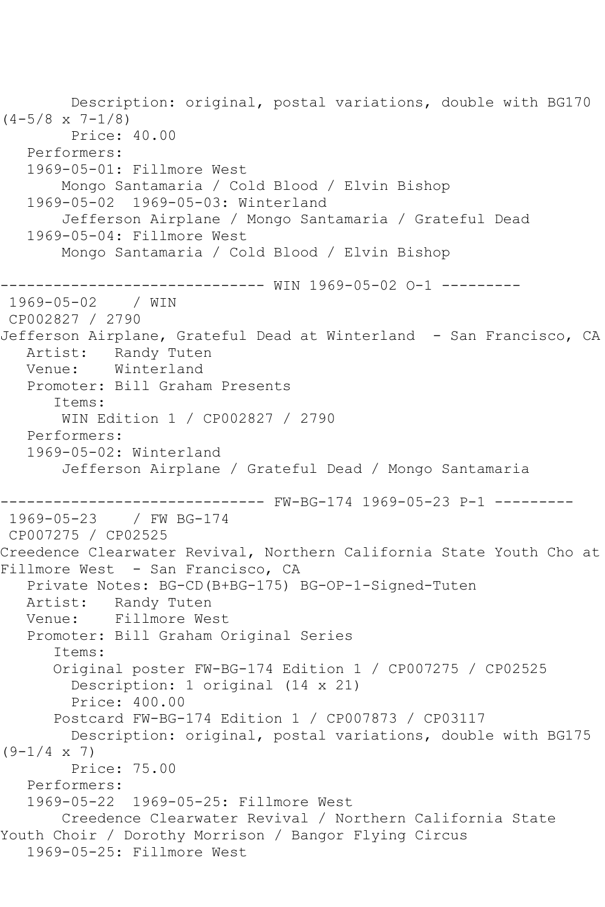Description: original, postal variations, double with BG170  $(4-5/8 \times 7-1/8)$  Price: 40.00 Performers: 1969-05-01: Fillmore West Mongo Santamaria / Cold Blood / Elvin Bishop 1969-05-02 1969-05-03: Winterland Jefferson Airplane / Mongo Santamaria / Grateful Dead 1969-05-04: Fillmore West Mongo Santamaria / Cold Blood / Elvin Bishop ------------------------------ WIN 1969-05-02 O-1 --------- 1969-05-02 / WIN CP002827 / 2790 Jefferson Airplane, Grateful Dead at Winterland - San Francisco, CA Artist: Randy Tuten Venue: Winterland Promoter: Bill Graham Presents Items: WIN Edition 1 / CP002827 / 2790 Performers: 1969-05-02: Winterland Jefferson Airplane / Grateful Dead / Mongo Santamaria ------------------------------ FW-BG-174 1969-05-23 P-1 ---------  $1969 - 05 - 23$ CP007275 / CP02525 Creedence Clearwater Revival, Northern California State Youth Cho at Fillmore West - San Francisco, CA Private Notes: BG-CD(B+BG-175) BG-OP-1-Signed-Tuten Artist: Randy Tuten Venue: Fillmore West Promoter: Bill Graham Original Series Items: Original poster FW-BG-174 Edition 1 / CP007275 / CP02525 Description: 1 original (14 x 21) Price: 400.00 Postcard FW-BG-174 Edition 1 / CP007873 / CP03117 Description: original, postal variations, double with BG175  $(9-1/4 \times 7)$  Price: 75.00 Performers: 1969-05-22 1969-05-25: Fillmore West Creedence Clearwater Revival / Northern California State Youth Choir / Dorothy Morrison / Bangor Flying Circus 1969-05-25: Fillmore West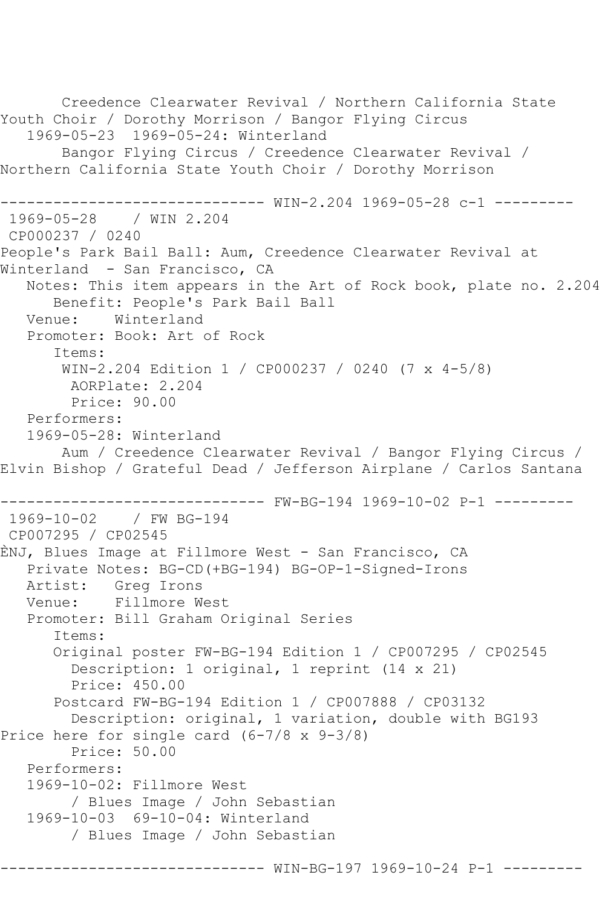```
 Creedence Clearwater Revival / Northern California State 
Youth Choir / Dorothy Morrison / Bangor Flying Circus
    1969-05-23 1969-05-24: Winterland
        Bangor Flying Circus / Creedence Clearwater Revival / 
Northern California State Youth Choir / Dorothy Morrison
------------------------------ WIN-2.204 1969-05-28 c-1 ---------
1969-05-28 / WIN 2.204
CP000237 / 0240
People's Park Bail Ball: Aum, Creedence Clearwater Revival at 
Winterland - San Francisco, CA
   Notes: This item appears in the Art of Rock book, plate no. 2.204
       Benefit: People's Park Bail Ball
   Venue: Winterland
    Promoter: Book: Art of Rock
       Items:
        WIN-2.204 Edition 1 / CP000237 / 0240 (7 x 4-5/8)
         AORPlate: 2.204 
         Price: 90.00
   Performers:
    1969-05-28: Winterland
        Aum / Creedence Clearwater Revival / Bangor Flying Circus / 
Elvin Bishop / Grateful Dead / Jefferson Airplane / Carlos Santana
               ------------------------------ FW-BG-194 1969-10-02 P-1 ---------
1969-10-02 / FW BG-194
CP007295 / CP02545
ÈNJ, Blues Image at Fillmore West - San Francisco, CA
    Private Notes: BG-CD(+BG-194) BG-OP-1-Signed-Irons
  Artist: Greg Irons<br>Venue: Fillmore W
            Fillmore West
    Promoter: Bill Graham Original Series
       Items:
       Original poster FW-BG-194 Edition 1 / CP007295 / CP02545
         Description: 1 original, 1 reprint (14 x 21)
         Price: 450.00
       Postcard FW-BG-194 Edition 1 / CP007888 / CP03132
         Description: original, 1 variation, double with BG193
Price here for single card (6-7/8 x 9-3/8)
         Price: 50.00
    Performers:
    1969-10-02: Fillmore West
         / Blues Image / John Sebastian
    1969-10-03 69-10-04: Winterland
         / Blues Image / John Sebastian
```
---- WIN-BG-197 1969-10-24 P-1 -----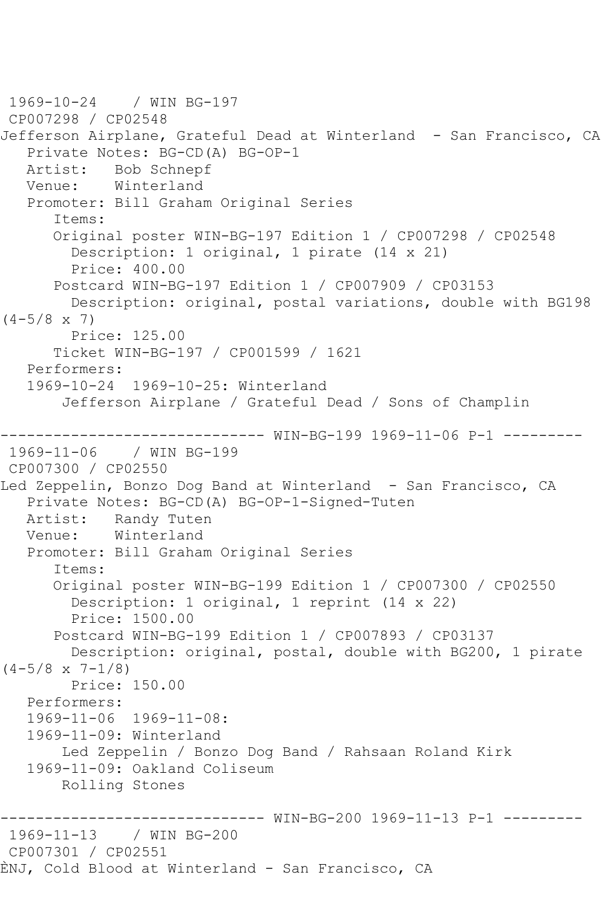```
1969-10-24 / WIN BG-197
CP007298 / CP02548
Jefferson Airplane, Grateful Dead at Winterland - San Francisco, CA
   Private Notes: BG-CD(A) BG-OP-1
   Artist: Bob Schnepf
   Venue: Winterland
   Promoter: Bill Graham Original Series
       Items:
       Original poster WIN-BG-197 Edition 1 / CP007298 / CP02548
         Description: 1 original, 1 pirate (14 x 21)
         Price: 400.00
       Postcard WIN-BG-197 Edition 1 / CP007909 / CP03153
         Description: original, postal variations, double with BG198 
(4-5/8 \times 7) Price: 125.00
       Ticket WIN-BG-197 / CP001599 / 1621
   Performers:
   1969-10-24 1969-10-25: Winterland
        Jefferson Airplane / Grateful Dead / Sons of Champlin
------------------------------ WIN-BG-199 1969-11-06 P-1 ---------
1969-11-06 / WIN BG-199
CP007300 / CP02550
Led Zeppelin, Bonzo Dog Band at Winterland - San Francisco, CA
   Private Notes: BG-CD(A) BG-OP-1-Signed-Tuten
   Artist: Randy Tuten
   Venue: Winterland
   Promoter: Bill Graham Original Series
       Items:
       Original poster WIN-BG-199 Edition 1 / CP007300 / CP02550
         Description: 1 original, 1 reprint (14 x 22)
         Price: 1500.00
       Postcard WIN-BG-199 Edition 1 / CP007893 / CP03137
        Description: original, postal, double with BG200, 1 pirate 
(4-5/8 \times 7-1/8) Price: 150.00
   Performers:
   1969-11-06 1969-11-08:
   1969-11-09: Winterland
        Led Zeppelin / Bonzo Dog Band / Rahsaan Roland Kirk
   1969-11-09: Oakland Coliseum
        Rolling Stones
                     ------------------------------ WIN-BG-200 1969-11-13 P-1 ---------
1969-11-13 / WIN BG-200
CP007301 / CP02551
ÈNJ, Cold Blood at Winterland - San Francisco, CA
```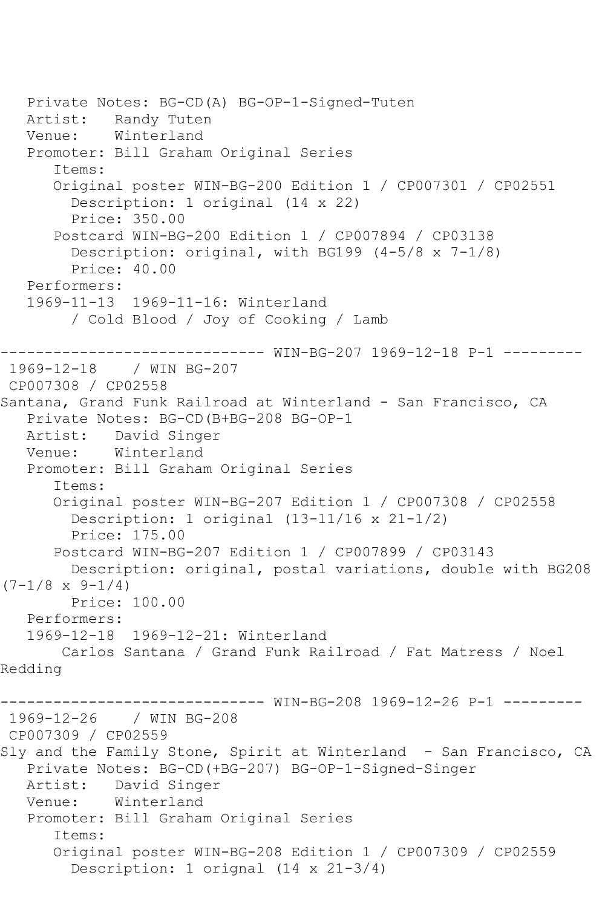```
 Private Notes: BG-CD(A) BG-OP-1-Signed-Tuten
   Artist: Randy Tuten
   Venue: Winterland
   Promoter: Bill Graham Original Series
       Items:
       Original poster WIN-BG-200 Edition 1 / CP007301 / CP02551
         Description: 1 original (14 x 22)
         Price: 350.00
       Postcard WIN-BG-200 Edition 1 / CP007894 / CP03138
         Description: original, with BG199 (4-5/8 x 7-1/8)
         Price: 40.00
   Performers:
   1969-11-13 1969-11-16: Winterland
         / Cold Blood / Joy of Cooking / Lamb
                 ------------------------------ WIN-BG-207 1969-12-18 P-1 ---------
1969-12-18 / WIN BG-207
CP007308 / CP02558
Santana, Grand Funk Railroad at Winterland - San Francisco, CA
   Private Notes: BG-CD(B+BG-208 BG-OP-1
   Artist: David Singer
   Venue: Winterland
   Promoter: Bill Graham Original Series
       Items:
       Original poster WIN-BG-207 Edition 1 / CP007308 / CP02558
         Description: 1 original (13-11/16 x 21-1/2)
         Price: 175.00
       Postcard WIN-BG-207 Edition 1 / CP007899 / CP03143
         Description: original, postal variations, double with BG208 
(7-1/8 \times 9-1/4) Price: 100.00
   Performers:
   1969-12-18 1969-12-21: Winterland
        Carlos Santana / Grand Funk Railroad / Fat Matress / Noel 
Redding
------------------------------ WIN-BG-208 1969-12-26 P-1 ---------
1969-12-26 / WIN BG-208
CP007309 / CP02559
Sly and the Family Stone, Spirit at Winterland - San Francisco, CA
   Private Notes: BG-CD(+BG-207) BG-OP-1-Signed-Singer
   Artist: David Singer
   Venue: Winterland
   Promoter: Bill Graham Original Series
       Items:
       Original poster WIN-BG-208 Edition 1 / CP007309 / CP02559
         Description: 1 orignal (14 x 21-3/4)
```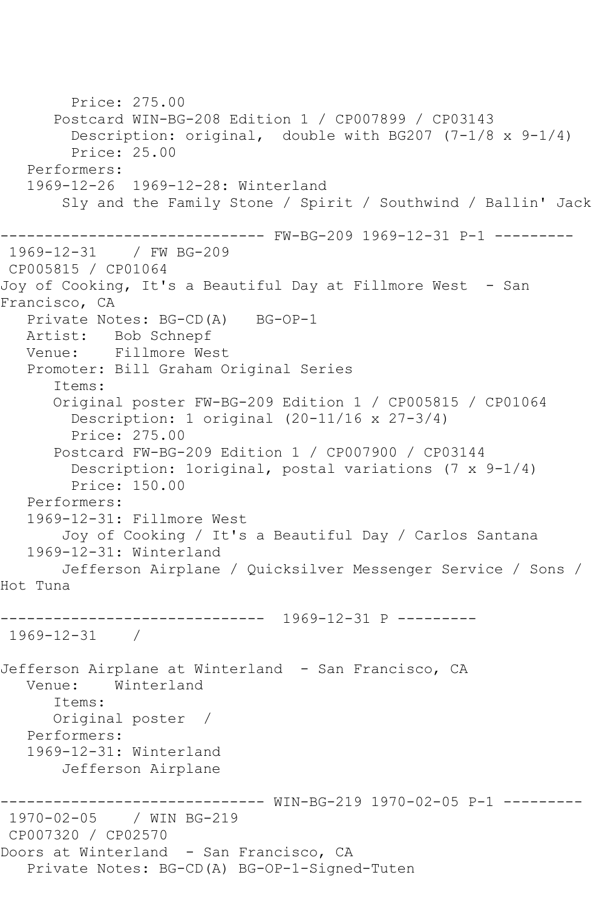Price: 275.00 Postcard WIN-BG-208 Edition 1 / CP007899 / CP03143 Description: original, double with BG207 (7-1/8 x 9-1/4) Price: 25.00 Performers: 1969-12-26 1969-12-28: Winterland Sly and the Family Stone / Spirit / Southwind / Ballin' Jack ------------------------------ FW-BG-209 1969-12-31 P-1 --------- 1969-12-31 / FW BG-209 CP005815 / CP01064 Joy of Cooking, It's a Beautiful Day at Fillmore West - San Francisco, CA Private Notes: BG-CD(A) BG-OP-1 Artist: Bob Schnepf Venue: Fillmore West Promoter: Bill Graham Original Series Items: Original poster FW-BG-209 Edition 1 / CP005815 / CP01064 Description: 1 original (20-11/16 x 27-3/4) Price: 275.00 Postcard FW-BG-209 Edition 1 / CP007900 / CP03144 Description: 1original, postal variations (7 x 9-1/4) Price: 150.00 Performers: 1969-12-31: Fillmore West Joy of Cooking / It's a Beautiful Day / Carlos Santana 1969-12-31: Winterland Jefferson Airplane / Quicksilver Messenger Service / Sons / Hot Tuna ------------------------------ 1969-12-31 P --------- 1969-12-31 / Jefferson Airplane at Winterland - San Francisco, CA Venue: Winterland Items: Original poster / Performers: 1969-12-31: Winterland Jefferson Airplane ------------------------------ WIN-BG-219 1970-02-05 P-1 --------- 1970-02-05 / WIN BG-219 CP007320 / CP02570 Doors at Winterland - San Francisco, CA Private Notes: BG-CD(A) BG-OP-1-Signed-Tuten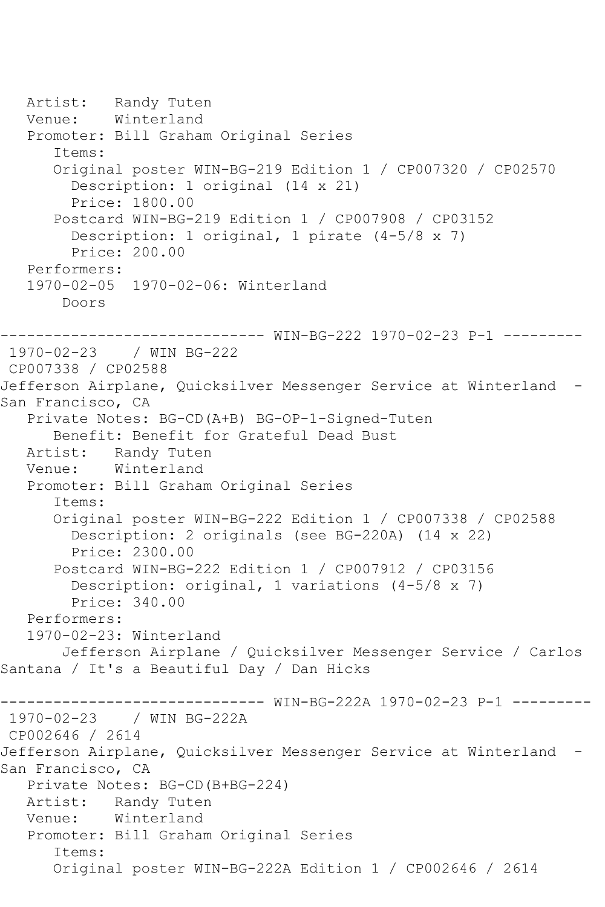```
 Artist: Randy Tuten
   Venue: Winterland
    Promoter: Bill Graham Original Series
       Items:
       Original poster WIN-BG-219 Edition 1 / CP007320 / CP02570
         Description: 1 original (14 x 21)
         Price: 1800.00
       Postcard WIN-BG-219 Edition 1 / CP007908 / CP03152
         Description: 1 original, 1 pirate (4-5/8 x 7)
         Price: 200.00
    Performers:
    1970-02-05 1970-02-06: Winterland
        Doors
       ------------------------------ WIN-BG-222 1970-02-23 P-1 ---------
1970-02-23 / WIN BG-222
CP007338 / CP02588
Jefferson Airplane, Quicksilver Messenger Service at Winterland -
San Francisco, CA
   Private Notes: BG-CD(A+B) BG-OP-1-Signed-Tuten
  Benefit: Benefit for Grateful Dead Bust<br>Artist: Randy Tuten
            Randy Tuten
   Venue: Winterland
    Promoter: Bill Graham Original Series
       Items:
       Original poster WIN-BG-222 Edition 1 / CP007338 / CP02588
         Description: 2 originals (see BG-220A) (14 x 22)
         Price: 2300.00
       Postcard WIN-BG-222 Edition 1 / CP007912 / CP03156
         Description: original, 1 variations (4-5/8 x 7)
         Price: 340.00
    Performers:
    1970-02-23: Winterland
        Jefferson Airplane / Quicksilver Messenger Service / Carlos 
Santana / It's a Beautiful Day / Dan Hicks
                     ------------------------------ WIN-BG-222A 1970-02-23 P-1 ---------
1970-02-23 / WIN BG-222A
CP002646 / 2614
Jefferson Airplane, Quicksilver Messenger Service at Winterland -
San Francisco, CA
    Private Notes: BG-CD(B+BG-224)
   Artist: Randy Tuten
   Venue: Winterland
   Promoter: Bill Graham Original Series
       Items:
       Original poster WIN-BG-222A Edition 1 / CP002646 / 2614
```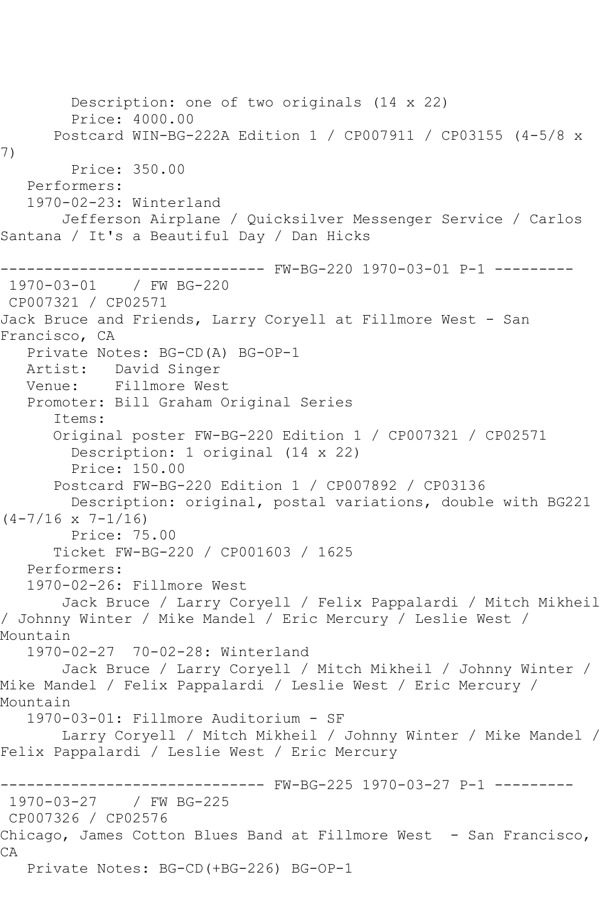Description: one of two originals (14 x 22) Price: 4000.00 Postcard WIN-BG-222A Edition 1 / CP007911 / CP03155 (4-5/8 x 7) Price: 350.00 Performers: 1970-02-23: Winterland Jefferson Airplane / Quicksilver Messenger Service / Carlos Santana / It's a Beautiful Day / Dan Hicks ------------------------------ FW-BG-220 1970-03-01 P-1 --------- 1970-03-01 / FW BG-220 CP007321 / CP02571 Jack Bruce and Friends, Larry Coryell at Fillmore West - San Francisco, CA Private Notes: BG-CD(A) BG-OP-1 Artist: David Singer Venue: Fillmore West Promoter: Bill Graham Original Series Items: Original poster FW-BG-220 Edition 1 / CP007321 / CP02571 Description: 1 original (14 x 22) Price: 150.00 Postcard FW-BG-220 Edition 1 / CP007892 / CP03136 Description: original, postal variations, double with BG221  $(4-7/16 \times 7-1/16)$  Price: 75.00 Ticket FW-BG-220 / CP001603 / 1625 Performers: 1970-02-26: Fillmore West Jack Bruce / Larry Coryell / Felix Pappalardi / Mitch Mikheil / Johnny Winter / Mike Mandel / Eric Mercury / Leslie West / Mountain 1970-02-27 70-02-28: Winterland Jack Bruce / Larry Coryell / Mitch Mikheil / Johnny Winter / Mike Mandel / Felix Pappalardi / Leslie West / Eric Mercury / Mountain 1970-03-01: Fillmore Auditorium - SF Larry Coryell / Mitch Mikheil / Johnny Winter / Mike Mandel / Felix Pappalardi / Leslie West / Eric Mercury ------------------------------ FW-BG-225 1970-03-27 P-1 --------- 1970-03-27 / FW BG-225 CP007326 / CP02576 Chicago, James Cotton Blues Band at Fillmore West - San Francisco, CA Private Notes: BG-CD(+BG-226) BG-OP-1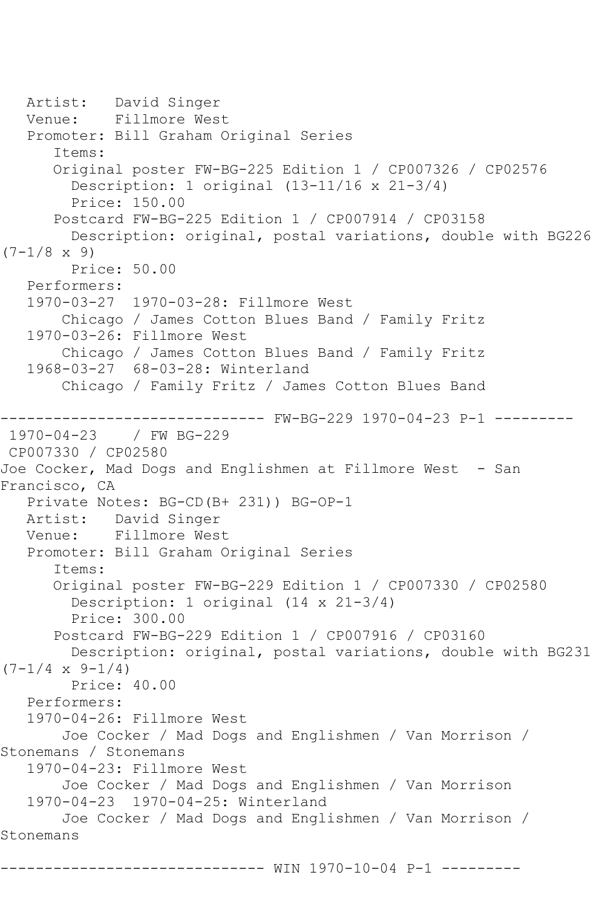Artist: David Singer<br>Venue: Fillmore Wes Fillmore West Promoter: Bill Graham Original Series Items: Original poster FW-BG-225 Edition 1 / CP007326 / CP02576 Description: 1 original (13-11/16 x 21-3/4) Price: 150.00 Postcard FW-BG-225 Edition 1 / CP007914 / CP03158 Description: original, postal variations, double with BG226  $(7-1/8 \times 9)$  Price: 50.00 Performers: 1970-03-27 1970-03-28: Fillmore West Chicago / James Cotton Blues Band / Family Fritz 1970-03-26: Fillmore West Chicago / James Cotton Blues Band / Family Fritz 1968-03-27 68-03-28: Winterland Chicago / Family Fritz / James Cotton Blues Band ------------------------------ FW-BG-229 1970-04-23 P-1 --------- 1970-04-23 / FW BG-229 CP007330 / CP02580 Joe Cocker, Mad Dogs and Englishmen at Fillmore West - San Francisco, CA Private Notes: BG-CD(B+ 231)) BG-OP-1 Artist: David Singer Venue: Fillmore West Promoter: Bill Graham Original Series Items: Original poster FW-BG-229 Edition 1 / CP007330 / CP02580 Description: 1 original (14 x 21-3/4) Price: 300.00 Postcard FW-BG-229 Edition 1 / CP007916 / CP03160 Description: original, postal variations, double with BG231  $(7-1/4 \times 9-1/4)$  Price: 40.00 Performers: 1970-04-26: Fillmore West Joe Cocker / Mad Dogs and Englishmen / Van Morrison / Stonemans / Stonemans 1970-04-23: Fillmore West Joe Cocker / Mad Dogs and Englishmen / Van Morrison 1970-04-23 1970-04-25: Winterland Joe Cocker / Mad Dogs and Englishmen / Van Morrison / Stonemans ------------------------------ WIN 1970-10-04 P-1 ---------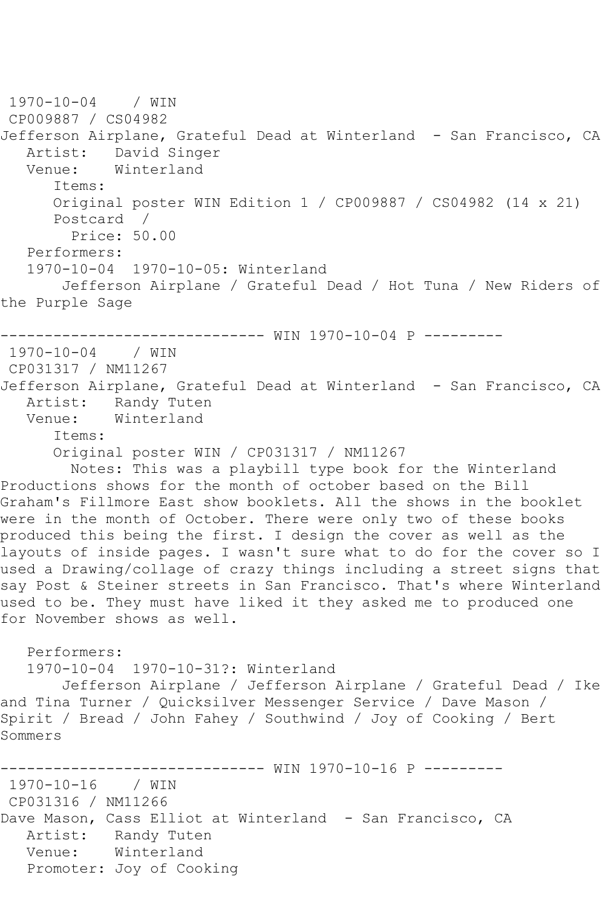```
1970-10-04 / WIN 
CP009887 / CS04982
Jefferson Airplane, Grateful Dead at Winterland - San Francisco, CA
  Artist: David Singer<br>Venue: Winterland
            Winterland
       Items:
      Original poster WIN Edition 1 / CP009887 / CS04982 (14 x 21)
       Postcard / 
         Price: 50.00
   Performers:
   1970-10-04 1970-10-05: Winterland
        Jefferson Airplane / Grateful Dead / Hot Tuna / New Riders of 
the Purple Sage
   ------------------------------ WIN 1970-10-04 P ---------
1970-10-04 / WIN 
CP031317 / NM11267
Jefferson Airplane, Grateful Dead at Winterland - San Francisco, CA
  Artist: Randy Tuten<br>Venue: Winterland
            Winterland
       Items:
       Original poster WIN / CP031317 / NM11267
         Notes: This was a playbill type book for the Winterland 
Productions shows for the month of october based on the Bill 
Graham's Fillmore East show booklets. All the shows in the booklet 
were in the month of October. There were only two of these books
produced this being the first. I design the cover as well as the 
layouts of inside pages. I wasn't sure what to do for the cover so I 
used a Drawing/collage of crazy things including a street signs that 
say Post & Steiner streets in San Francisco. That's where Winterland 
used to be. They must have liked it they asked me to produced one 
for November shows as well.
   Performers:
   1970-10-04 1970-10-31?: Winterland
        Jefferson Airplane / Jefferson Airplane / Grateful Dead / Ike 
and Tina Turner / Quicksilver Messenger Service / Dave Mason / 
Spirit / Bread / John Fahey / Southwind / Joy of Cooking / Bert 
Sommers
                    ---------- WIN 1970-10-16 P ---------
1970-10-16 / WIN 
CP031316 / NM11266
Dave Mason, Cass Elliot at Winterland - San Francisco, CA
   Artist: Randy Tuten
   Venue: Winterland
   Promoter: Joy of Cooking
```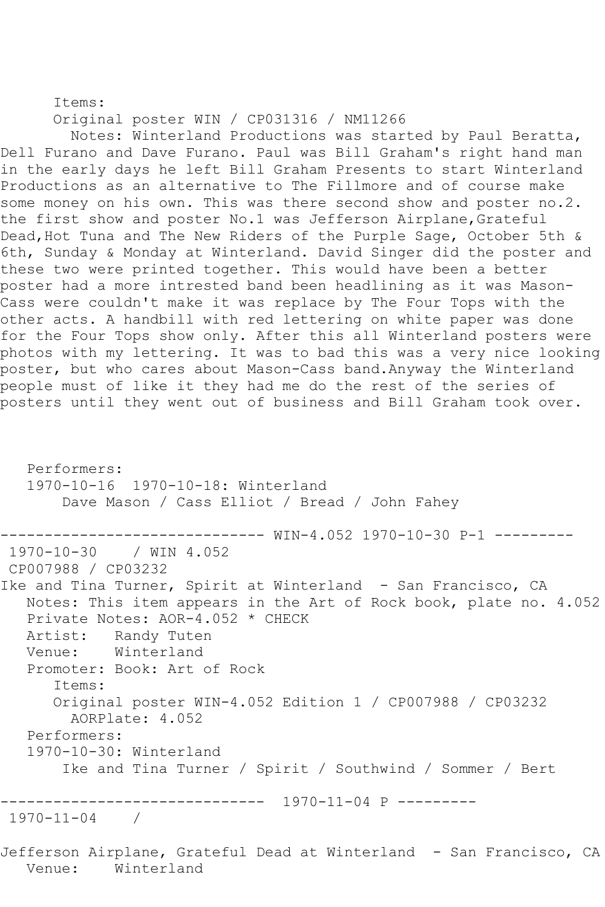Items:

Original poster WIN / CP031316 / NM11266

 Notes: Winterland Productions was started by Paul Beratta, Dell Furano and Dave Furano. Paul was Bill Graham's right hand man in the early days he left Bill Graham Presents to start Winterland Productions as an alternative to The Fillmore and of course make some money on his own. This was there second show and poster no.2. the first show and poster No.1 was Jefferson Airplane, Grateful Dead, Hot Tuna and The New Riders of the Purple Sage, October 5th & 6th, Sunday & Monday at Winterland. David Singer did the poster and these two were printed together. This would have been a better poster had a more intrested band been headlining as it was Mason-Cass were couldn't make it was replace by The Four Tops with the other acts. A handbill with red lettering on white paper was done for the Four Tops show only. After this all Winterland posters were photos with my lettering. It was to bad this was a very nice looking poster, but who cares about Mason-Cass band.Anyway the Winterland people must of like it they had me do the rest of the series of posters until they went out of business and Bill Graham took over.

 Performers: 1970-10-16 1970-10-18: Winterland Dave Mason / Cass Elliot / Bread / John Fahey ------------------------------ WIN-4.052 1970-10-30 P-1 --------- 1970-10-30 / WIN 4.052 CP007988 / CP03232 Ike and Tina Turner, Spirit at Winterland - San Francisco, CA Notes: This item appears in the Art of Rock book, plate no. 4.052 Private Notes: AOR-4.052 \* CHECK Artist: Randy Tuten<br>Venue: Winterland Winterland Promoter: Book: Art of Rock Items: Original poster WIN-4.052 Edition 1 / CP007988 / CP03232 AORPlate: 4.052 Performers: 1970-10-30: Winterland Ike and Tina Turner / Spirit / Southwind / Sommer / Bert ------------------------------ 1970-11-04 P --------- 1970-11-04 / Jefferson Airplane, Grateful Dead at Winterland - San Francisco, CA Venue: Winterland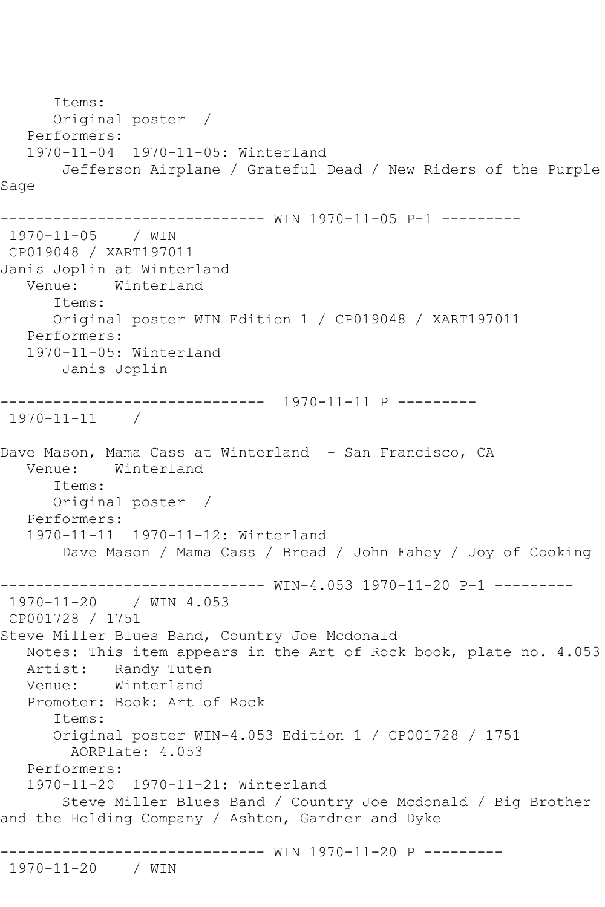```
 Items:
      Original poster / 
   Performers:
   1970-11-04 1970-11-05: Winterland
       Jefferson Airplane / Grateful Dead / New Riders of the Purple 
Sage
------------------------------ WIN 1970-11-05 P-1 ---------
1970-11-05 / WIN 
CP019048 / XART197011
Janis Joplin at Winterland
   Venue: Winterland
       Items:
       Original poster WIN Edition 1 / CP019048 / XART197011
   Performers:
   1970-11-05: Winterland
       Janis Joplin
     ------------------------------ 1970-11-11 P ---------
1970-11-11 / 
Dave Mason, Mama Cass at Winterland - San Francisco, CA
   Venue: Winterland
       Items:
      Original poster / 
   Performers:
   1970-11-11 1970-11-12: Winterland
        Dave Mason / Mama Cass / Bread / John Fahey / Joy of Cooking
------------------------------ WIN-4.053 1970-11-20 P-1 ---------
1970-11-20 / WIN 4.053
CP001728 / 1751
Steve Miller Blues Band, Country Joe Mcdonald
   Notes: This item appears in the Art of Rock book, plate no. 4.053
   Artist: Randy Tuten
   Venue: Winterland
   Promoter: Book: Art of Rock
       Items:
      Original poster WIN-4.053 Edition 1 / CP001728 / 1751
        AORPlate: 4.053 
   Performers:
   1970-11-20 1970-11-21: Winterland
        Steve Miller Blues Band / Country Joe Mcdonald / Big Brother 
and the Holding Company / Ashton, Gardner and Dyke
------------------------------ WIN 1970-11-20 P ---------
```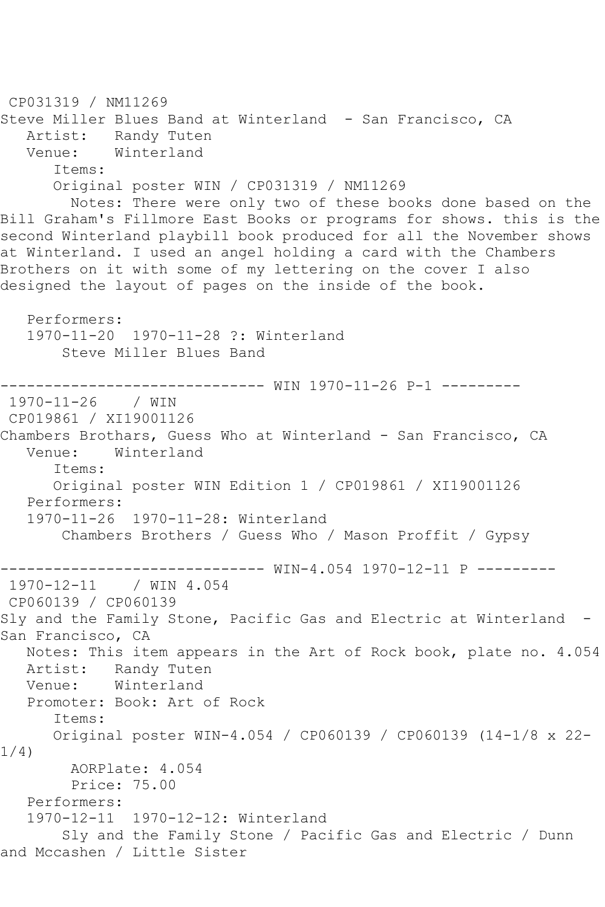```
CP031319 / NM11269
Steve Miller Blues Band at Winterland - San Francisco, CA
   Artist: Randy Tuten
   Venue: Winterland
       Items:
      Original poster WIN / CP031319 / NM11269
        Notes: There were only two of these books done based on the 
Bill Graham's Fillmore East Books or programs for shows. this is the 
second Winterland playbill book produced for all the November shows 
at Winterland. I used an angel holding a card with the Chambers 
Brothers on it with some of my lettering on the cover I also 
designed the layout of pages on the inside of the book.
   Performers:
   1970-11-20 1970-11-28 ?: Winterland
        Steve Miller Blues Band
------------------------------ WIN 1970-11-26 P-1 ---------
1970-11-26 / WIN 
CP019861 / XI19001126
Chambers Brothars, Guess Who at Winterland - San Francisco, CA
   Venue: Winterland
      Items:
      Original poster WIN Edition 1 / CP019861 / XI19001126
   Performers:
   1970-11-26 1970-11-28: Winterland
       Chambers Brothers / Guess Who / Mason Proffit / Gypsy
------------------------------ WIN-4.054 1970-12-11 P ---------
1970-12-11 / WIN 4.054
CP060139 / CP060139
Sly and the Family Stone, Pacific Gas and Electric at Winterland -
San Francisco, CA
   Notes: This item appears in the Art of Rock book, plate no. 4.054
   Artist: Randy Tuten
   Venue: Winterland
   Promoter: Book: Art of Rock
      Items:
      Original poster WIN-4.054 / CP060139 / CP060139 (14-1/8 x 22-
1/4)
        AORPlate: 4.054 
        Price: 75.00
   Performers:
   1970-12-11 1970-12-12: Winterland
        Sly and the Family Stone / Pacific Gas and Electric / Dunn 
and Mccashen / Little Sister
```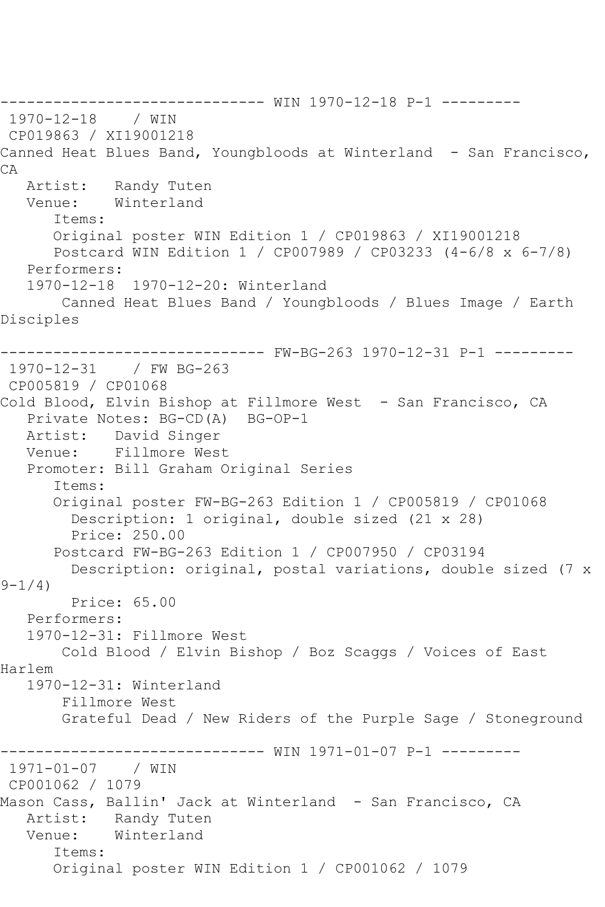------------------------------ WIN 1970-12-18 P-1 --------- 1970-12-18 / WIN CP019863 / XI19001218 Canned Heat Blues Band, Youngbloods at Winterland - San Francisco, CA Artist: Randy Tuten Venue: Winterland Items: Original poster WIN Edition 1 / CP019863 / XI19001218 Postcard WIN Edition 1 / CP007989 / CP03233 (4-6/8 x 6-7/8) Performers: 1970-12-18 1970-12-20: Winterland Canned Heat Blues Band / Youngbloods / Blues Image / Earth Disciples ------------------------------ FW-BG-263 1970-12-31 P-1 --------- 1970-12-31 / FW BG-263 CP005819 / CP01068 Cold Blood, Elvin Bishop at Fillmore West - San Francisco, CA Private Notes: BG-CD(A) BG-OP-1 Artist: David Singer Venue: Fillmore West Promoter: Bill Graham Original Series Items: Original poster FW-BG-263 Edition 1 / CP005819 / CP01068 Description: 1 original, double sized (21 x 28) Price: 250.00 Postcard FW-BG-263 Edition 1 / CP007950 / CP03194 Description: original, postal variations, double sized (7 x  $9 - 1/4$ ) Price: 65.00 Performers: 1970-12-31: Fillmore West Cold Blood / Elvin Bishop / Boz Scaggs / Voices of East Harlem 1970-12-31: Winterland Fillmore West Grateful Dead / New Riders of the Purple Sage / Stoneground ------------------------------ WIN 1971-01-07 P-1 --------- 1971-01-07 / WIN CP001062 / 1079 Mason Cass, Ballin' Jack at Winterland - San Francisco, CA Artist: Randy Tuten Venue: Winterland Items: Original poster WIN Edition 1 / CP001062 / 1079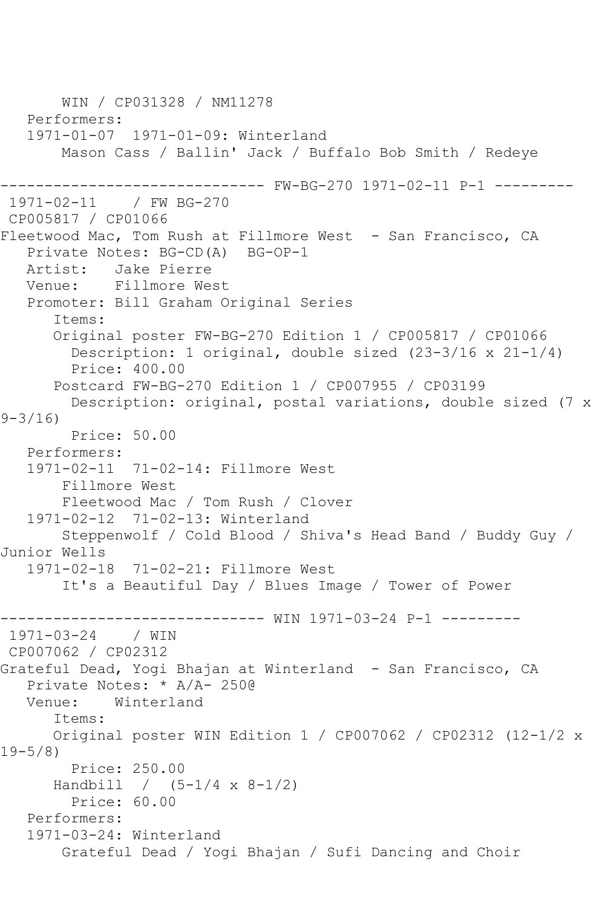WIN / CP031328 / NM11278 Performers: 1971-01-07 1971-01-09: Winterland Mason Cass / Ballin' Jack / Buffalo Bob Smith / Redeye ------------------------------ FW-BG-270 1971-02-11 P-1 --------- 1971-02-11 / FW BG-270 CP005817 / CP01066 Fleetwood Mac, Tom Rush at Fillmore West - San Francisco, CA Private Notes: BG-CD(A) BG-OP-1 Artist: Jake Pierre<br>Venue: Fillmore We Fillmore West Promoter: Bill Graham Original Series Items: Original poster FW-BG-270 Edition 1 / CP005817 / CP01066 Description: 1 original, double sized (23-3/16 x 21-1/4) Price: 400.00 Postcard FW-BG-270 Edition 1 / CP007955 / CP03199 Description: original, postal variations, double sized (7 x 9-3/16) Price: 50.00 Performers: 1971-02-11 71-02-14: Fillmore West Fillmore West Fleetwood Mac / Tom Rush / Clover 1971-02-12 71-02-13: Winterland Steppenwolf / Cold Blood / Shiva's Head Band / Buddy Guy / Junior Wells 1971-02-18 71-02-21: Fillmore West It's a Beautiful Day / Blues Image / Tower of Power ------------------------------ WIN 1971-03-24 P-1 --------- 1971-03-24 / WIN CP007062 / CP02312 Grateful Dead, Yogi Bhajan at Winterland - San Francisco, CA Private Notes: \* A/A- 250@ Venue: Winterland Items: Original poster WIN Edition 1 / CP007062 / CP02312 (12-1/2 x 19-5/8) Price: 250.00 Handbill /  $(5-1/4 \times 8-1/2)$  Price: 60.00 Performers: 1971-03-24: Winterland Grateful Dead / Yogi Bhajan / Sufi Dancing and Choir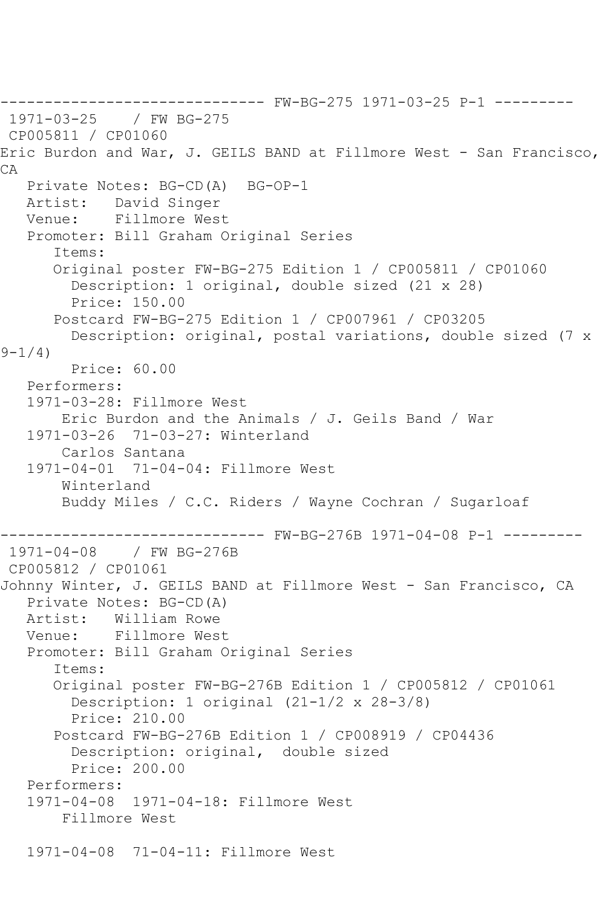------------------------------ FW-BG-275 1971-03-25 P-1 --------- 1971-03-25 CP005811 / CP01060 Eric Burdon and War, J. GEILS BAND at Fillmore West - San Francisco, CA Private Notes: BG-CD(A) BG-OP-1 Artist: David Singer Venue: Fillmore West Promoter: Bill Graham Original Series Items: Original poster FW-BG-275 Edition 1 / CP005811 / CP01060 Description: 1 original, double sized (21 x 28) Price: 150.00 Postcard FW-BG-275 Edition 1 / CP007961 / CP03205 Description: original, postal variations, double sized (7 x  $9 - 1/4$  Price: 60.00 Performers: 1971-03-28: Fillmore West Eric Burdon and the Animals / J. Geils Band / War 1971-03-26 71-03-27: Winterland Carlos Santana 1971-04-01 71-04-04: Fillmore West Winterland Buddy Miles / C.C. Riders / Wayne Cochran / Sugarloaf ------------------------------ FW-BG-276B 1971-04-08 P-1 --------- 1971-04-08 / FW BG-276B CP005812 / CP01061 Johnny Winter, J. GEILS BAND at Fillmore West - San Francisco, CA Private Notes: BG-CD(A) Artist: William Rowe<br>Venue: Fillmore Wes Fillmore West Promoter: Bill Graham Original Series Items: Original poster FW-BG-276B Edition 1 / CP005812 / CP01061 Description: 1 original (21-1/2 x 28-3/8) Price: 210.00 Postcard FW-BG-276B Edition 1 / CP008919 / CP04436 Description: original, double sized Price: 200.00 Performers: 1971-04-08 1971-04-18: Fillmore West Fillmore West 1971-04-08 71-04-11: Fillmore West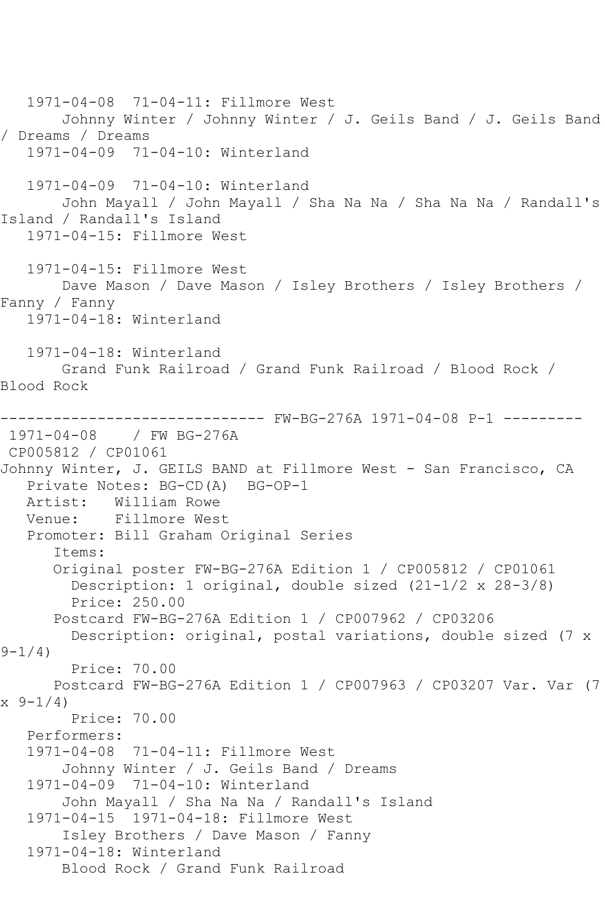1971-04-08 71-04-11: Fillmore West Johnny Winter / Johnny Winter / J. Geils Band / J. Geils Band / Dreams / Dreams 1971-04-09 71-04-10: Winterland 1971-04-09 71-04-10: Winterland John Mayall / John Mayall / Sha Na Na / Sha Na Na / Randall's Island / Randall's Island 1971-04-15: Fillmore West 1971-04-15: Fillmore West Dave Mason / Dave Mason / Isley Brothers / Isley Brothers / Fanny / Fanny 1971-04-18: Winterland 1971-04-18: Winterland Grand Funk Railroad / Grand Funk Railroad / Blood Rock / Blood Rock ------------------------------ FW-BG-276A 1971-04-08 P-1 --------- 1971-04-08 / FW BG-276A CP005812 / CP01061 Johnny Winter, J. GEILS BAND at Fillmore West - San Francisco, CA Private Notes: BG-CD(A) BG-OP-1 Artist: William Rowe<br>Venue: Fillmore Wes Fillmore West Promoter: Bill Graham Original Series Items: Original poster FW-BG-276A Edition 1 / CP005812 / CP01061 Description: 1 original, double sized (21-1/2 x 28-3/8) Price: 250.00 Postcard FW-BG-276A Edition 1 / CP007962 / CP03206 Description: original, postal variations, double sized (7 x  $9 - 1/4$  Price: 70.00 Postcard FW-BG-276A Edition 1 / CP007963 / CP03207 Var. Var (7  $x \left( \frac{9-1}{4} \right)$  Price: 70.00 Performers: 1971-04-08 71-04-11: Fillmore West Johnny Winter / J. Geils Band / Dreams 1971-04-09 71-04-10: Winterland John Mayall / Sha Na Na / Randall's Island 1971-04-15 1971-04-18: Fillmore West Isley Brothers / Dave Mason / Fanny 1971-04-18: Winterland Blood Rock / Grand Funk Railroad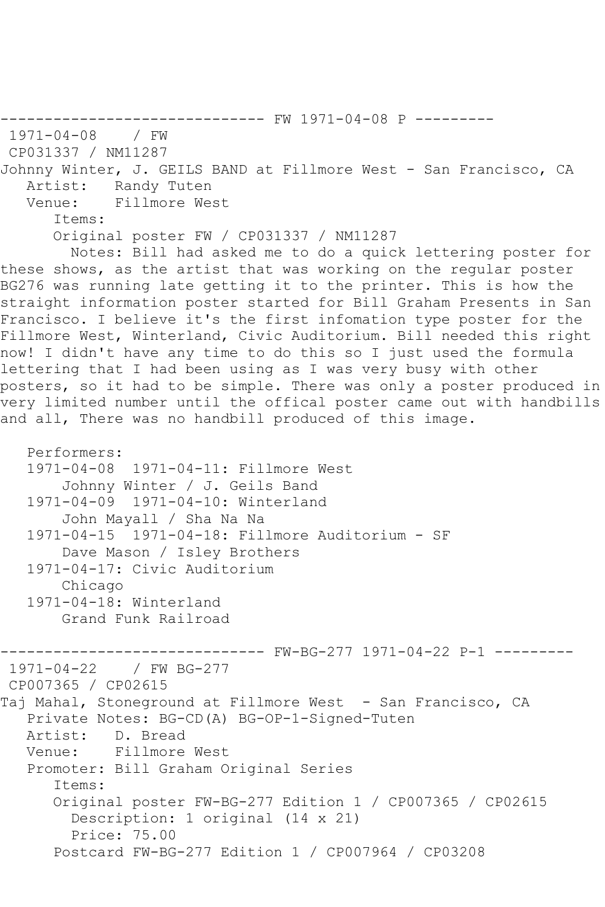------------------------------ FW 1971-04-08 P --------- 1971-04-08 / FW CP031337 / NM11287 Johnny Winter, J. GEILS BAND at Fillmore West - San Francisco, CA Artist: Randy Tuten<br>Venue: Fillmore Wes Fillmore West Items: Original poster FW / CP031337 / NM11287 Notes: Bill had asked me to do a quick lettering poster for these shows, as the artist that was working on the regular poster BG276 was running late getting it to the printer. This is how the straight information poster started for Bill Graham Presents in San Francisco. I believe it's the first infomation type poster for the Fillmore West, Winterland, Civic Auditorium. Bill needed this right now! I didn't have any time to do this so I just used the formula lettering that I had been using as I was very busy with other posters, so it had to be simple. There was only a poster produced in very limited number until the offical poster came out with handbills and all, There was no handbill produced of this image.

```
 Performers:
   1971-04-08 1971-04-11: Fillmore West
        Johnny Winter / J. Geils Band
    1971-04-09 1971-04-10: Winterland
        John Mayall / Sha Na Na
    1971-04-15 1971-04-18: Fillmore Auditorium - SF
        Dave Mason / Isley Brothers
    1971-04-17: Civic Auditorium
        Chicago
    1971-04-18: Winterland
        Grand Funk Railroad
------------------------------ FW-BG-277 1971-04-22 P-1 ---------
1971-04-22 / FW BG-277
CP007365 / CP02615
Taj Mahal, Stoneground at Fillmore West - San Francisco, CA
   Private Notes: BG-CD(A) BG-OP-1-Signed-Tuten
  Artist: D. Bread<br>Venue: Fillmore
            Fillmore West
    Promoter: Bill Graham Original Series
       Items:
       Original poster FW-BG-277 Edition 1 / CP007365 / CP02615
         Description: 1 original (14 x 21)
         Price: 75.00
       Postcard FW-BG-277 Edition 1 / CP007964 / CP03208
```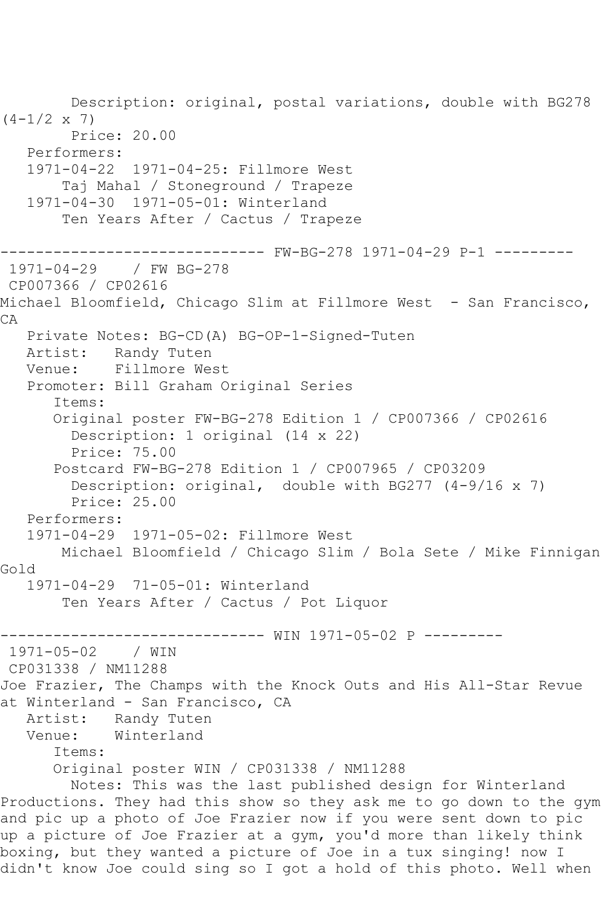Description: original, postal variations, double with BG278  $(4-1/2 \times 7)$  Price: 20.00 Performers: 1971-04-22 1971-04-25: Fillmore West Taj Mahal / Stoneground / Trapeze 1971-04-30 1971-05-01: Winterland Ten Years After / Cactus / Trapeze ------------------------------ FW-BG-278 1971-04-29 P-1 --------- 1971-04-29 / FW BG-278 CP007366 / CP02616 Michael Bloomfield, Chicago Slim at Fillmore West - San Francisco, CA Private Notes: BG-CD(A) BG-OP-1-Signed-Tuten Artist: Randy Tuten Venue: Fillmore West Promoter: Bill Graham Original Series Items: Original poster FW-BG-278 Edition 1 / CP007366 / CP02616 Description: 1 original (14 x 22) Price: 75.00 Postcard FW-BG-278 Edition 1 / CP007965 / CP03209 Description: original, double with BG277 (4-9/16 x 7) Price: 25.00 Performers: 1971-04-29 1971-05-02: Fillmore West Michael Bloomfield / Chicago Slim / Bola Sete / Mike Finnigan Gold 1971-04-29 71-05-01: Winterland Ten Years After / Cactus / Pot Liquor ------------------------------ WIN 1971-05-02 P ---------  $1971 - 05 - 02$ CP031338 / NM11288 Joe Frazier, The Champs with the Knock Outs and His All-Star Revue at Winterland - San Francisco, CA Artist: Randy Tuten Venue: Winterland Items: Original poster WIN / CP031338 / NM11288 Notes: This was the last published design for Winterland Productions. They had this show so they ask me to go down to the gym and pic up a photo of Joe Frazier now if you were sent down to pic up a picture of Joe Frazier at a gym, you'd more than likely think boxing, but they wanted a picture of Joe in a tux singing! now I didn't know Joe could sing so I got a hold of this photo. Well when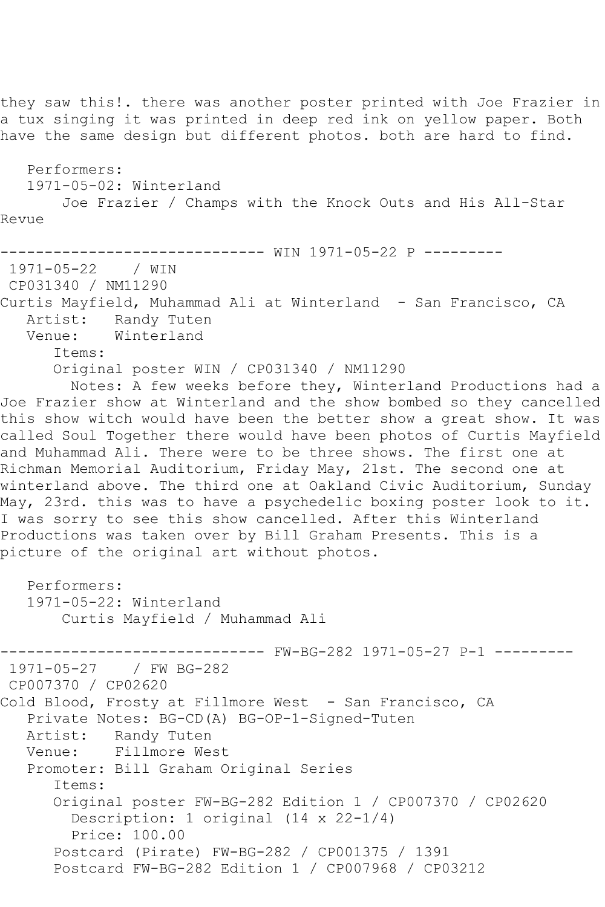they saw this!. there was another poster printed with Joe Frazier in a tux singing it was printed in deep red ink on yellow paper. Both have the same design but different photos. both are hard to find. Performers: 1971-05-02: Winterland Joe Frazier / Champs with the Knock Outs and His All-Star Revue ------------------------------ WIN 1971-05-22 P --------- 1971-05-22 / WIN CP031340 / NM11290 Curtis Mayfield, Muhammad Ali at Winterland - San Francisco, CA Artist: Randy Tuten Venue: Winterland Items: Original poster WIN / CP031340 / NM11290 Notes: A few weeks before they, Winterland Productions had a Joe Frazier show at Winterland and the show bombed so they cancelled this show witch would have been the better show a great show. It was called Soul Together there would have been photos of Curtis Mayfield and Muhammad Ali. There were to be three shows. The first one at Richman Memorial Auditorium, Friday May, 21st. The second one at winterland above. The third one at Oakland Civic Auditorium, Sunday May, 23rd. this was to have a psychedelic boxing poster look to it. I was sorry to see this show cancelled. After this Winterland Productions was taken over by Bill Graham Presents. This is a picture of the original art without photos. Performers: 1971-05-22: Winterland Curtis Mayfield / Muhammad Ali ------------------------------ FW-BG-282 1971-05-27 P-1 --------- 1971-05-27 / FW BG-282 CP007370 / CP02620 Cold Blood, Frosty at Fillmore West - San Francisco, CA Private Notes: BG-CD(A) BG-OP-1-Signed-Tuten Artist: Randy Tuten<br>Venue: Fillmore We Fillmore West Promoter: Bill Graham Original Series Items: Original poster FW-BG-282 Edition 1 / CP007370 / CP02620 Description: 1 original (14 x 22-1/4) Price: 100.00 Postcard (Pirate) FW-BG-282 / CP001375 / 1391 Postcard FW-BG-282 Edition 1 / CP007968 / CP03212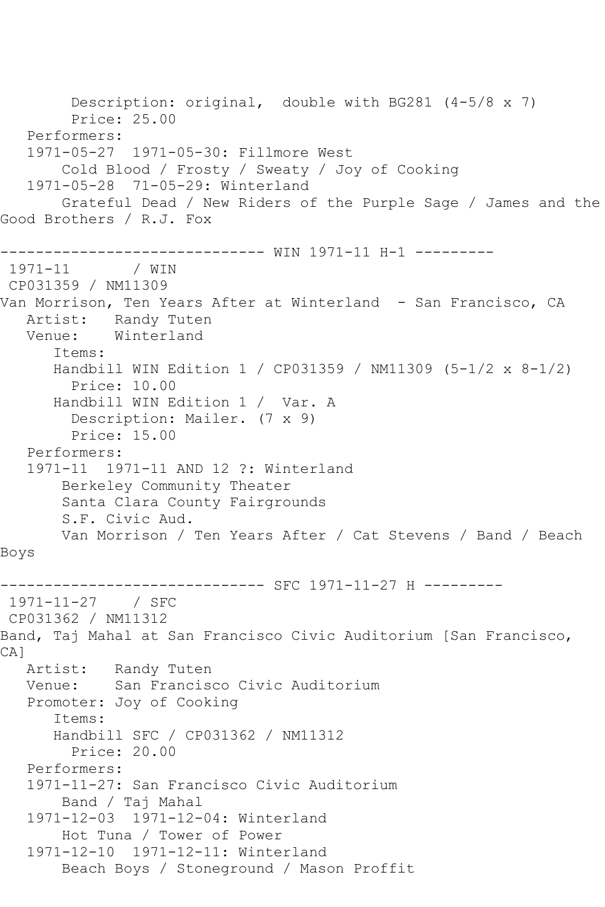Description: original, double with BG281 (4-5/8 x 7) Price: 25.00 Performers: 1971-05-27 1971-05-30: Fillmore West Cold Blood / Frosty / Sweaty / Joy of Cooking 1971-05-28 71-05-29: Winterland Grateful Dead / New Riders of the Purple Sage / James and the Good Brothers / R.J. Fox ------------------------------ WIN 1971-11 H-1 ---------  $1971 - 11$ CP031359 / NM11309 Van Morrison, Ten Years After at Winterland - San Francisco, CA Artist: Randy Tuten Venue: Winterland Items: Handbill WIN Edition 1 / CP031359 / NM11309 (5-1/2 x 8-1/2) Price: 10.00 Handbill WIN Edition 1 / Var. A Description: Mailer. (7 x 9) Price: 15.00 Performers: 1971-11 1971-11 AND 12 ?: Winterland Berkeley Community Theater Santa Clara County Fairgrounds S.F. Civic Aud. Van Morrison / Ten Years After / Cat Stevens / Band / Beach Boys ------------------------------ SFC 1971-11-27 H --------- 1971-11-27 / SFC CP031362 / NM11312 Band, Taj Mahal at San Francisco Civic Auditorium [San Francisco, CA]<br>Artist: Randy Tuten Venue: San Francisco Civic Auditorium Promoter: Joy of Cooking Items: Handbill SFC / CP031362 / NM11312 Price: 20.00 Performers: 1971-11-27: San Francisco Civic Auditorium Band / Taj Mahal 1971-12-03 1971-12-04: Winterland Hot Tuna / Tower of Power 1971-12-10 1971-12-11: Winterland Beach Boys / Stoneground / Mason Proffit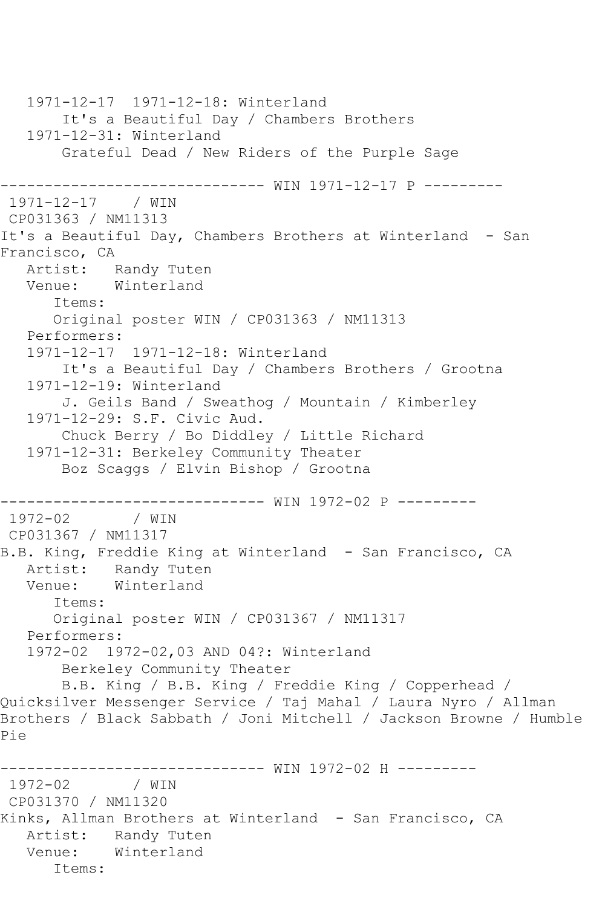```
 1971-12-17 1971-12-18: Winterland
        It's a Beautiful Day / Chambers Brothers
   1971-12-31: Winterland
        Grateful Dead / New Riders of the Purple Sage
         ------------------------------ WIN 1971-12-17 P ---------
1971-12-17 / WIN 
CP031363 / NM11313
It's a Beautiful Day, Chambers Brothers at Winterland - San 
Francisco, CA
 Artist: Randy Tuten
 Venue: Winterland
       Items:
       Original poster WIN / CP031363 / NM11313
   Performers:
   1971-12-17 1971-12-18: Winterland
        It's a Beautiful Day / Chambers Brothers / Grootna
   1971-12-19: Winterland
        J. Geils Band / Sweathog / Mountain / Kimberley
   1971-12-29: S.F. Civic Aud.
        Chuck Berry / Bo Diddley / Little Richard
   1971-12-31: Berkeley Community Theater
        Boz Scaggs / Elvin Bishop / Grootna
  ------------------------------ WIN 1972-02 P ---------
1972 - 02CP031367 / NM11317
B.B. King, Freddie King at Winterland - San Francisco, CA
   Artist: Randy Tuten
   Venue: Winterland
       Items:
       Original poster WIN / CP031367 / NM11317
   Performers:
   1972-02 1972-02,03 AND 04?: Winterland
        Berkeley Community Theater
       B.B. King / B.B. King / Freddie King / Copperhead / 
Quicksilver Messenger Service / Taj Mahal / Laura Nyro / Allman 
Brothers / Black Sabbath / Joni Mitchell / Jackson Browne / Humble 
Pie
              ------------------------------ WIN 1972-02 H ---------
1972 - 02CP031370 / NM11320
Kinks, Allman Brothers at Winterland - San Francisco, CA
   Artist: Randy Tuten
   Venue: Winterland
      Items:
```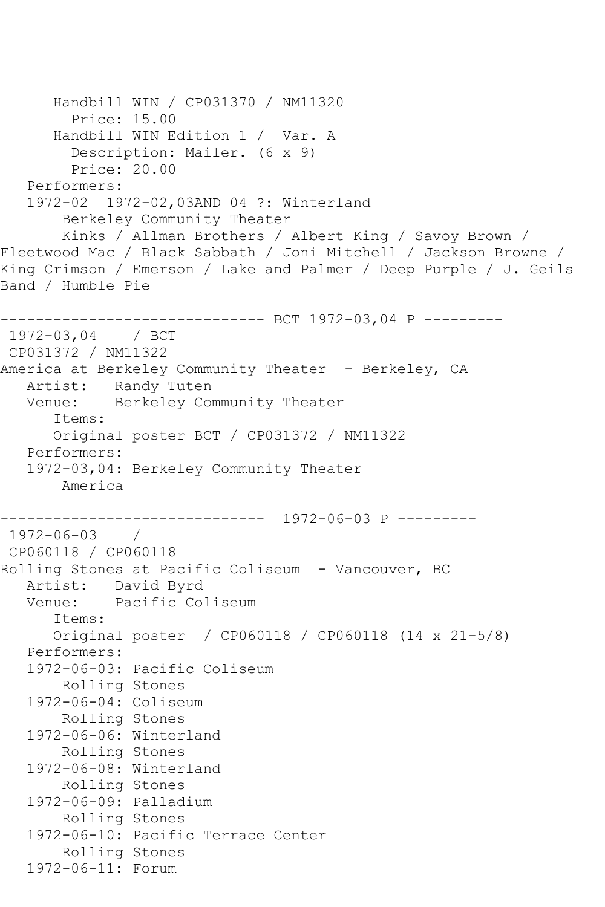```
 Handbill WIN / CP031370 / NM11320
         Price: 15.00
       Handbill WIN Edition 1 / Var. A
         Description: Mailer. (6 x 9)
         Price: 20.00
    Performers:
    1972-02 1972-02,03AND 04 ?: Winterland
        Berkeley Community Theater
        Kinks / Allman Brothers / Albert King / Savoy Brown / 
Fleetwood Mac / Black Sabbath / Joni Mitchell / Jackson Browne / 
King Crimson / Emerson / Lake and Palmer / Deep Purple / J. Geils
Band / Humble Pie
------------------------------ BCT 1972-03,04 P ---------
1972-03,04 / BCT 
CP031372 / NM11322
America at Berkeley Community Theater - Berkeley, CA
   Artist: Randy Tuten
   Venue: Berkeley Community Theater
       Items:
       Original poster BCT / CP031372 / NM11322
    Performers:
    1972-03,04: Berkeley Community Theater
        America
         ------------------------------ 1972-06-03 P ---------
1972-06-03 / 
CP060118 / CP060118
Rolling Stones at Pacific Coliseum - Vancouver, BC
  Artist: David Byrd<br>Venue: Pacific Co
            Pacific Coliseum
       Items:
       Original poster / CP060118 / CP060118 (14 x 21-5/8)
   Performers:
    1972-06-03: Pacific Coliseum
        Rolling Stones
    1972-06-04: Coliseum
        Rolling Stones
    1972-06-06: Winterland
        Rolling Stones
    1972-06-08: Winterland
        Rolling Stones
    1972-06-09: Palladium
        Rolling Stones
    1972-06-10: Pacific Terrace Center
        Rolling Stones
    1972-06-11: Forum
```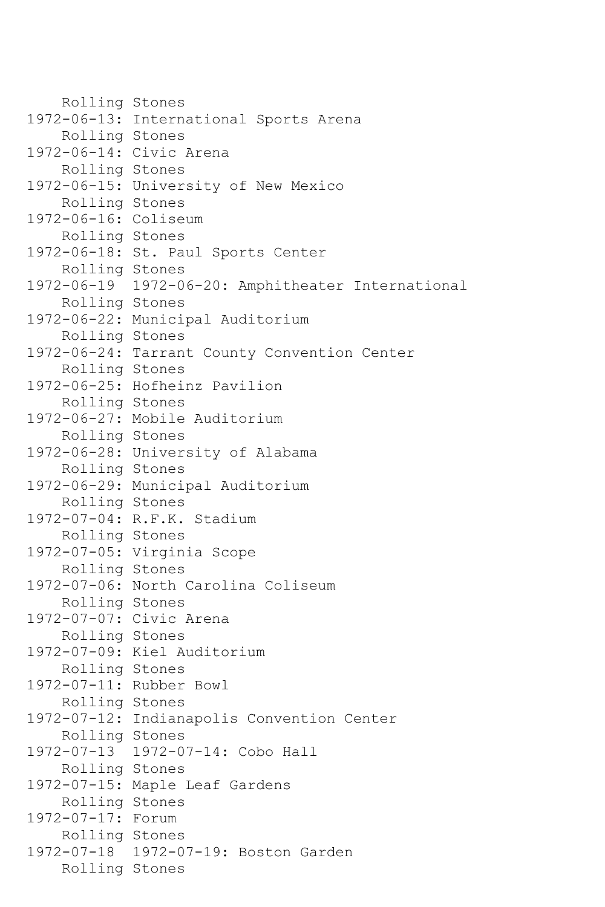Rolling Stones 1972-06-13: International Sports Arena Rolling Stones 1972-06-14: Civic Arena Rolling Stones 1972-06-15: University of New Mexico Rolling Stones 1972-06-16: Coliseum Rolling Stones 1972-06-18: St. Paul Sports Center Rolling Stones 1972-06-19 1972-06-20: Amphitheater International Rolling Stones 1972-06-22: Municipal Auditorium Rolling Stones 1972-06-24: Tarrant County Convention Center Rolling Stones 1972-06-25: Hofheinz Pavilion Rolling Stones 1972-06-27: Mobile Auditorium Rolling Stones 1972-06-28: University of Alabama Rolling Stones 1972-06-29: Municipal Auditorium Rolling Stones 1972-07-04: R.F.K. Stadium Rolling Stones 1972-07-05: Virginia Scope Rolling Stones 1972-07-06: North Carolina Coliseum Rolling Stones 1972-07-07: Civic Arena Rolling Stones 1972-07-09: Kiel Auditorium Rolling Stones 1972-07-11: Rubber Bowl Rolling Stones 1972-07-12: Indianapolis Convention Center Rolling Stones 1972-07-13 1972-07-14: Cobo Hall Rolling Stones 1972-07-15: Maple Leaf Gardens Rolling Stones 1972-07-17: Forum Rolling Stones 1972-07-18 1972-07-19: Boston Garden Rolling Stones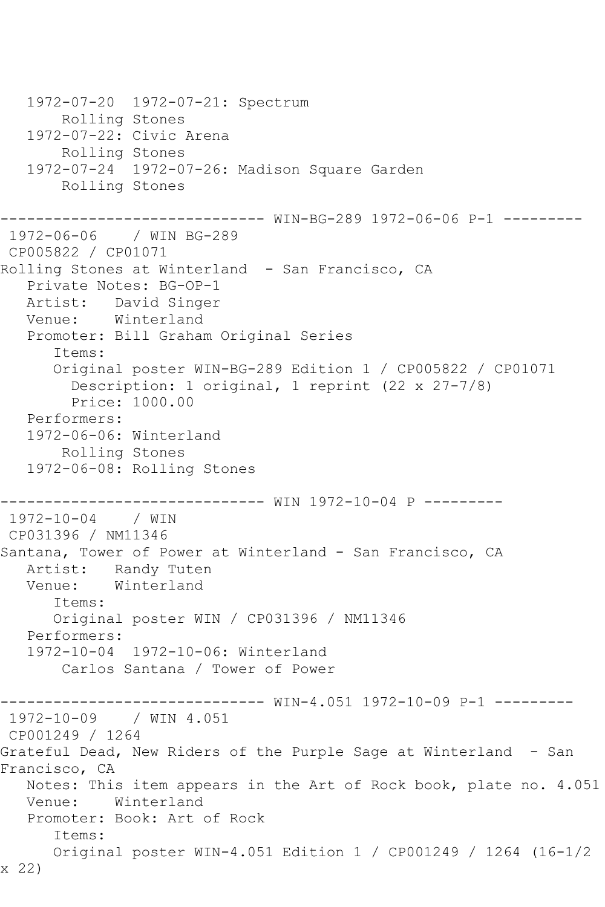```
 1972-07-20 1972-07-21: Spectrum
        Rolling Stones
    1972-07-22: Civic Arena
        Rolling Stones
    1972-07-24 1972-07-26: Madison Square Garden
        Rolling Stones
------------------------------ WIN-BG-289 1972-06-06 P-1 ---------
1972-06-06 / WIN BG-289
CP005822 / CP01071
Rolling Stones at Winterland - San Francisco, CA
    Private Notes: BG-OP-1
   Artist: David Singer
   Venue: Winterland
   Promoter: Bill Graham Original Series
       Items:
       Original poster WIN-BG-289 Edition 1 / CP005822 / CP01071
         Description: 1 original, 1 reprint (22 x 27-7/8)
         Price: 1000.00
   Performers:
    1972-06-06: Winterland
        Rolling Stones
    1972-06-08: Rolling Stones
                   ------------------------------ WIN 1972-10-04 P ---------
1972-10-04 / WIN 
CP031396 / NM11346
Santana, Tower of Power at Winterland - San Francisco, CA
  Artist: Randy Tuten<br>Venue: Winterland
            Winterland
       Items:
       Original poster WIN / CP031396 / NM11346
   Performers:
    1972-10-04 1972-10-06: Winterland
        Carlos Santana / Tower of Power
------------------------------ WIN-4.051 1972-10-09 P-1 ---------
1972-10-09 / WIN 4.051
CP001249 / 1264
Grateful Dead, New Riders of the Purple Sage at Winterland - San
Francisco, CA
   Notes: This item appears in the Art of Rock book, plate no. 4.051
   Venue: Winterland
   Promoter: Book: Art of Rock
       Items:
       Original poster WIN-4.051 Edition 1 / CP001249 / 1264 (16-1/2 
x 22)
```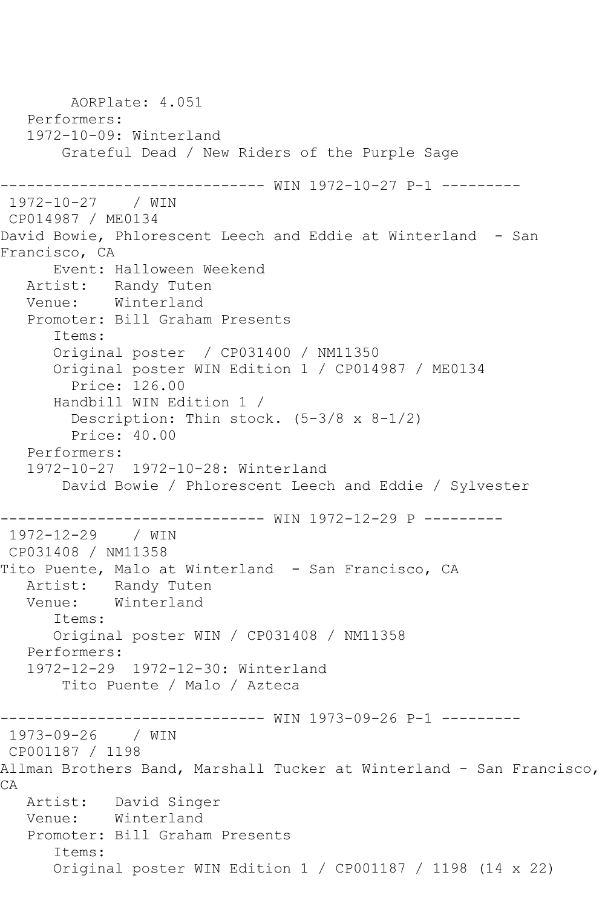AORPlate: 4.051 Performers: 1972-10-09: Winterland Grateful Dead / New Riders of the Purple Sage ---------------- WIN 1972-10-27 P-1 ---------1972-10-27 / WIN CP014987 / ME0134 David Bowie, Phlorescent Leech and Eddie at Winterland - San Francisco, CA Event: Halloween Weekend Artist: Randy Tuten<br>Venue: Winterland Winterland Promoter: Bill Graham Presents Items: Original poster / CP031400 / NM11350 Original poster WIN Edition 1 / CP014987 / ME0134 Price: 126.00 Handbill WIN Edition 1 / Description: Thin stock. (5-3/8 x 8-1/2) Price: 40.00 Performers: 1972-10-27 1972-10-28: Winterland David Bowie / Phlorescent Leech and Eddie / Sylvester ------------------------------ WIN 1972-12-29 P --------- 1972-12-29 / WIN CP031408 / NM11358 Tito Puente, Malo at Winterland - San Francisco, CA Artist: Randy Tuten<br>Venue: Winterland Winterland Items: Original poster WIN / CP031408 / NM11358 Performers: 1972-12-29 1972-12-30: Winterland Tito Puente / Malo / Azteca ------------------------------ WIN 1973-09-26 P-1 --------- 1973-09-26 / WIN CP001187 / 1198 Allman Brothers Band, Marshall Tucker at Winterland - San Francisco, CA Artist: David Singer Venue: Winterland Promoter: Bill Graham Presents Items: Original poster WIN Edition 1 / CP001187 / 1198 (14 x 22)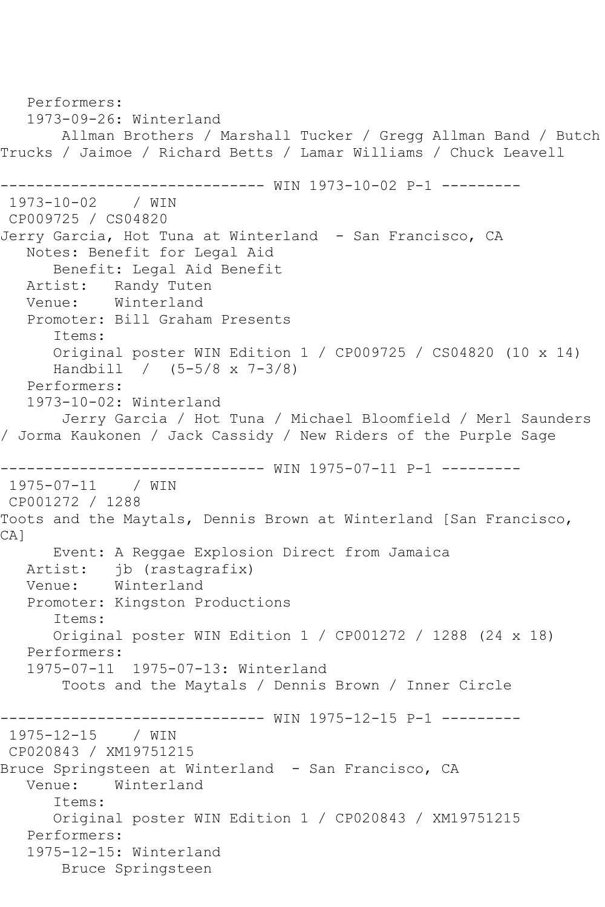Performers: 1973-09-26: Winterland Allman Brothers / Marshall Tucker / Gregg Allman Band / Butch Trucks / Jaimoe / Richard Betts / Lamar Williams / Chuck Leavell ------------ WIN 1973-10-02 P-1 ---------1973-10-02 / WIN CP009725 / CS04820 Jerry Garcia, Hot Tuna at Winterland - San Francisco, CA Notes: Benefit for Legal Aid Benefit: Legal Aid Benefit Artist: Randy Tuten<br>Venue: Winterland Winterland Promoter: Bill Graham Presents Items: Original poster WIN Edition 1 / CP009725 / CS04820 (10 x 14) Handbill / (5-5/8 x 7-3/8) Performers: 1973-10-02: Winterland Jerry Garcia / Hot Tuna / Michael Bloomfield / Merl Saunders / Jorma Kaukonen / Jack Cassidy / New Riders of the Purple Sage ------------------------------ WIN 1975-07-11 P-1 --------- 1975-07-11 / WIN CP001272 / 1288 Toots and the Maytals, Dennis Brown at Winterland [San Francisco, CA] Event: A Reggae Explosion Direct from Jamaica Artist: jb (rastagrafix) Venue: Winterland Promoter: Kingston Productions Items: Original poster WIN Edition 1 / CP001272 / 1288 (24 x 18) Performers: 1975-07-11 1975-07-13: Winterland Toots and the Maytals / Dennis Brown / Inner Circle ------------------------------ WIN 1975-12-15 P-1 --------- 1975-12-15 / WIN CP020843 / XM19751215 Bruce Springsteen at Winterland - San Francisco, CA Venue: Winterland Items: Original poster WIN Edition 1 / CP020843 / XM19751215 Performers: 1975-12-15: Winterland Bruce Springsteen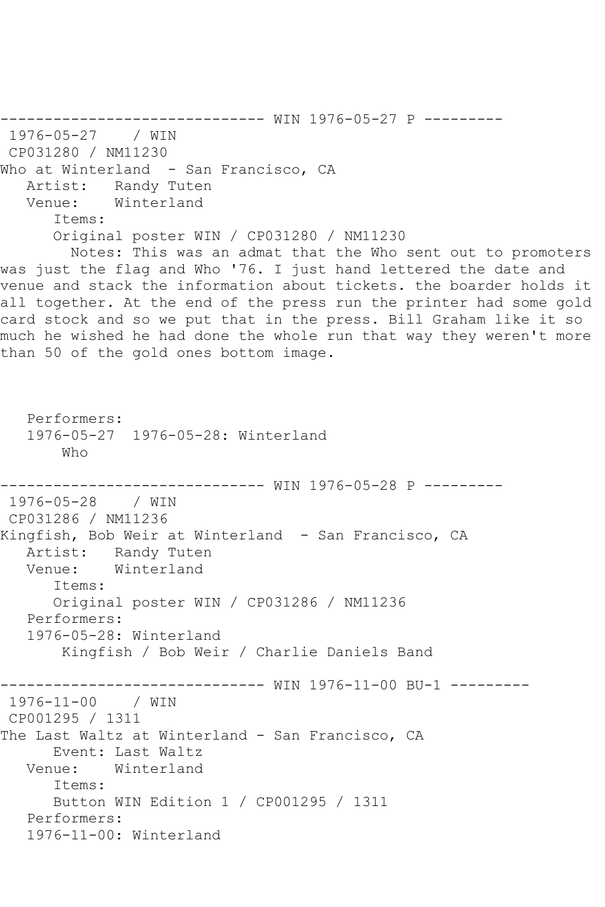------------------------------ WIN 1976-05-27 P --------- 1976-05-27 / WIN CP031280 / NM11230 Who at Winterland - San Francisco, CA Artist: Randy Tuten<br>Venue: Winterland Winterland Items: Original poster WIN / CP031280 / NM11230 Notes: This was an admat that the Who sent out to promoters was just the flag and Who '76. I just hand lettered the date and venue and stack the information about tickets. the boarder holds it all together. At the end of the press run the printer had some gold card stock and so we put that in the press. Bill Graham like it so much he wished he had done the whole run that way they weren't more than 50 of the gold ones bottom image. Performers: 1976-05-27 1976-05-28: Winterland Who ------------------------------ WIN 1976-05-28 P --------- 1976-05-28 / WIN CP031286 / NM11236 Kingfish, Bob Weir at Winterland - San Francisco, CA Artist: Randy Tuten Venue: Winterland Items: Original poster WIN / CP031286 / NM11236 Performers: 1976-05-28: Winterland Kingfish / Bob Weir / Charlie Daniels Band ------------------------------ WIN 1976-11-00 BU-1 --------- 1976-11-00 / WIN CP001295 / 1311 The Last Waltz at Winterland - San Francisco, CA Event: Last Waltz Venue: Winterland Items: Button WIN Edition 1 / CP001295 / 1311 Performers: 1976-11-00: Winterland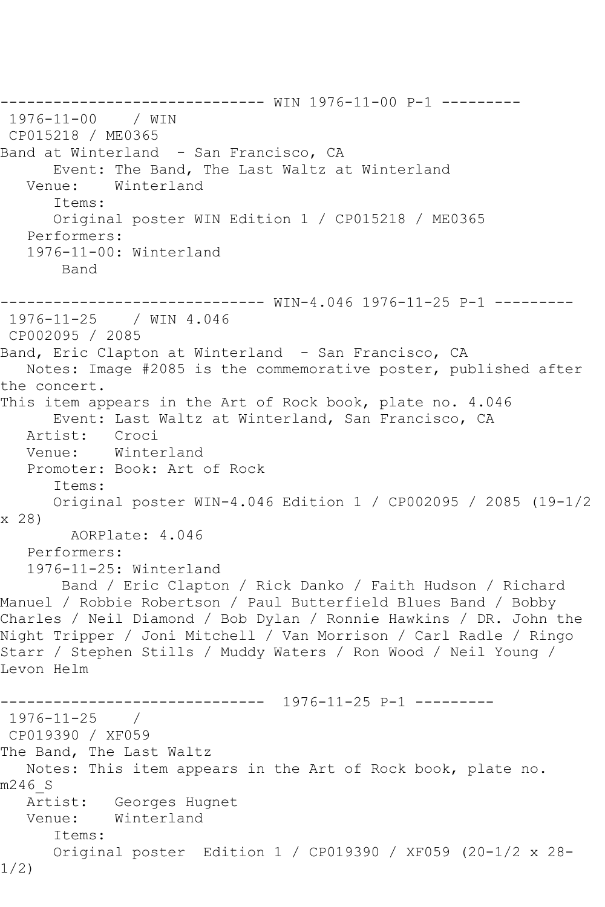------------------------------ WIN 1976-11-00 P-1 --------- 1976-11-00 / WIN CP015218 / ME0365 Band at Winterland - San Francisco, CA Event: The Band, The Last Waltz at Winterland<br>Venue: Winterland Winterland Items: Original poster WIN Edition 1 / CP015218 / ME0365 Performers: 1976-11-00: Winterland Band ------------------------------ WIN-4.046 1976-11-25 P-1 --------- 1976-11-25 / WIN 4.046 CP002095 / 2085 Band, Eric Clapton at Winterland - San Francisco, CA Notes: Image #2085 is the commemorative poster, published after the concert. This item appears in the Art of Rock book, plate no. 4.046 Event: Last Waltz at Winterland, San Francisco, CA Artist: Croci Venue: Winterland Promoter: Book: Art of Rock Items: Original poster WIN-4.046 Edition 1 / CP002095 / 2085 (19-1/2 x 28) AORPlate: 4.046 Performers: 1976-11-25: Winterland Band / Eric Clapton / Rick Danko / Faith Hudson / Richard Manuel / Robbie Robertson / Paul Butterfield Blues Band / Bobby Charles / Neil Diamond / Bob Dylan / Ronnie Hawkins / DR. John the Night Tripper / Joni Mitchell / Van Morrison / Carl Radle / Ringo Starr / Stephen Stills / Muddy Waters / Ron Wood / Neil Young / Levon Helm ------------------------------ 1976-11-25 P-1 --------- 1976-11-25 / CP019390 / XF059 The Band, The Last Waltz Notes: This item appears in the Art of Rock book, plate no. m246\_S Artist: Georges Hugnet<br>Venue: Winterland Winterland Items: Original poster Edition 1 / CP019390 / XF059 (20-1/2 x 28- 1/2)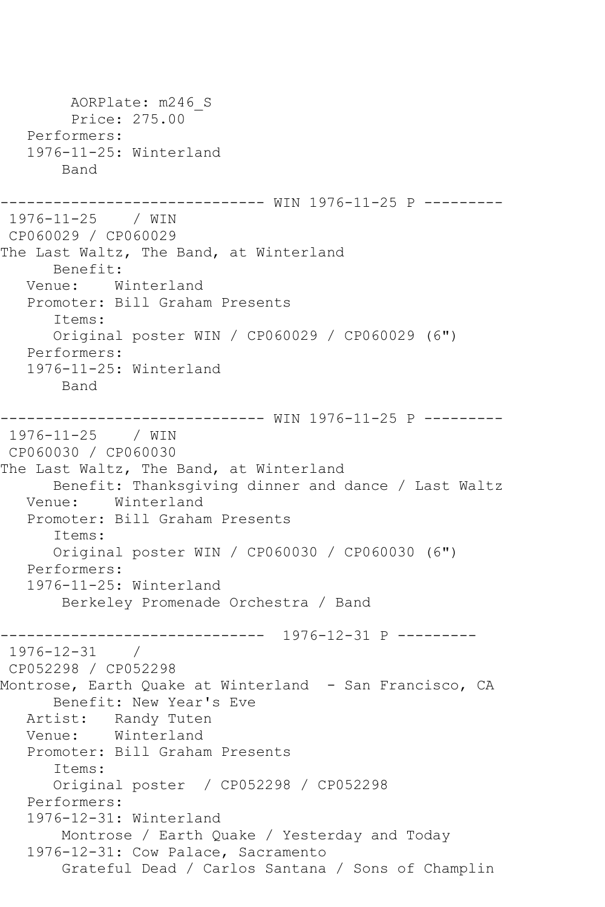AORPlate: m246\_S Price: 275.00 Performers: 1976-11-25: Winterland Band ------------------------------ WIN 1976-11-25 P --------- 1976-11-25 / WIN CP060029 / CP060029 The Last Waltz, The Band, at Winterland Benefit: Venue: Winterland Promoter: Bill Graham Presents Items: Original poster WIN / CP060029 / CP060029 (6") Performers: 1976-11-25: Winterland Band ------------------------------ WIN 1976-11-25 P --------- 1976-11-25 / WIN CP060030 / CP060030 The Last Waltz, The Band, at Winterland Benefit: Thanksgiving dinner and dance / Last Waltz Venue: Winterland Promoter: Bill Graham Presents Items: Original poster WIN / CP060030 / CP060030 (6") Performers: 1976-11-25: Winterland Berkeley Promenade Orchestra / Band ------------------------------ 1976-12-31 P --------- 1976-12-31 / CP052298 / CP052298 Montrose, Earth Quake at Winterland - San Francisco, CA Benefit: New Year's Eve Artist: Randy Tuten Venue: Winterland Promoter: Bill Graham Presents Items: Original poster / CP052298 / CP052298 Performers: 1976-12-31: Winterland Montrose / Earth Quake / Yesterday and Today 1976-12-31: Cow Palace, Sacramento Grateful Dead / Carlos Santana / Sons of Champlin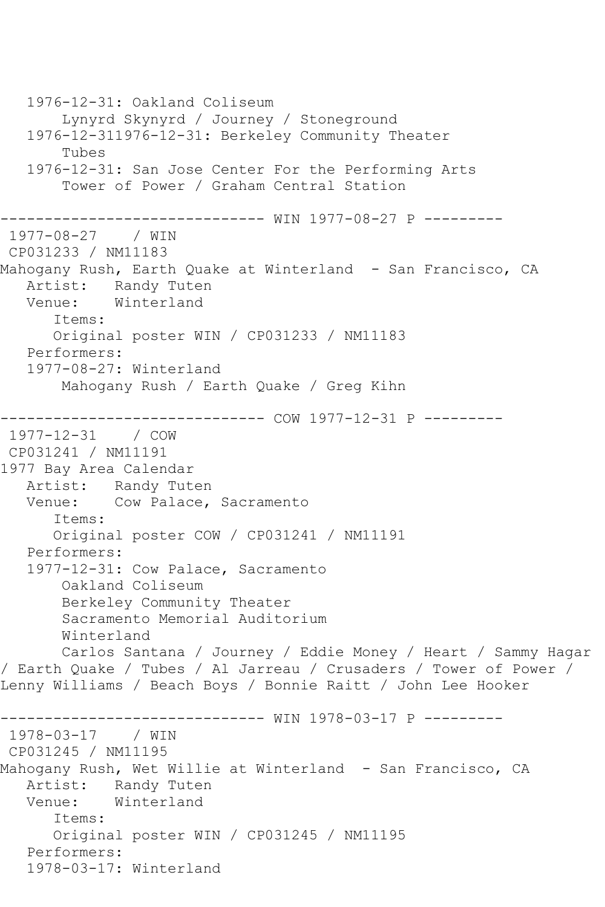```
 1976-12-31: Oakland Coliseum
        Lynyrd Skynyrd / Journey / Stoneground
    1976-12-311976-12-31: Berkeley Community Theater
        Tubes
    1976-12-31: San Jose Center For the Performing Arts
        Tower of Power / Graham Central Station
------------------------------ WIN 1977-08-27 P ---------
1977-08-27 / WIN 
CP031233 / NM11183
Mahogany Rush, Earth Quake at Winterland - San Francisco, CA
  Artist: Randy Tuten<br>Venue: Winterland
            Winterland
       Items:
       Original poster WIN / CP031233 / NM11183
    Performers:
    1977-08-27: Winterland
        Mahogany Rush / Earth Quake / Greg Kihn
------------------------------ COW 1977-12-31 P ---------
1977-12-31 / COW 
CP031241 / NM11191
1977 Bay Area Calendar
   Artist: Randy Tuten
   Venue: Cow Palace, Sacramento
       Items:
       Original poster COW / CP031241 / NM11191
   Performers:
   1977-12-31: Cow Palace, Sacramento
        Oakland Coliseum
        Berkeley Community Theater
        Sacramento Memorial Auditorium
        Winterland
        Carlos Santana / Journey / Eddie Money / Heart / Sammy Hagar 
/ Earth Quake / Tubes / Al Jarreau / Crusaders / Tower of Power / 
Lenny Williams / Beach Boys / Bonnie Raitt / John Lee Hooker
           ------------------------------ WIN 1978-03-17 P ---------
1978-03-17 / WIN 
CP031245 / NM11195
Mahogany Rush, Wet Willie at Winterland - San Francisco, CA
   Artist: Randy Tuten
   Venue: Winterland
       Items:
       Original poster WIN / CP031245 / NM11195
   Performers:
    1978-03-17: Winterland
```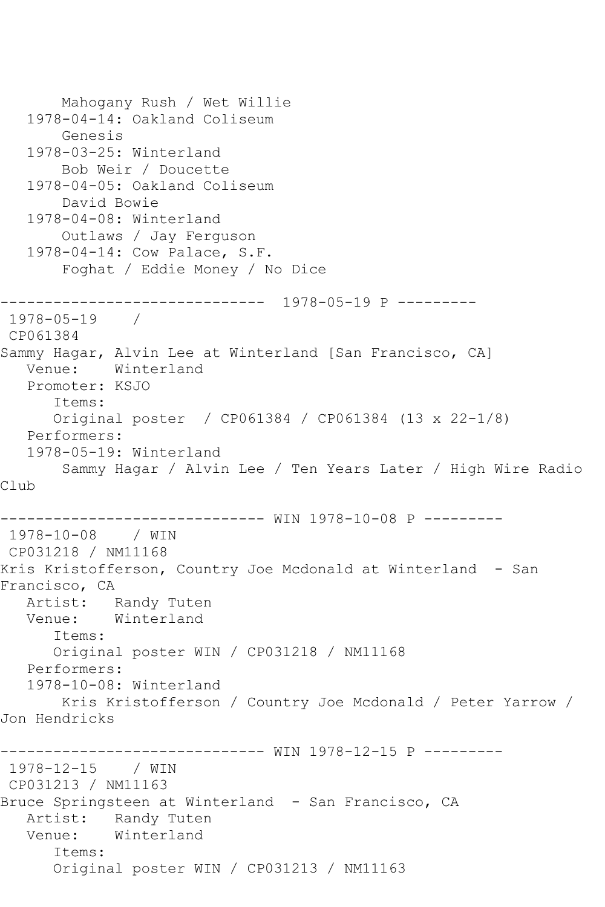```
 Mahogany Rush / Wet Willie
   1978-04-14: Oakland Coliseum
        Genesis
   1978-03-25: Winterland
        Bob Weir / Doucette
   1978-04-05: Oakland Coliseum
        David Bowie
   1978-04-08: Winterland
        Outlaws / Jay Ferguson
   1978-04-14: Cow Palace, S.F.
        Foghat / Eddie Money / No Dice
       ------------------------------ 1978-05-19 P ---------
1978-05-19 / 
CP061384
Sammy Hagar, Alvin Lee at Winterland [San Francisco, CA]
   Venue: Winterland
   Promoter: KSJO
       Items:
      Original poster / CP061384 / CP061384 (13 x 22-1/8)
   Performers:
   1978-05-19: Winterland
        Sammy Hagar / Alvin Lee / Ten Years Later / High Wire Radio 
Club
------------------------------ WIN 1978-10-08 P ---------
1978-10-08 / WIN 
CP031218 / NM11168
Kris Kristofferson, Country Joe Mcdonald at Winterland - San 
Francisco, CA
   Artist: Randy Tuten
   Venue: Winterland
       Items:
      Original poster WIN / CP031218 / NM11168
   Performers:
   1978-10-08: Winterland
       Kris Kristofferson / Country Joe Mcdonald / Peter Yarrow / 
Jon Hendricks
------------------------------ WIN 1978-12-15 P ---------
1978-12-15 / WIN 
CP031213 / NM11163
Bruce Springsteen at Winterland - San Francisco, CA
   Artist: Randy Tuten
   Venue: Winterland
       Items:
       Original poster WIN / CP031213 / NM11163
```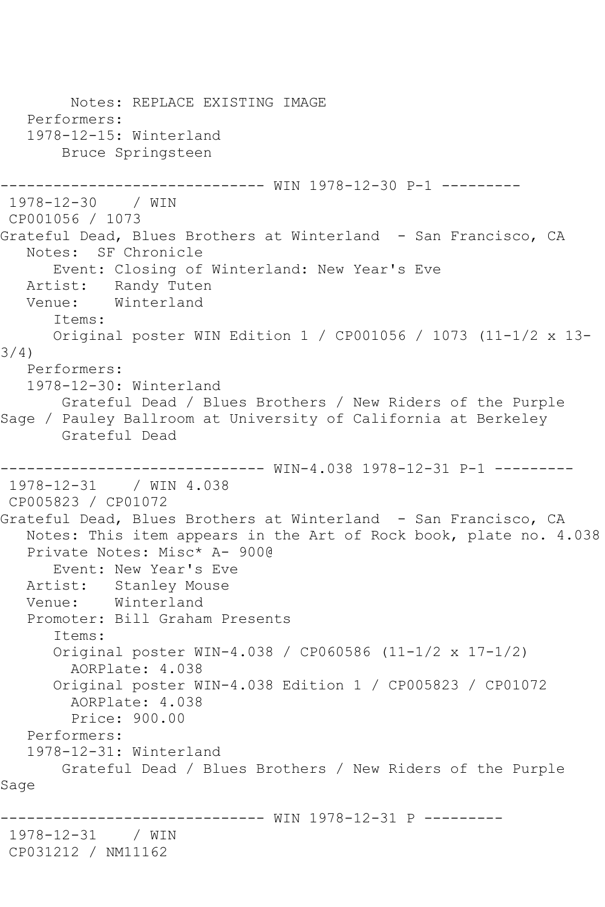Notes: REPLACE EXISTING IMAGE Performers: 1978-12-15: Winterland Bruce Springsteen ------------------------------ WIN 1978-12-30 P-1 --------- 1978-12-30 / WIN CP001056 / 1073 Grateful Dead, Blues Brothers at Winterland - San Francisco, CA Notes: SF Chronicle Event: Closing of Winterland: New Year's Eve Artist: Randy Tuten<br>Venue: Winterland Winterland Items: Original poster WIN Edition 1 / CP001056 / 1073 (11-1/2 x 13- 3/4) Performers: 1978-12-30: Winterland Grateful Dead / Blues Brothers / New Riders of the Purple Sage / Pauley Ballroom at University of California at Berkeley Grateful Dead ------------------------------ WIN-4.038 1978-12-31 P-1 --------- 1978-12-31 / WIN 4.038 CP005823 / CP01072 Grateful Dead, Blues Brothers at Winterland - San Francisco, CA Notes: This item appears in the Art of Rock book, plate no. 4.038 Private Notes: Misc\* A- 900@ Event: New Year's Eve Artist: Stanley Mouse Venue: Winterland Promoter: Bill Graham Presents Items: Original poster WIN-4.038 / CP060586 (11-1/2 x 17-1/2) AORPlate: 4.038 Original poster WIN-4.038 Edition 1 / CP005823 / CP01072 AORPlate: 4.038 Price: 900.00 Performers: 1978-12-31: Winterland Grateful Dead / Blues Brothers / New Riders of the Purple Sage ------------ WIN 1978-12-31 P ---------1978-12-31 / WIN CP031212 / NM11162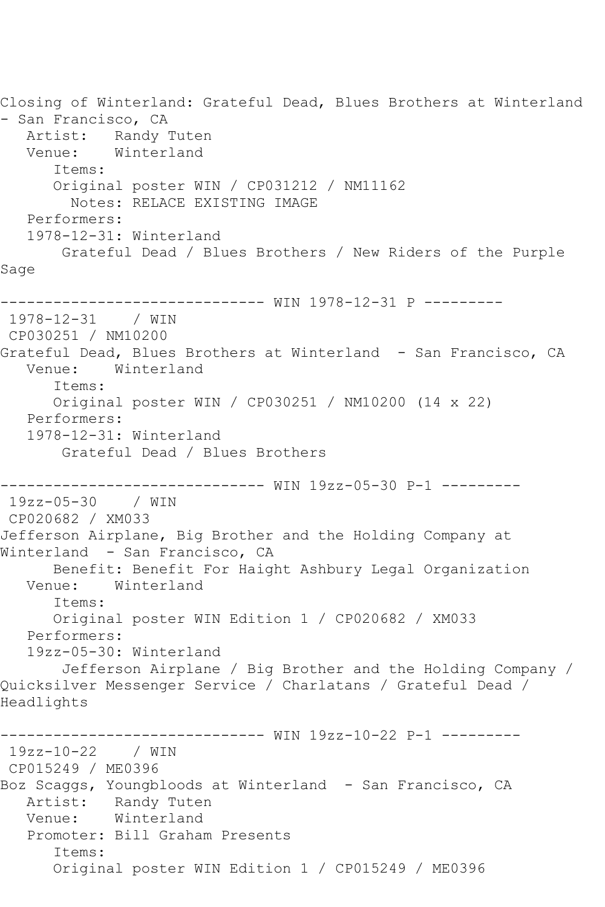Closing of Winterland: Grateful Dead, Blues Brothers at Winterland - San Francisco, CA Artist: Randy Tuten Venue: Winterland Items: Original poster WIN / CP031212 / NM11162 Notes: RELACE EXISTING IMAGE Performers: 1978-12-31: Winterland Grateful Dead / Blues Brothers / New Riders of the Purple Sage ------------------------------ WIN 1978-12-31 P --------- 1978-12-31 / WIN CP030251 / NM10200 Grateful Dead, Blues Brothers at Winterland - San Francisco, CA Venue: Winterland Items: Original poster WIN / CP030251 / NM10200 (14 x 22) Performers: 1978-12-31: Winterland Grateful Dead / Blues Brothers ------------------------------ WIN 19zz-05-30 P-1 --------- 19zz-05-30 / WIN CP020682 / XM033 Jefferson Airplane, Big Brother and the Holding Company at Winterland - San Francisco, CA Benefit: Benefit For Haight Ashbury Legal Organization Venue: Winterland Items: Original poster WIN Edition 1 / CP020682 / XM033 Performers: 19zz-05-30: Winterland Jefferson Airplane / Big Brother and the Holding Company / Quicksilver Messenger Service / Charlatans / Grateful Dead / Headlights ------------------------------ WIN 19zz-10-22 P-1 --------- 19zz-10-22 / WIN CP015249 / ME0396 Boz Scaggs, Youngbloods at Winterland - San Francisco, CA Artist: Randy Tuten Venue: Winterland Promoter: Bill Graham Presents Items: Original poster WIN Edition 1 / CP015249 / ME0396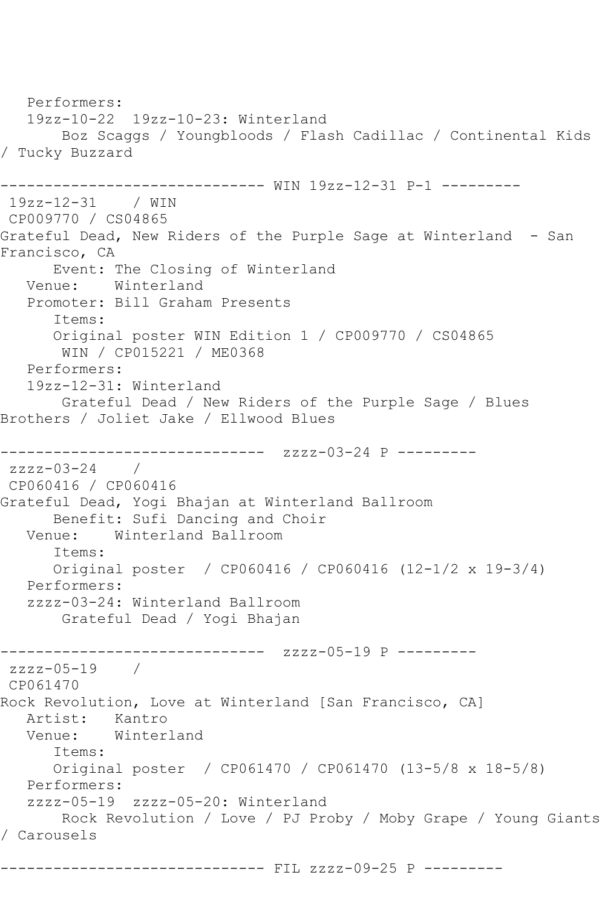Performers: 19zz-10-22 19zz-10-23: Winterland Boz Scaggs / Youngbloods / Flash Cadillac / Continental Kids / Tucky Buzzard ------------------------------ WIN 19zz-12-31 P-1 --------- 19zz-12-31 / WIN CP009770 / CS04865 Grateful Dead, New Riders of the Purple Sage at Winterland - San Francisco, CA Event: The Closing of Winterland<br>Venue: Winterland Winterland Promoter: Bill Graham Presents Items: Original poster WIN Edition 1 / CP009770 / CS04865 WIN / CP015221 / ME0368 Performers: 19zz-12-31: Winterland Grateful Dead / New Riders of the Purple Sage / Blues Brothers / Joliet Jake / Ellwood Blues ------------------------------ zzzz-03-24 P -------- zzzz-03-24 / CP060416 / CP060416 Grateful Dead, Yogi Bhajan at Winterland Ballroom Benefit: Sufi Dancing and Choir<br>Venue: Winterland Ballroom Winterland Ballroom Items: Original poster / CP060416 / CP060416 (12-1/2 x 19-3/4) Performers: zzzz-03-24: Winterland Ballroom Grateful Dead / Yogi Bhajan ------------------------------ zzzz-05-19 P -------- zzzz-05-19 / CP061470 Rock Revolution, Love at Winterland [San Francisco, CA] Artist: Kantro Venue: Winterland Items: Original poster / CP061470 / CP061470 (13-5/8 x 18-5/8) Performers: zzzz-05-19 zzzz-05-20: Winterland Rock Revolution / Love / PJ Proby / Moby Grape / Young Giants / Carousels

------------------------------ FIL zzzz-09-25 P ---------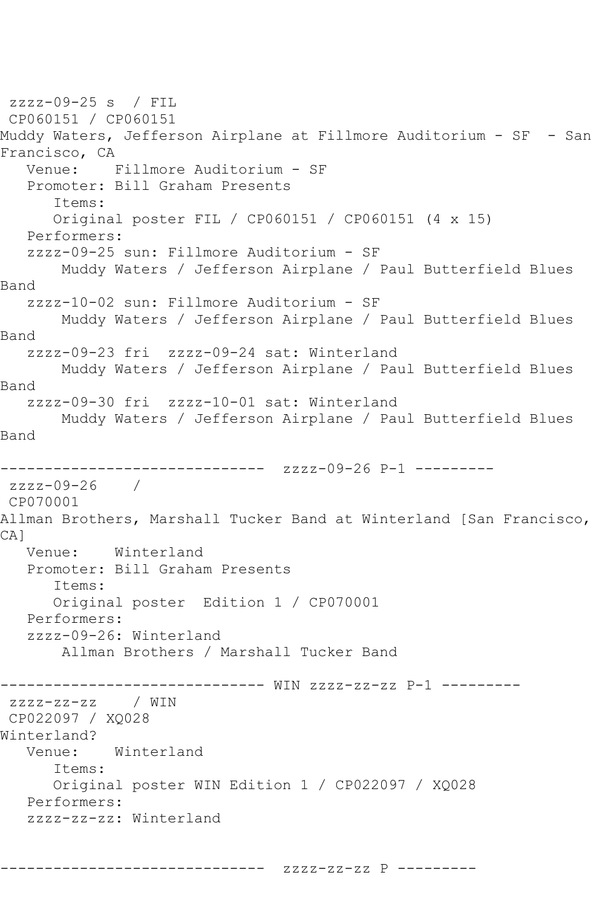zzzz-09-25 s / FIL CP060151 / CP060151 Muddy Waters, Jefferson Airplane at Fillmore Auditorium - SF - San Francisco, CA<br>Venue: I Fillmore Auditorium - SF Promoter: Bill Graham Presents Items: Original poster FIL / CP060151 / CP060151 (4 x 15) Performers: zzzz-09-25 sun: Fillmore Auditorium - SF Muddy Waters / Jefferson Airplane / Paul Butterfield Blues Band zzzz-10-02 sun: Fillmore Auditorium - SF Muddy Waters / Jefferson Airplane / Paul Butterfield Blues Band zzzz-09-23 fri zzzz-09-24 sat: Winterland Muddy Waters / Jefferson Airplane / Paul Butterfield Blues Band zzzz-09-30 fri zzzz-10-01 sat: Winterland Muddy Waters / Jefferson Airplane / Paul Butterfield Blues Band ------------------------------ zzzz-09-26 P-1 -------- zzzz-09-26 / CP070001 Allman Brothers, Marshall Tucker Band at Winterland [San Francisco, CA] Venue: Winterland Promoter: Bill Graham Presents Items: Original poster Edition 1 / CP070001 Performers: zzzz-09-26: Winterland Allman Brothers / Marshall Tucker Band ------------------------------ WIN zzzz-zz-zz P-1 -------- zzzz-zz-zz / WIN CP022097 / XQ028 Winterland? Venue: Winterland Items: Original poster WIN Edition 1 / CP022097 / XQ028 Performers: zzzz-zz-zz: Winterland

------------------------------ zzzz-zz-zz P ---------